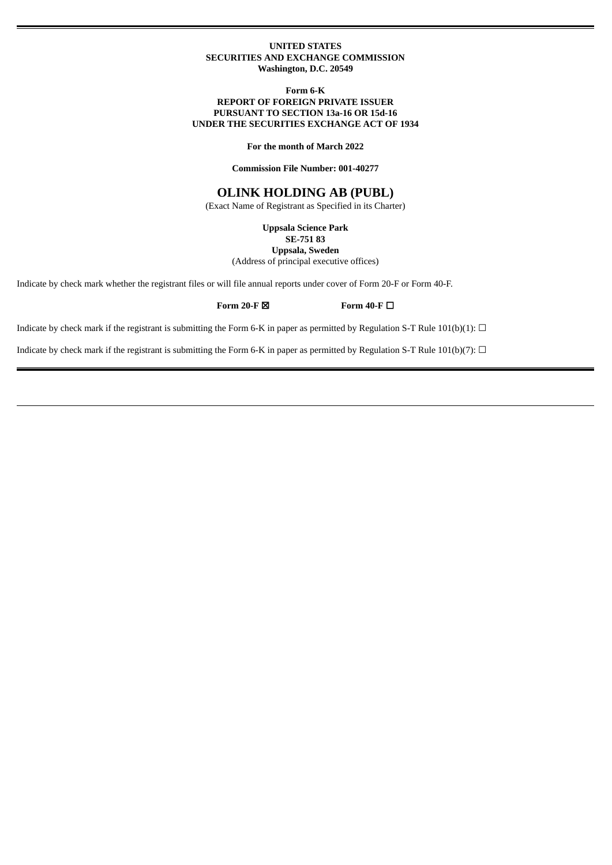### **UNITED STATES SECURITIES AND EXCHANGE COMMISSION Washington, D.C. 20549**

### **Form 6-K REPORT OF FOREIGN PRIVATE ISSUER PURSUANT TO SECTION 13a-16 OR 15d-16 UNDER THE SECURITIES EXCHANGE ACT OF 1934**

**For the month of March 2022**

**Commission File Number: 001-40277**

# **OLINK HOLDING AB (PUBL)**

(Exact Name of Registrant as Specified in its Charter)

**Uppsala Science Park**

**SE-751 83**

**Uppsala, Sweden**

(Address of principal executive offices)

Indicate by check mark whether the registrant files or will file annual reports under cover of Form 20-F or Form 40-F.

**Form 20-F** ☒ **Form 40-F** ☐

Indicate by check mark if the registrant is submitting the Form 6-K in paper as permitted by Regulation S-T Rule 101(b)(1):  $\Box$ 

Indicate by check mark if the registrant is submitting the Form 6-K in paper as permitted by Regulation S-T Rule 101(b)(7):  $\Box$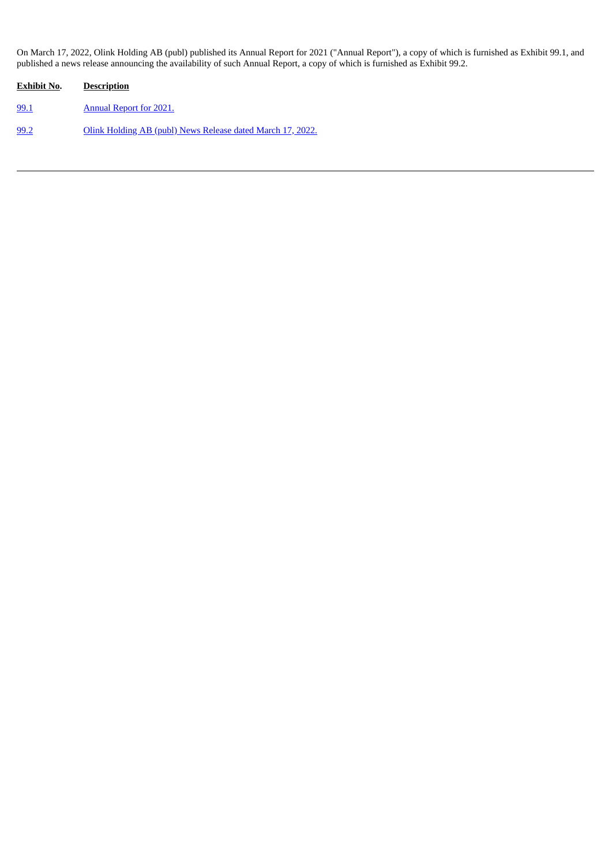On March 17, 2022, Olink Holding AB (publ) published its Annual Report for 2021 ("Annual Report"), a copy of which is furnished as Exhibit 99.1, and published a news release announcing the availability of such Annual Report, a copy of which is furnished as Exhibit 99.2.

| <b>Exhibit No.</b> | <b>Description</b>                                         |
|--------------------|------------------------------------------------------------|
| 99.1               | <b>Annual Report for 2021.</b>                             |
| 99.2               | Olink Holding AB (publ) News Release dated March 17, 2022. |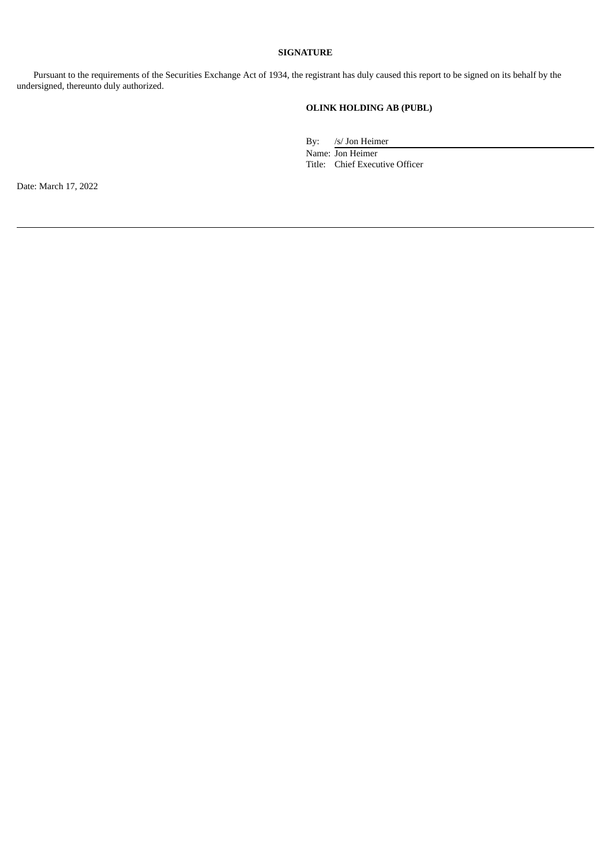# **SIGNATURE**

Pursuant to the requirements of the Securities Exchange Act of 1934, the registrant has duly caused this report to be signed on its behalf by the undersigned, thereunto duly authorized.

# **OLINK HOLDING AB (PUBL)**

By: /s/ Jon Heimer Name: Jon Heimer Title: Chief Executive Officer

Date: March 17, 2022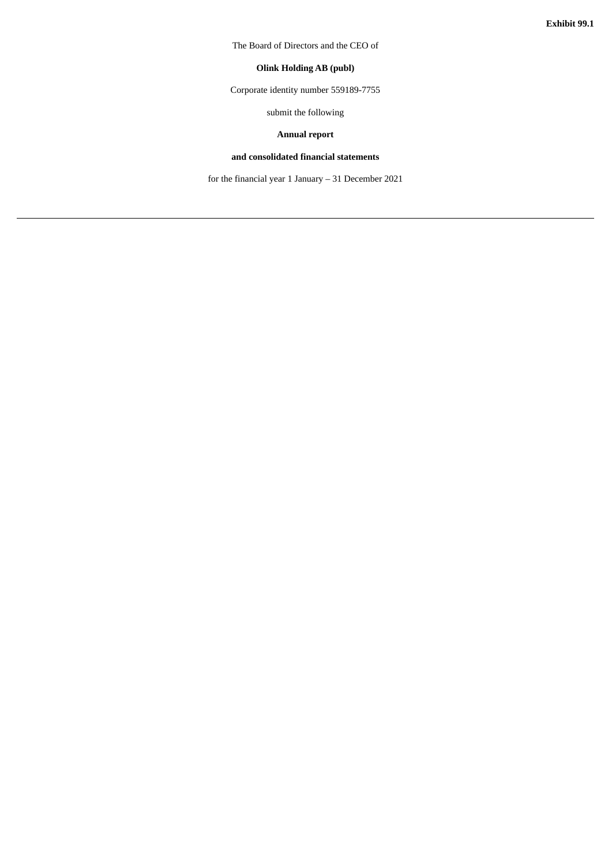<span id="page-3-0"></span>The Board of Directors and the CEO of

# **Olink Holding AB (publ)**

Corporate identity number 559189-7755

submit the following

# **Annual report**

# **and consolidated financial statements**

for the financial year 1 January – 31 December 2021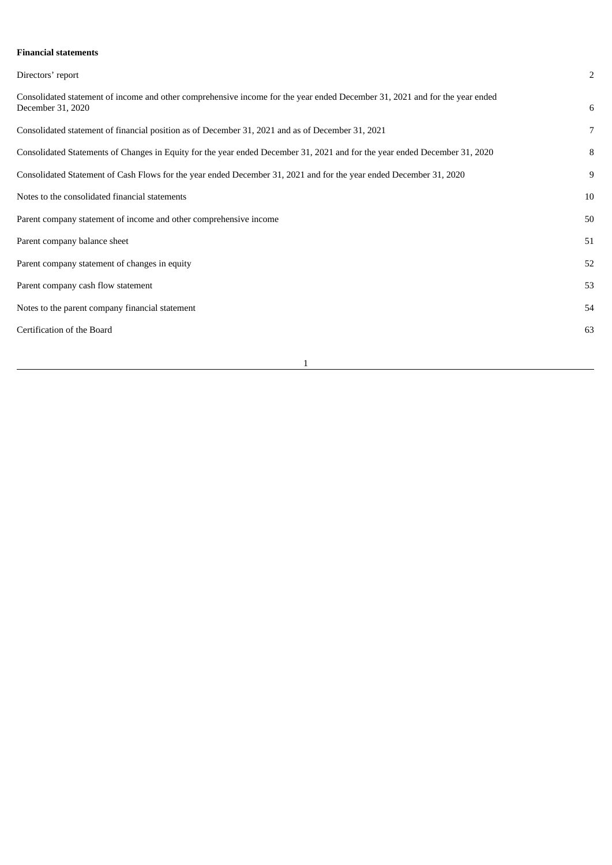# **Financial statements**

| Directors' report                                                                                                                                | $\overline{2}$ |
|--------------------------------------------------------------------------------------------------------------------------------------------------|----------------|
| Consolidated statement of income and other comprehensive income for the year ended December 31, 2021 and for the year ended<br>December 31, 2020 | 6              |
| Consolidated statement of financial position as of December 31, 2021 and as of December 31, 2021                                                 | $\overline{7}$ |
| Consolidated Statements of Changes in Equity for the year ended December 31, 2021 and for the year ended December 31, 2020                       | 8              |
| Consolidated Statement of Cash Flows for the year ended December 31, 2021 and for the year ended December 31, 2020                               | 9              |
| Notes to the consolidated financial statements                                                                                                   | 10             |
| Parent company statement of income and other comprehensive income                                                                                | 50             |
| Parent company balance sheet                                                                                                                     | 51             |
| Parent company statement of changes in equity                                                                                                    | 52             |
| Parent company cash flow statement                                                                                                               | 53             |
| Notes to the parent company financial statement                                                                                                  | 54             |
| Certification of the Board                                                                                                                       | 63             |
|                                                                                                                                                  |                |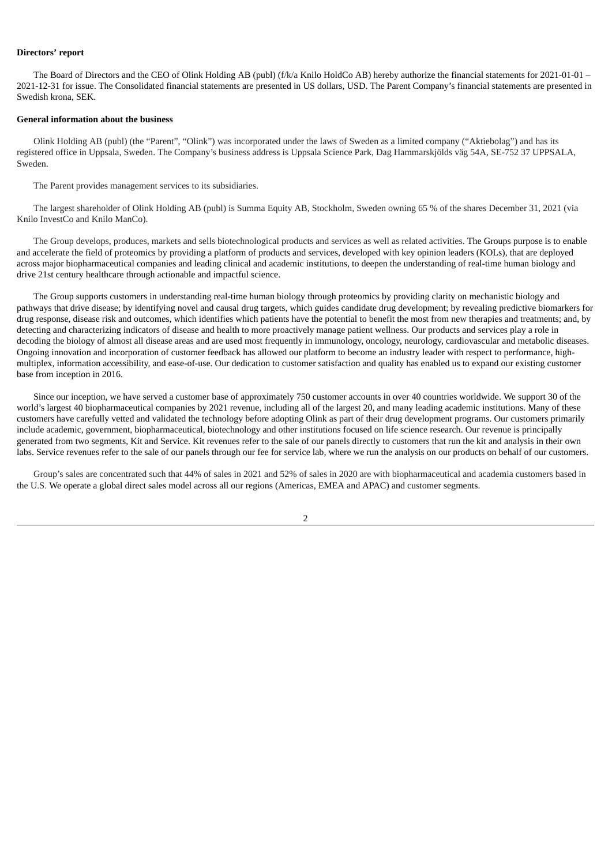### **Directors' report**

The Board of Directors and the CEO of Olink Holding AB (publ) (f/k/a Knilo HoldCo AB) hereby authorize the financial statements for 2021-01-01 – 2021-12-31 for issue. The Consolidated financial statements are presented in US dollars, USD. The Parent Company's financial statements are presented in Swedish krona, SEK.

#### **General information about the business**

Olink Holding AB (publ) (the "Parent", "Olink") was incorporated under the laws of Sweden as a limited company ("Aktiebolag") and has its registered office in Uppsala, Sweden. The Company's business address is Uppsala Science Park, Dag Hammarskjölds väg 54A, SE-752 37 UPPSALA, Sweden.

The Parent provides management services to its subsidiaries.

The largest shareholder of Olink Holding AB (publ) is Summa Equity AB, Stockholm, Sweden owning 65 % of the shares December 31, 2021 (via Knilo InvestCo and Knilo ManCo).

The Group develops, produces, markets and sells biotechnological products and services as well as related activities. The Groups purpose is to enable and accelerate the field of proteomics by providing a platform of products and services, developed with key opinion leaders (KOLs), that are deployed across major biopharmaceutical companies and leading clinical and academic institutions, to deepen the understanding of real-time human biology and drive 21st century healthcare through actionable and impactful science.

The Group supports customers in understanding real-time human biology through proteomics by providing clarity on mechanistic biology and pathways that drive disease; by identifying novel and causal drug targets, which guides candidate drug development; by revealing predictive biomarkers for drug response, disease risk and outcomes, which identifies which patients have the potential to benefit the most from new therapies and treatments; and, by detecting and characterizing indicators of disease and health to more proactively manage patient wellness. Our products and services play a role in decoding the biology of almost all disease areas and are used most frequently in immunology, oncology, neurology, cardiovascular and metabolic diseases. Ongoing innovation and incorporation of customer feedback has allowed our platform to become an industry leader with respect to performance, highmultiplex, information accessibility, and ease-of-use. Our dedication to customer satisfaction and quality has enabled us to expand our existing customer base from inception in 2016.

Since our inception, we have served a customer base of approximately 750 customer accounts in over 40 countries worldwide. We support 30 of the world's largest 40 biopharmaceutical companies by 2021 revenue, including all of the largest 20, and many leading academic institutions. Many of these customers have carefully vetted and validated the technology before adopting Olink as part of their drug development programs. Our customers primarily include academic, government, biopharmaceutical, biotechnology and other institutions focused on life science research. Our revenue is principally generated from two segments, Kit and Service. Kit revenues refer to the sale of our panels directly to customers that run the kit and analysis in their own labs. Service revenues refer to the sale of our panels through our fee for service lab, where we run the analysis on our products on behalf of our customers.

Group's sales are concentrated such that 44% of sales in 2021 and 52% of sales in 2020 are with biopharmaceutical and academia customers based in the U.S. We operate a global direct sales model across all our regions (Americas, EMEA and APAC) and customer segments.

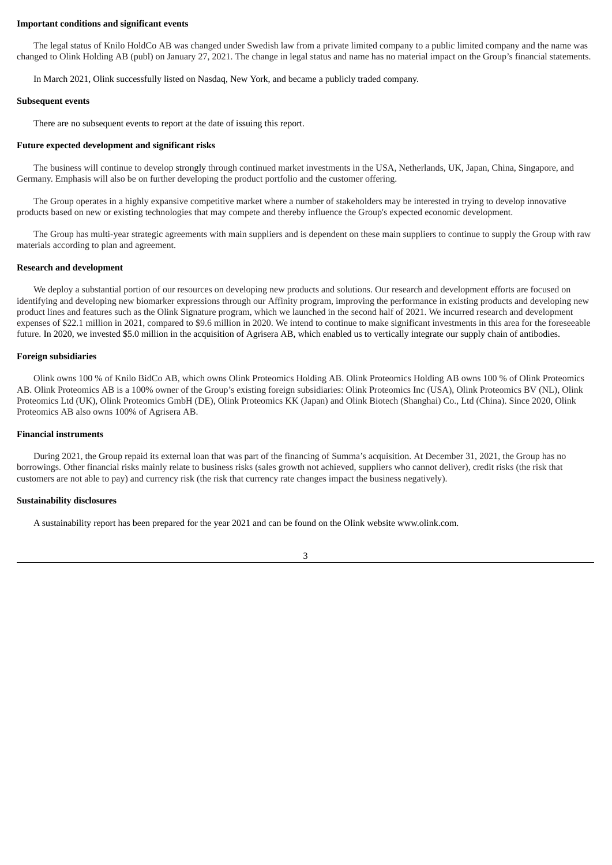#### **Important conditions and significant events**

The legal status of Knilo HoldCo AB was changed under Swedish law from a private limited company to a public limited company and the name was changed to Olink Holding AB (publ) on January 27, 2021. The change in legal status and name has no material impact on the Group's financial statements.

In March 2021, Olink successfully listed on Nasdaq, New York, and became a publicly traded company.

#### **Subsequent events**

There are no subsequent events to report at the date of issuing this report.

#### **Future expected development and significant risks**

The business will continue to develop strongly through continued market investments in the USA, Netherlands, UK, Japan, China, Singapore, and Germany. Emphasis will also be on further developing the product portfolio and the customer offering.

The Group operates in a highly expansive competitive market where a number of stakeholders may be interested in trying to develop innovative products based on new or existing technologies that may compete and thereby influence the Group's expected economic development.

The Group has multi-year strategic agreements with main suppliers and is dependent on these main suppliers to continue to supply the Group with raw materials according to plan and agreement.

#### **Research and development**

We deploy a substantial portion of our resources on developing new products and solutions. Our research and development efforts are focused on identifying and developing new biomarker expressions through our Affinity program, improving the performance in existing products and developing new product lines and features such as the Olink Signature program, which we launched in the second half of 2021. We incurred research and development expenses of \$22.1 million in 2021, compared to \$9.6 million in 2020. We intend to continue to make significant investments in this area for the foreseeable future. In 2020, we invested \$5.0 million in the acquisition of Agrisera AB, which enabled us to vertically integrate our supply chain of antibodies.

#### **Foreign subsidiaries**

Olink owns 100 % of Knilo BidCo AB, which owns Olink Proteomics Holding AB. Olink Proteomics Holding AB owns 100 % of Olink Proteomics AB. Olink Proteomics AB is a 100% owner of the Group's existing foreign subsidiaries: Olink Proteomics Inc (USA), Olink Proteomics BV (NL), Olink Proteomics Ltd (UK), Olink Proteomics GmbH (DE), Olink Proteomics KK (Japan) and Olink Biotech (Shanghai) Co., Ltd (China). Since 2020, Olink Proteomics AB also owns 100% of Agrisera AB.

#### **Financial instruments**

During 2021, the Group repaid its external loan that was part of the financing of Summa's acquisition. At December 31, 2021, the Group has no borrowings. Other financial risks mainly relate to business risks (sales growth not achieved, suppliers who cannot deliver), credit risks (the risk that customers are not able to pay) and currency risk (the risk that currency rate changes impact the business negatively).

#### **Sustainability disclosures**

A sustainability report has been prepared for the year 2021 and can be found on the Olink website www.olink.com.

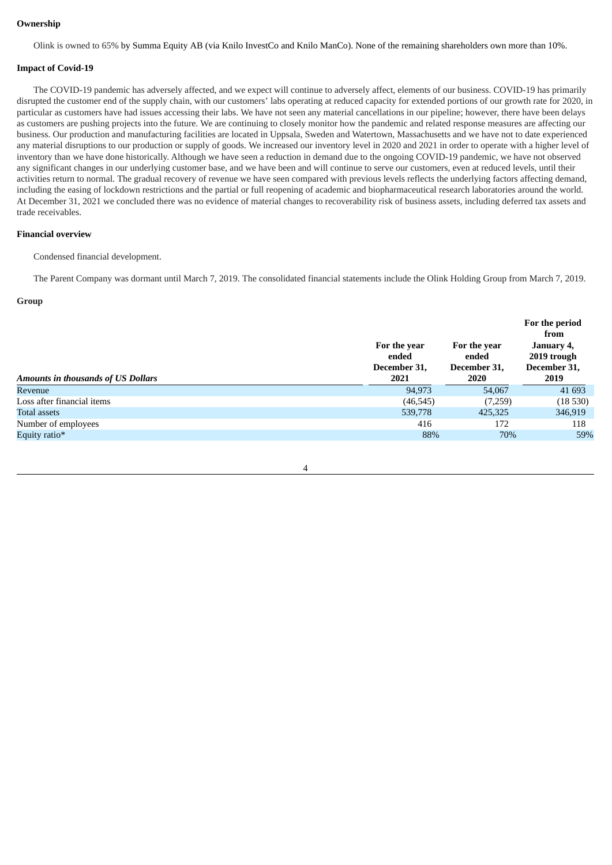### **Ownership**

Olink is owned to 65% by Summa Equity AB (via Knilo InvestCo and Knilo ManCo). None of the remaining shareholders own more than 10%.

### **Impact of Covid-19**

The COVID-19 pandemic has adversely affected, and we expect will continue to adversely affect, elements of our business. COVID-19 has primarily disrupted the customer end of the supply chain, with our customers' labs operating at reduced capacity for extended portions of our growth rate for 2020, in particular as customers have had issues accessing their labs. We have not seen any material cancellations in our pipeline; however, there have been delays as customers are pushing projects into the future. We are continuing to closely monitor how the pandemic and related response measures are affecting our business. Our production and manufacturing facilities are located in Uppsala, Sweden and Watertown, Massachusetts and we have not to date experienced any material disruptions to our production or supply of goods. We increased our inventory level in 2020 and 2021 in order to operate with a higher level of inventory than we have done historically. Although we have seen a reduction in demand due to the ongoing COVID-19 pandemic, we have not observed any significant changes in our underlying customer base, and we have been and will continue to serve our customers, even at reduced levels, until their activities return to normal. The gradual recovery of revenue we have seen compared with previous levels reflects the underlying factors affecting demand, including the easing of lockdown restrictions and the partial or full reopening of academic and biopharmaceutical research laboratories around the world. At December 31, 2021 we concluded there was no evidence of material changes to recoverability risk of business assets, including deferred tax assets and trade receivables.

### **Financial overview**

Condensed financial development.

The Parent Company was dormant until March 7, 2019. The consolidated financial statements include the Olink Holding Group from March 7, 2019.

### **Group**

|                                    |                                       |                                       | For the period<br>from                    |
|------------------------------------|---------------------------------------|---------------------------------------|-------------------------------------------|
|                                    | For the year<br>ended<br>December 31, | For the year<br>ended<br>December 31, | January 4,<br>2019 trough<br>December 31, |
| Amounts in thousands of US Dollars | 2021                                  | 2020                                  | 2019                                      |
| Revenue                            | 94.973                                | 54,067                                | 41 693                                    |
| Loss after financial items         | (46, 545)                             | (7,259)                               | (18530)                                   |
| Total assets                       | 539,778                               | 425,325                               | 346,919                                   |
| Number of employees                | 416                                   | 172                                   | 118                                       |
| Equity ratio*                      | 88%                                   | 70%                                   | 59%                                       |
|                                    |                                       |                                       |                                           |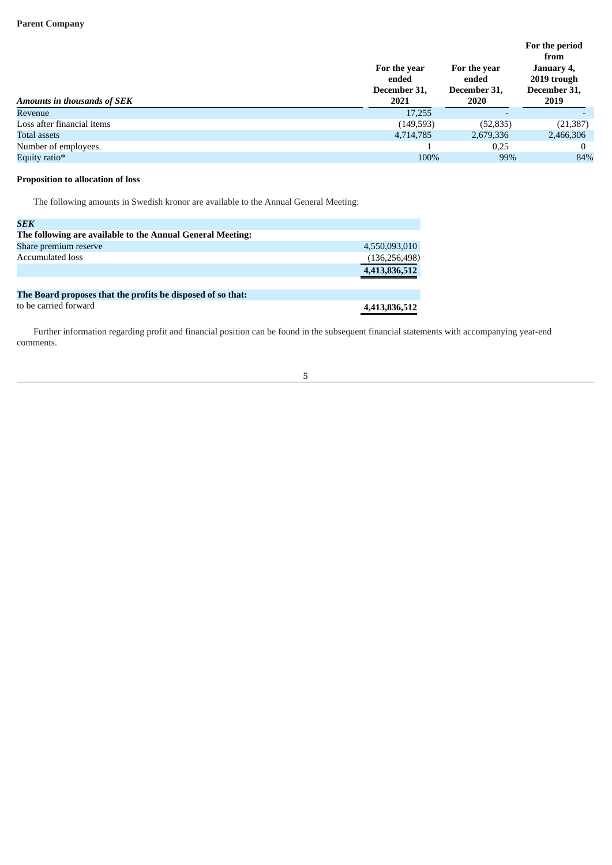|                                    | For the year<br>ended<br>December 31, | For the year<br>ended<br>December 31, | For the period<br>from<br>January 4,<br>2019 trough<br>December 31, |
|------------------------------------|---------------------------------------|---------------------------------------|---------------------------------------------------------------------|
| <b>Amounts in thousands of SEK</b> | 2021                                  | 2020                                  | 2019                                                                |
| Revenue                            | 17,255                                |                                       |                                                                     |
| Loss after financial items         | (149, 593)                            | (52, 835)                             | (21, 387)                                                           |
| <b>Total assets</b>                | 4,714,785                             | 2,679,336                             | 2,466,306                                                           |
| Number of employees                |                                       | 0,25                                  |                                                                     |
| Equity ratio*                      | 100%                                  | 99%                                   | 84%                                                                 |

# **Proposition to allocation of loss**

The following amounts in Swedish kronor are available to the Annual General Meeting:

| <b>SEK</b>                                                  |                 |
|-------------------------------------------------------------|-----------------|
| The following are available to the Annual General Meeting:  |                 |
| Share premium reserve                                       | 4,550,093,010   |
| <b>Accumulated loss</b>                                     | (136, 256, 498) |
|                                                             | 4,413,836,512   |
|                                                             |                 |
| The Board proposes that the profits be disposed of so that: |                 |
| to be carried forward                                       | 4,413,836,512   |

Further information regarding profit and financial position can be found in the subsequent financial statements with accompanying year-end comments.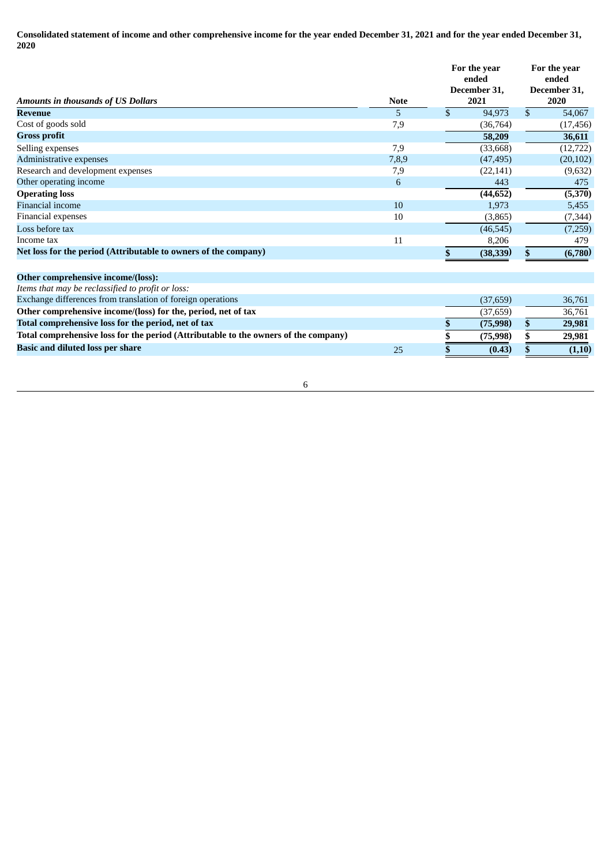Consolidated statement of income and other comprehensive income for the year ended December 31, 2021 and for the year ended December 31, **2020**

|                                                                 |             | For the year<br>ended<br>December 31,<br>2021 |           | For the year<br>ended<br>December 31,<br>2020 |           |
|-----------------------------------------------------------------|-------------|-----------------------------------------------|-----------|-----------------------------------------------|-----------|
| <b>Amounts in thousands of US Dollars</b>                       | <b>Note</b> |                                               |           |                                               |           |
| <b>Revenue</b>                                                  | 5           | \$                                            | 94,973    | $\mathfrak{S}$                                | 54,067    |
| Cost of goods sold                                              | 7,9         |                                               | (36, 764) |                                               | (17, 456) |
| <b>Gross profit</b>                                             |             |                                               | 58,209    |                                               | 36,611    |
| Selling expenses                                                | 7,9         |                                               | (33,668)  |                                               | (12, 722) |
| Administrative expenses                                         | 7,8,9       |                                               | (47, 495) |                                               | (20, 102) |
| Research and development expenses                               | 7,9         |                                               | (22, 141) |                                               | (9,632)   |
| Other operating income                                          | 6           |                                               | 443       |                                               | 475       |
| <b>Operating loss</b>                                           |             |                                               | (44, 652) |                                               | (5,370)   |
| <b>Financial income</b>                                         | 10          |                                               | 1,973     |                                               | 5,455     |
| Financial expenses                                              | 10          |                                               | (3,865)   |                                               | (7, 344)  |
| Loss before tax                                                 |             |                                               | (46, 545) |                                               | (7,259)   |
| Income tax                                                      | 11          |                                               | 8,206     |                                               | 479       |
| Net loss for the period (Attributable to owners of the company) |             | \$                                            | (38,339)  | \$                                            | (6,780)   |
| Other comprehensive income/(loss):                              |             |                                               |           |                                               |           |
| Items that may be reclassified to profit or loss:               |             |                                               |           |                                               |           |
| Exchange differences from translation of foreign operations     |             |                                               | (37, 659) |                                               | 36,761    |
| Other comprehensive income/(loss) for the, period, net of tax   |             |                                               | (37, 659) |                                               | 36,761    |
| Total comprehensive loss for the period, net of tax             |             | \$                                            | (75, 998) | \$                                            | 29,981    |

6

**Positive loss for the period (Attributable to the owners of the company**) **8 175,998**<br>**Basic and diluted loss per share for for expanse <b>for for for for for for for for for for Basic** and diluted loss per share  $\overline{S}$  **b**  $\overline{S}$  **c**  $(0.43)$  **i**  $\overline{S}$  **c**  $(1,10)$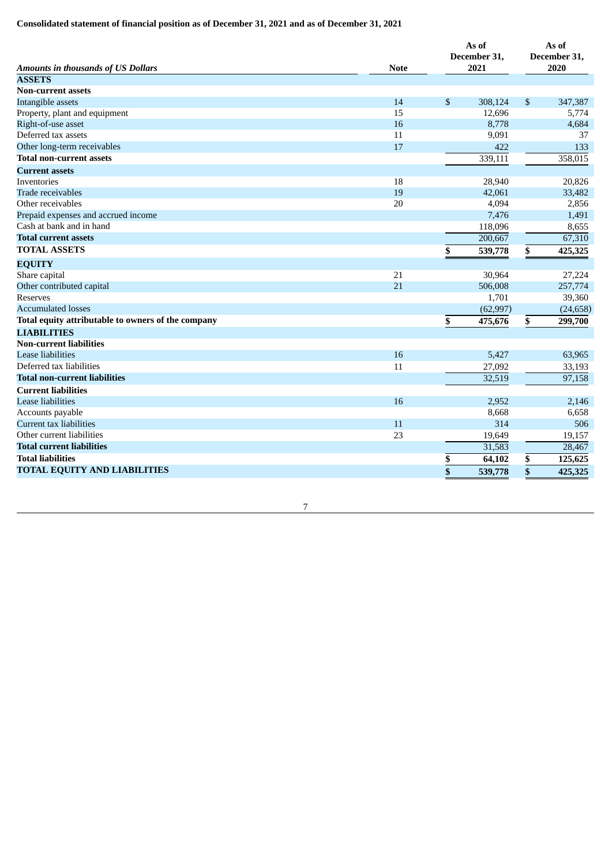# **Consolidated statement of financial position as of December 31, 2021 and as of December 31, 2021**

| <b>Amounts in thousands of US Dollars</b>          | <b>Note</b> | As of<br>December 31,<br>2021 | As of<br>December 31,<br>2020 |           |
|----------------------------------------------------|-------------|-------------------------------|-------------------------------|-----------|
| <b>ASSETS</b>                                      |             |                               |                               |           |
| <b>Non-current assets</b>                          |             |                               |                               |           |
| Intangible assets                                  | 14          | \$<br>308,124                 | $\boldsymbol{\mathsf{S}}$     | 347,387   |
| Property, plant and equipment                      | 15          | 12,696                        |                               | 5,774     |
| Right-of-use asset                                 | 16          | 8,778                         |                               | 4,684     |
| Deferred tax assets                                | 11          | 9,091                         |                               | 37        |
| Other long-term receivables                        | 17          | 422                           |                               | 133       |
| <b>Total non-current assets</b>                    |             | 339,111                       |                               | 358,015   |
| <b>Current assets</b>                              |             |                               |                               |           |
| Inventories                                        | 18          | 28,940                        |                               | 20,826    |
| Trade receivables                                  | 19          | 42,061                        |                               | 33,482    |
| Other receivables                                  | 20          | 4,094                         |                               | 2,856     |
| Prepaid expenses and accrued income                |             | 7,476                         |                               | 1,491     |
| Cash at bank and in hand                           |             | 118,096                       |                               | 8,655     |
| <b>Total current assets</b>                        |             | 200,667                       |                               | 67,310    |
| <b>TOTAL ASSETS</b>                                |             | \$<br>539,778                 | \$                            | 425,325   |
| <b>EQUITY</b>                                      |             |                               |                               |           |
| Share capital                                      | 21          | 30.964                        |                               | 27,224    |
| Other contributed capital                          | 21          | 506,008                       |                               | 257,774   |
| <b>Reserves</b>                                    |             | 1,701                         |                               | 39,360    |
| <b>Accumulated losses</b>                          |             | (62, 997)                     |                               | (24, 658) |
| Total equity attributable to owners of the company |             | \$<br>475,676                 | \$                            | 299,700   |
| <b>LIABILITIES</b>                                 |             |                               |                               |           |
| <b>Non-current liabilities</b>                     |             |                               |                               |           |
| <b>Lease liabilities</b>                           | 16          | 5,427                         |                               | 63,965    |
| Deferred tax liabilities                           | 11          | 27,092                        |                               | 33,193    |
| <b>Total non-current liabilities</b>               |             | 32,519                        |                               | 97,158    |
| <b>Current liabilities</b>                         |             |                               |                               |           |
| <b>Lease liabilities</b>                           | 16          | 2,952                         |                               | 2,146     |
| Accounts payable                                   |             | 8,668                         |                               | 6,658     |
| <b>Current tax liabilities</b>                     | 11          | 314                           |                               | 506       |
| Other current liabilities                          | 23          | 19,649                        |                               | 19,157    |
| <b>Total current liabilities</b>                   |             | 31,583                        |                               | 28,467    |
| <b>Total liabilities</b>                           |             | \$<br>64,102                  | \$                            | 125,625   |
| <b>TOTAL EQUITY AND LIABILITIES</b>                |             | \$<br>539,778                 | \$                            | 425,325   |
|                                                    |             |                               |                               |           |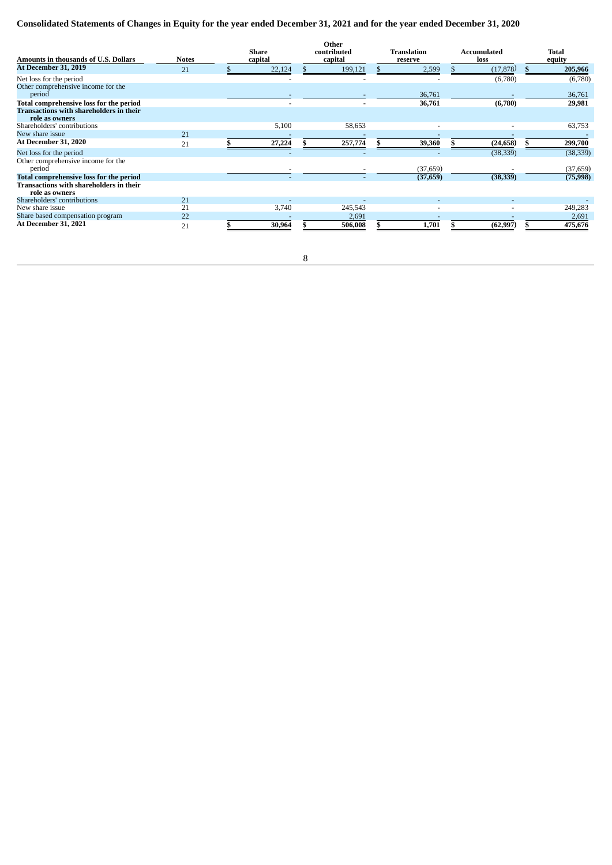# Consolidated Statements of Changes in Equity for the year ended December 31, 2021 and for the year ended December 31, 2020

| Amounts in thousands of U.S. Dollars                             | <b>Notes</b> | <b>Share</b><br>capital | Other<br>contributed<br>capital | Translation<br>reserve | Accumulated<br>loss | <b>Total</b><br>equity |
|------------------------------------------------------------------|--------------|-------------------------|---------------------------------|------------------------|---------------------|------------------------|
| <b>At December 31, 2019</b>                                      | 21           | 22,124                  | 199,121                         | 2,599                  | (17, 878)           | 205,966                |
| Net loss for the period                                          |              |                         |                                 |                        | (6,780)             | (6,780)                |
| Other comprehensive income for the<br>period                     |              |                         |                                 | 36,761                 |                     | 36,761                 |
| Total comprehensive loss for the period                          |              |                         |                                 | 36,761                 | (6,780)             | 29,981                 |
| <b>Transactions with shareholders in their</b><br>role as owners |              |                         |                                 |                        |                     |                        |
| Shareholders' contributions                                      |              | 5,100                   | 58,653                          |                        |                     | 63,753                 |
| New share issue                                                  | 21           |                         |                                 |                        |                     |                        |
| At December 31. 2020                                             | 21           | 27,224                  | 257,774                         | 39,360                 | (24, 658)           | 299,700                |
| Net loss for the period                                          |              |                         |                                 |                        | (38, 339)           | (38, 339)              |
| Other comprehensive income for the<br>period                     |              |                         |                                 | (37, 659)              |                     | (37, 659)              |
| Total comprehensive loss for the period                          |              |                         |                                 | (37,659)               | (38, 339)           | (75,998)               |
| Transactions with shareholders in their<br>role as owners        |              |                         |                                 |                        |                     |                        |
| Shareholders' contributions                                      | 21           |                         |                                 |                        |                     |                        |
| New share issue                                                  | 21           | 3,740                   | 245,543                         |                        |                     | 249,283                |
| Share based compensation program                                 | 22           |                         | 2,691                           |                        |                     | 2,691                  |
| <b>At December 31, 2021</b>                                      | 21           | 30,964                  | 506,008                         | 1,701                  | (62, 997)           | 475,676                |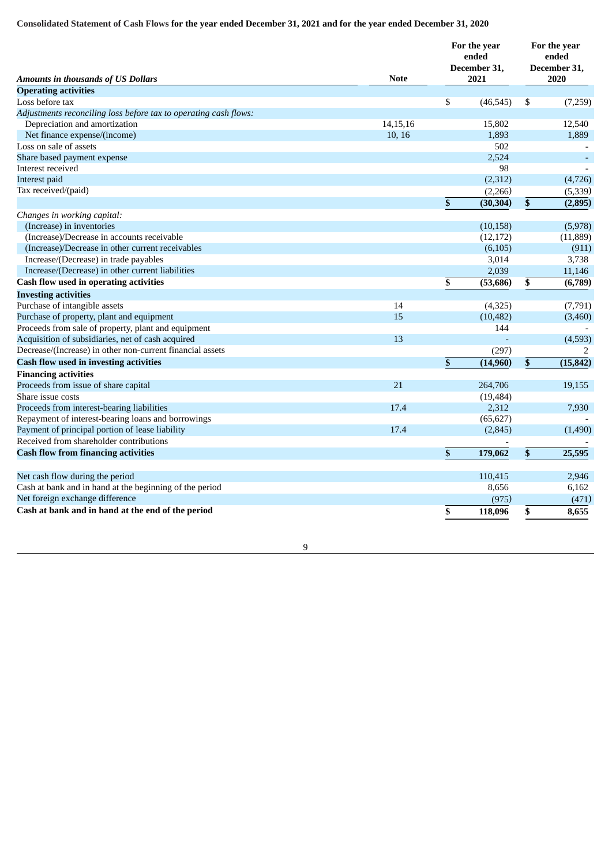# Consolidated Statement of Cash Flows for the year ended December 31, 2021 and for the year ended December 31, 2020

| <b>Amounts in thousands of US Dollars</b>                        | <b>Note</b> | For the year<br>ended<br>December 31,<br>2021 | For the year<br>ended<br>December 31,<br>2020 |           |
|------------------------------------------------------------------|-------------|-----------------------------------------------|-----------------------------------------------|-----------|
| <b>Operating activities</b>                                      |             |                                               |                                               |           |
| Loss before tax                                                  |             | \$<br>(46, 545)                               | \$                                            | (7,259)   |
| Adjustments reconciling loss before tax to operating cash flows: |             |                                               |                                               |           |
| Depreciation and amortization                                    | 14, 15, 16  | 15,802                                        |                                               | 12,540    |
| Net finance expense/(income)                                     | 10, 16      | 1,893                                         |                                               | 1,889     |
| Loss on sale of assets                                           |             | 502                                           |                                               |           |
| Share based payment expense                                      |             | 2,524                                         |                                               |           |
| Interest received                                                |             | 98                                            |                                               |           |
| Interest paid                                                    |             | (2,312)                                       |                                               | (4,726)   |
| Tax received/(paid)                                              |             | (2,266)                                       |                                               | (5, 339)  |
|                                                                  |             | \$<br>(30, 304)                               | \$                                            | (2,895)   |
| Changes in working capital:                                      |             |                                               |                                               |           |
| (Increase) in inventories                                        |             | (10, 158)                                     |                                               | (5,978)   |
| (Increase)/Decrease in accounts receivable                       |             | (12, 172)                                     |                                               | (11, 889) |
| (Increase)/Decrease in other current receivables                 |             | (6, 105)                                      |                                               | (911)     |
| Increase/(Decrease) in trade payables                            |             | 3,014                                         |                                               | 3,738     |
| Increase/(Decrease) in other current liabilities                 |             | 2,039                                         |                                               | 11,146    |
| Cash flow used in operating activities                           |             | \$<br>(53, 686)                               | \$                                            | (6,789)   |
| <b>Investing activities</b>                                      |             |                                               |                                               |           |
| Purchase of intangible assets                                    | 14          | (4,325)                                       |                                               | (7,791)   |
| Purchase of property, plant and equipment                        | 15          | (10, 482)                                     |                                               | (3,460)   |
| Proceeds from sale of property, plant and equipment              |             | 144                                           |                                               |           |
| Acquisition of subsidiaries, net of cash acquired                | 13          |                                               |                                               | (4,593)   |
| Decrease/(Increase) in other non-current financial assets        |             | (297)                                         |                                               | 2         |
| <b>Cash flow used in investing activities</b>                    |             | \$<br>(14,960)                                | \$                                            | (15, 842) |
| <b>Financing activities</b>                                      |             |                                               |                                               |           |
| Proceeds from issue of share capital                             | 21          | 264,706                                       |                                               | 19,155    |
| Share issue costs                                                |             | (19, 484)                                     |                                               |           |
| Proceeds from interest-bearing liabilities                       | 17.4        | 2,312                                         |                                               | 7,930     |
| Repayment of interest-bearing loans and borrowings               |             | (65, 627)                                     |                                               |           |
| Payment of principal portion of lease liability                  | 17.4        | (2, 845)                                      |                                               | (1,490)   |
| Received from shareholder contributions                          |             |                                               |                                               |           |
| <b>Cash flow from financing activities</b>                       |             | \$<br>179,062                                 | \$                                            | 25,595    |
|                                                                  |             |                                               |                                               |           |
| Net cash flow during the period                                  |             | 110,415                                       |                                               | 2,946     |
| Cash at bank and in hand at the beginning of the period          |             | 8,656                                         |                                               | 6,162     |
| Net foreign exchange difference                                  |             | (975)                                         |                                               | (471)     |
| Cash at bank and in hand at the end of the period                |             | \$<br>118,096                                 | \$                                            | 8,655     |
|                                                                  |             |                                               |                                               |           |

9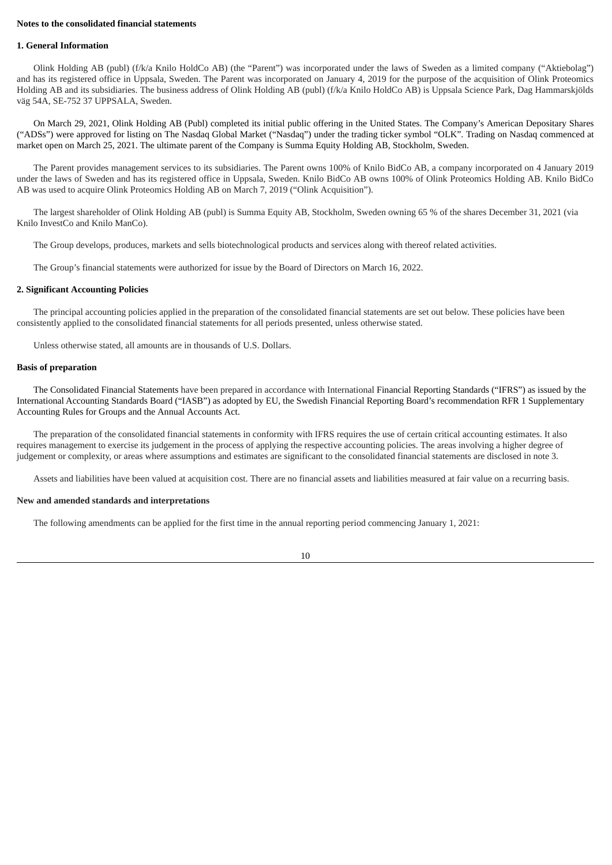### **Notes to the consolidated financial statements**

#### **1. General Information**

Olink Holding AB (publ) (f/k/a Knilo HoldCo AB) (the "Parent") was incorporated under the laws of Sweden as a limited company ("Aktiebolag") and has its registered office in Uppsala, Sweden. The Parent was incorporated on January 4, 2019 for the purpose of the acquisition of Olink Proteomics Holding AB and its subsidiaries. The business address of Olink Holding AB (publ) (f/k/a Knilo HoldCo AB) is Uppsala Science Park, Dag Hammarskjölds väg 54A, SE-752 37 UPPSALA, Sweden.

On March 29, 2021, Olink Holding AB (Publ) completed its initial public offering in the United States. The Company's American Depositary Shares ("ADSs") were approved for listing on The Nasdaq Global Market ("Nasdaq") under the trading ticker symbol "OLK". Trading on Nasdaq commenced at market open on March 25, 2021. The ultimate parent of the Company is Summa Equity Holding AB, Stockholm, Sweden.

The Parent provides management services to its subsidiaries. The Parent owns 100% of Knilo BidCo AB, a company incorporated on 4 January 2019 under the laws of Sweden and has its registered office in Uppsala, Sweden. Knilo BidCo AB owns 100% of Olink Proteomics Holding AB. Knilo BidCo AB was used to acquire Olink Proteomics Holding AB on March 7, 2019 ("Olink Acquisition").

The largest shareholder of Olink Holding AB (publ) is Summa Equity AB, Stockholm, Sweden owning 65 % of the shares December 31, 2021 (via Knilo InvestCo and Knilo ManCo).

The Group develops, produces, markets and sells biotechnological products and services along with thereof related activities.

The Group's financial statements were authorized for issue by the Board of Directors on March 16, 2022.

#### **2. Significant Accounting Policies**

The principal accounting policies applied in the preparation of the consolidated financial statements are set out below. These policies have been consistently applied to the consolidated financial statements for all periods presented, unless otherwise stated.

Unless otherwise stated, all amounts are in thousands of U.S. Dollars.

#### **Basis of preparation**

The Consolidated Financial Statements have been prepared in accordance with International Financial Reporting Standards ("IFRS") as issued by the International Accounting Standards Board ("IASB") as adopted by EU, the Swedish Financial Reporting Board's recommendation RFR 1 Supplementary Accounting Rules for Groups and the Annual Accounts Act.

The preparation of the consolidated financial statements in conformity with IFRS requires the use of certain critical accounting estimates. It also requires management to exercise its judgement in the process of applying the respective accounting policies. The areas involving a higher degree of judgement or complexity, or areas where assumptions and estimates are significant to the consolidated financial statements are disclosed in note 3.

Assets and liabilities have been valued at acquisition cost. There are no financial assets and liabilities measured at fair value on a recurring basis.

#### **New and amended standards and interpretations**

The following amendments can be applied for the first time in the annual reporting period commencing January 1, 2021: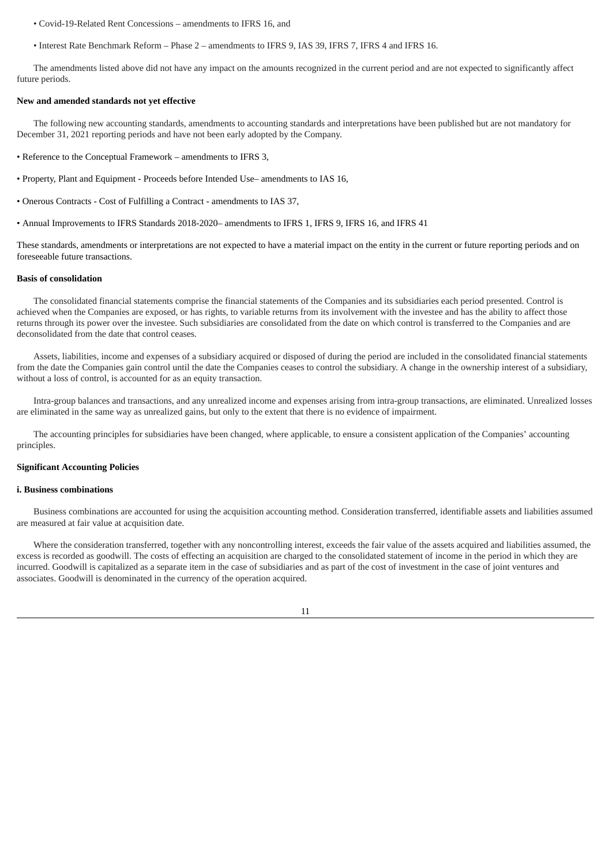- Covid-19-Related Rent Concessions amendments to IFRS 16, and
- Interest Rate Benchmark Reform Phase 2 amendments to IFRS 9, IAS 39, IFRS 7, IFRS 4 and IFRS 16.

The amendments listed above did not have any impact on the amounts recognized in the current period and are not expected to significantly affect future periods.

### **New and amended standards not yet effective**

The following new accounting standards, amendments to accounting standards and interpretations have been published but are not mandatory for December 31, 2021 reporting periods and have not been early adopted by the Company.

- Reference to the Conceptual Framework amendments to IFRS 3,
- Property, Plant and Equipment Proceeds before Intended Use– amendments to IAS 16,
- Onerous Contracts Cost of Fulfilling a Contract amendments to IAS 37,
- Annual Improvements to IFRS Standards 2018-2020– amendments to IFRS 1, IFRS 9, IFRS 16, and IFRS 41

These standards, amendments or interpretations are not expected to have a material impact on the entity in the current or future reporting periods and on foreseeable future transactions.

#### **Basis of consolidation**

The consolidated financial statements comprise the financial statements of the Companies and its subsidiaries each period presented. Control is achieved when the Companies are exposed, or has rights, to variable returns from its involvement with the investee and has the ability to affect those returns through its power over the investee. Such subsidiaries are consolidated from the date on which control is transferred to the Companies and are deconsolidated from the date that control ceases.

Assets, liabilities, income and expenses of a subsidiary acquired or disposed of during the period are included in the consolidated financial statements from the date the Companies gain control until the date the Companies ceases to control the subsidiary. A change in the ownership interest of a subsidiary, without a loss of control, is accounted for as an equity transaction.

Intra-group balances and transactions, and any unrealized income and expenses arising from intra-group transactions, are eliminated. Unrealized losses are eliminated in the same way as unrealized gains, but only to the extent that there is no evidence of impairment.

The accounting principles for subsidiaries have been changed, where applicable, to ensure a consistent application of the Companies' accounting principles.

### **Significant Accounting Policies**

### **i. Business combinations**

Business combinations are accounted for using the acquisition accounting method. Consideration transferred, identifiable assets and liabilities assumed are measured at fair value at acquisition date.

Where the consideration transferred, together with any noncontrolling interest, exceeds the fair value of the assets acquired and liabilities assumed, the excess is recorded as goodwill. The costs of effecting an acquisition are charged to the consolidated statement of income in the period in which they are incurred. Goodwill is capitalized as a separate item in the case of subsidiaries and as part of the cost of investment in the case of joint ventures and associates. Goodwill is denominated in the currency of the operation acquired.

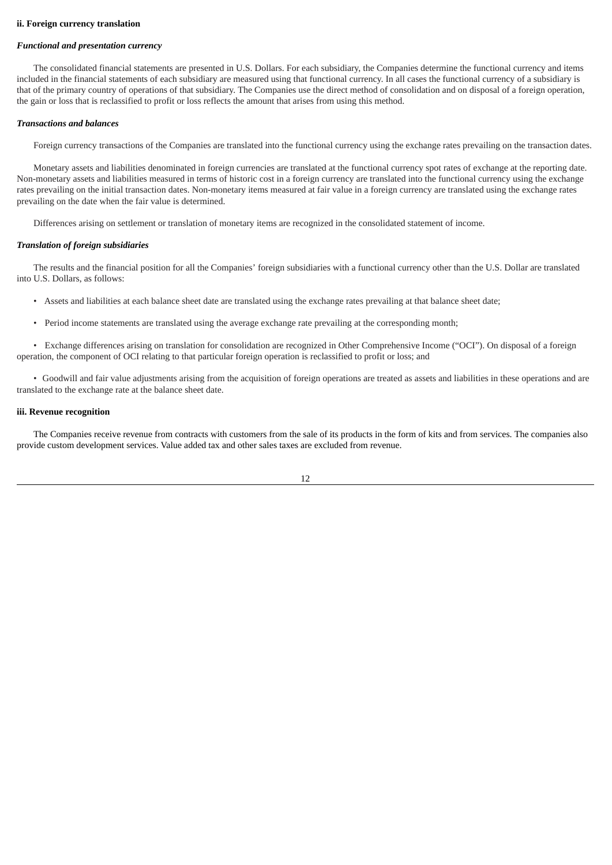#### **ii. Foreign currency translation**

#### *Functional and presentation currency*

The consolidated financial statements are presented in U.S. Dollars. For each subsidiary, the Companies determine the functional currency and items included in the financial statements of each subsidiary are measured using that functional currency. In all cases the functional currency of a subsidiary is that of the primary country of operations of that subsidiary. The Companies use the direct method of consolidation and on disposal of a foreign operation, the gain or loss that is reclassified to profit or loss reflects the amount that arises from using this method.

#### *Transactions and balances*

Foreign currency transactions of the Companies are translated into the functional currency using the exchange rates prevailing on the transaction dates.

Monetary assets and liabilities denominated in foreign currencies are translated at the functional currency spot rates of exchange at the reporting date. Non-monetary assets and liabilities measured in terms of historic cost in a foreign currency are translated into the functional currency using the exchange rates prevailing on the initial transaction dates. Non-monetary items measured at fair value in a foreign currency are translated using the exchange rates prevailing on the date when the fair value is determined.

Differences arising on settlement or translation of monetary items are recognized in the consolidated statement of income.

#### *Translation of foreign subsidiaries*

The results and the financial position for all the Companies' foreign subsidiaries with a functional currency other than the U.S. Dollar are translated into U.S. Dollars, as follows:

- Assets and liabilities at each balance sheet date are translated using the exchange rates prevailing at that balance sheet date;
- Period income statements are translated using the average exchange rate prevailing at the corresponding month;

• Exchange differences arising on translation for consolidation are recognized in Other Comprehensive Income ("OCI"). On disposal of a foreign operation, the component of OCI relating to that particular foreign operation is reclassified to profit or loss; and

• Goodwill and fair value adjustments arising from the acquisition of foreign operations are treated as assets and liabilities in these operations and are translated to the exchange rate at the balance sheet date.

### **iii. Revenue recognition**

The Companies receive revenue from contracts with customers from the sale of its products in the form of kits and from services. The companies also provide custom development services. Value added tax and other sales taxes are excluded from revenue.

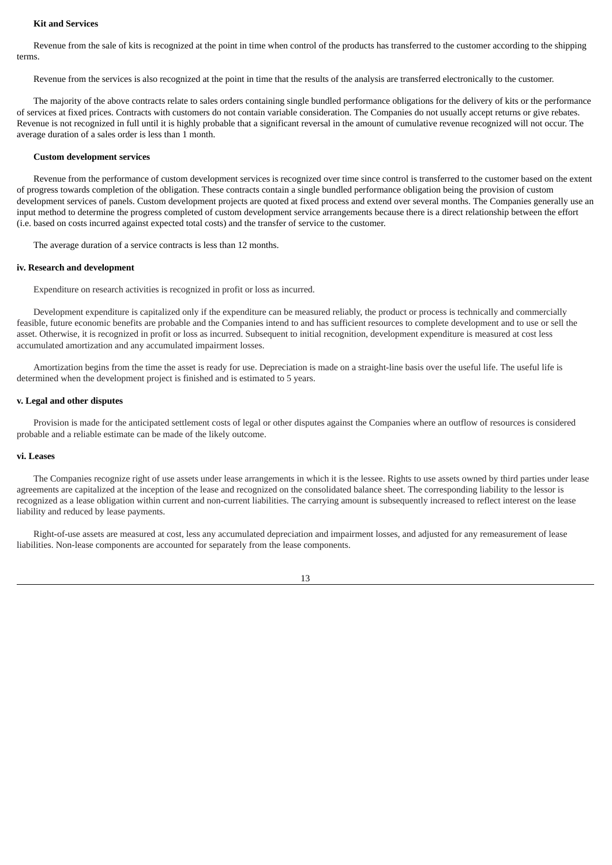#### **Kit and Services**

Revenue from the sale of kits is recognized at the point in time when control of the products has transferred to the customer according to the shipping terms.

Revenue from the services is also recognized at the point in time that the results of the analysis are transferred electronically to the customer.

The majority of the above contracts relate to sales orders containing single bundled performance obligations for the delivery of kits or the performance of services at fixed prices. Contracts with customers do not contain variable consideration. The Companies do not usually accept returns or give rebates. Revenue is not recognized in full until it is highly probable that a significant reversal in the amount of cumulative revenue recognized will not occur. The average duration of a sales order is less than 1 month.

### **Custom development services**

Revenue from the performance of custom development services is recognized over time since control is transferred to the customer based on the extent of progress towards completion of the obligation. These contracts contain a single bundled performance obligation being the provision of custom development services of panels. Custom development projects are quoted at fixed process and extend over several months. The Companies generally use an input method to determine the progress completed of custom development service arrangements because there is a direct relationship between the effort (i.e. based on costs incurred against expected total costs) and the transfer of service to the customer.

The average duration of a service contracts is less than 12 months.

#### **iv. Research and development**

Expenditure on research activities is recognized in profit or loss as incurred.

Development expenditure is capitalized only if the expenditure can be measured reliably, the product or process is technically and commercially feasible, future economic benefits are probable and the Companies intend to and has sufficient resources to complete development and to use or sell the asset. Otherwise, it is recognized in profit or loss as incurred. Subsequent to initial recognition, development expenditure is measured at cost less accumulated amortization and any accumulated impairment losses.

Amortization begins from the time the asset is ready for use. Depreciation is made on a straight-line basis over the useful life. The useful life is determined when the development project is finished and is estimated to 5 years.

### **v. Legal and other disputes**

Provision is made for the anticipated settlement costs of legal or other disputes against the Companies where an outflow of resources is considered probable and a reliable estimate can be made of the likely outcome.

#### **vi. Leases**

The Companies recognize right of use assets under lease arrangements in which it is the lessee. Rights to use assets owned by third parties under lease agreements are capitalized at the inception of the lease and recognized on the consolidated balance sheet. The corresponding liability to the lessor is recognized as a lease obligation within current and non-current liabilities. The carrying amount is subsequently increased to reflect interest on the lease liability and reduced by lease payments.

Right-of-use assets are measured at cost, less any accumulated depreciation and impairment losses, and adjusted for any remeasurement of lease liabilities. Non-lease components are accounted for separately from the lease components.

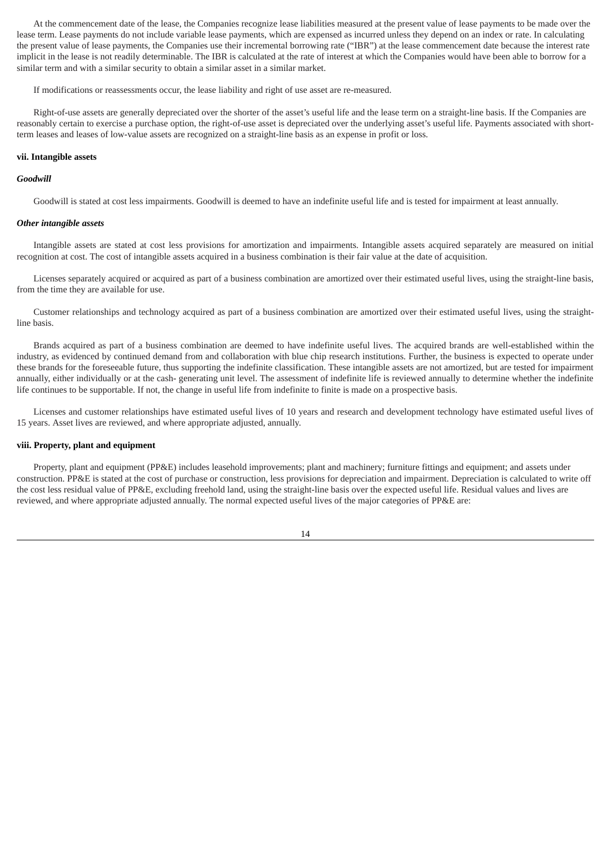At the commencement date of the lease, the Companies recognize lease liabilities measured at the present value of lease payments to be made over the lease term. Lease payments do not include variable lease payments, which are expensed as incurred unless they depend on an index or rate. In calculating the present value of lease payments, the Companies use their incremental borrowing rate ("IBR") at the lease commencement date because the interest rate implicit in the lease is not readily determinable. The IBR is calculated at the rate of interest at which the Companies would have been able to borrow for a similar term and with a similar security to obtain a similar asset in a similar market.

If modifications or reassessments occur, the lease liability and right of use asset are re-measured.

Right-of-use assets are generally depreciated over the shorter of the asset's useful life and the lease term on a straight-line basis. If the Companies are reasonably certain to exercise a purchase option, the right-of-use asset is depreciated over the underlying asset's useful life. Payments associated with shortterm leases and leases of low-value assets are recognized on a straight-line basis as an expense in profit or loss.

#### **vii. Intangible assets**

### *Goodwill*

Goodwill is stated at cost less impairments. Goodwill is deemed to have an indefinite useful life and is tested for impairment at least annually.

#### *Other intangible assets*

Intangible assets are stated at cost less provisions for amortization and impairments. Intangible assets acquired separately are measured on initial recognition at cost. The cost of intangible assets acquired in a business combination is their fair value at the date of acquisition.

Licenses separately acquired or acquired as part of a business combination are amortized over their estimated useful lives, using the straight-line basis, from the time they are available for use.

Customer relationships and technology acquired as part of a business combination are amortized over their estimated useful lives, using the straightline basis.

Brands acquired as part of a business combination are deemed to have indefinite useful lives. The acquired brands are well-established within the industry, as evidenced by continued demand from and collaboration with blue chip research institutions. Further, the business is expected to operate under these brands for the foreseeable future, thus supporting the indefinite classification. These intangible assets are not amortized, but are tested for impairment annually, either individually or at the cash- generating unit level. The assessment of indefinite life is reviewed annually to determine whether the indefinite life continues to be supportable. If not, the change in useful life from indefinite to finite is made on a prospective basis.

Licenses and customer relationships have estimated useful lives of 10 years and research and development technology have estimated useful lives of 15 years. Asset lives are reviewed, and where appropriate adjusted, annually.

#### **viii. Property, plant and equipment**

Property, plant and equipment (PP&E) includes leasehold improvements; plant and machinery; furniture fittings and equipment; and assets under construction. PP&E is stated at the cost of purchase or construction, less provisions for depreciation and impairment. Depreciation is calculated to write off the cost less residual value of PP&E, excluding freehold land, using the straight-line basis over the expected useful life. Residual values and lives are reviewed, and where appropriate adjusted annually. The normal expected useful lives of the major categories of PP&E are: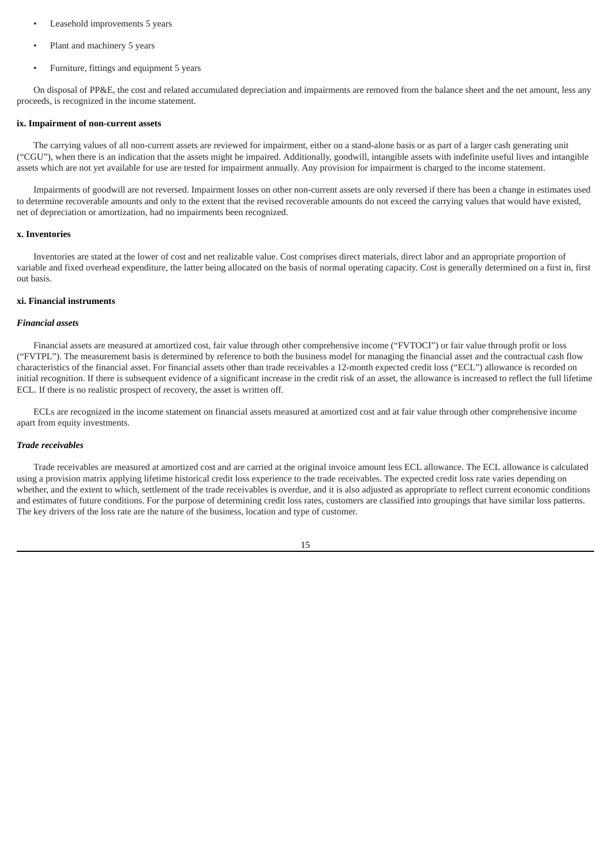- Leasehold improvements 5 years
- Plant and machinery 5 years
- Furniture, fittings and equipment 5 years

On disposal of PP&E, the cost and related accumulated depreciation and impairments are removed from the balance sheet and the net amount, less any proceeds, is recognized in the income statement.

#### **ix. Impairment of non-current assets**

The carrying values of all non-current assets are reviewed for impairment, either on a stand-alone basis or as part of a larger cash generating unit ("CGU"), when there is an indication that the assets might be impaired. Additionally, goodwill, intangible assets with indefinite useful lives and intangible assets which are not yet available for use are tested for impairment annually. Any provision for impairment is charged to the income statement.

Impairments of goodwill are not reversed. Impairment losses on other non-current assets are only reversed if there has been a change in estimates used to determine recoverable amounts and only to the extent that the revised recoverable amounts do not exceed the carrying values that would have existed, net of depreciation or amortization, had no impairments been recognized.

### **x. Inventories**

Inventories are stated at the lower of cost and net realizable value. Cost comprises direct materials, direct labor and an appropriate proportion of variable and fixed overhead expenditure, the latter being allocated on the basis of normal operating capacity. Cost is generally determined on a first in, first out basis.

#### **xi. Financial instruments**

### *Financial assets*

Financial assets are measured at amortized cost, fair value through other comprehensive income ("FVTOCI") or fair value through profit or loss ("FVTPL"). The measurement basis is determined by reference to both the business model for managing the financial asset and the contractual cash flow characteristics of the financial asset. For financial assets other than trade receivables a 12-month expected credit loss ("ECL") allowance is recorded on initial recognition. If there is subsequent evidence of a significant increase in the credit risk of an asset, the allowance is increased to reflect the full lifetime ECL. If there is no realistic prospect of recovery, the asset is written off.

ECLs are recognized in the income statement on financial assets measured at amortized cost and at fair value through other comprehensive income apart from equity investments.

### *Trade receivables*

Trade receivables are measured at amortized cost and are carried at the original invoice amount less ECL allowance. The ECL allowance is calculated using a provision matrix applying lifetime historical credit loss experience to the trade receivables. The expected credit loss rate varies depending on whether, and the extent to which, settlement of the trade receivables is overdue, and it is also adjusted as appropriate to reflect current economic conditions and estimates of future conditions. For the purpose of determining credit loss rates, customers are classified into groupings that have similar loss patterns. The key drivers of the loss rate are the nature of the business, location and type of customer.

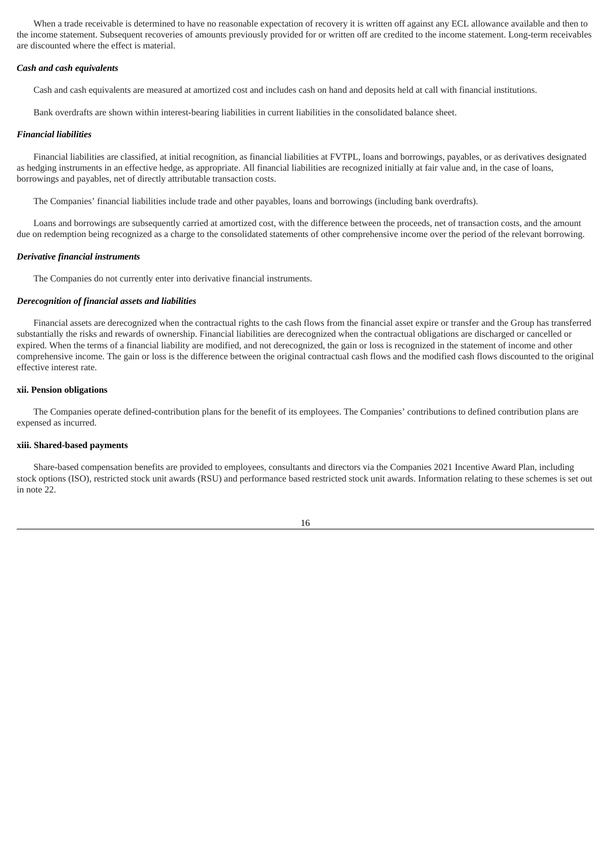When a trade receivable is determined to have no reasonable expectation of recovery it is written off against any ECL allowance available and then to the income statement. Subsequent recoveries of amounts previously provided for or written off are credited to the income statement. Long-term receivables are discounted where the effect is material.

#### *Cash and cash equivalents*

Cash and cash equivalents are measured at amortized cost and includes cash on hand and deposits held at call with financial institutions.

Bank overdrafts are shown within interest-bearing liabilities in current liabilities in the consolidated balance sheet.

### *Financial liabilities*

Financial liabilities are classified, at initial recognition, as financial liabilities at FVTPL, loans and borrowings, payables, or as derivatives designated as hedging instruments in an effective hedge, as appropriate. All financial liabilities are recognized initially at fair value and, in the case of loans, borrowings and payables, net of directly attributable transaction costs.

The Companies' financial liabilities include trade and other payables, loans and borrowings (including bank overdrafts).

Loans and borrowings are subsequently carried at amortized cost, with the difference between the proceeds, net of transaction costs, and the amount due on redemption being recognized as a charge to the consolidated statements of other comprehensive income over the period of the relevant borrowing.

#### *Derivative financial instruments*

The Companies do not currently enter into derivative financial instruments.

### *Derecognition of financial assets and liabilities*

Financial assets are derecognized when the contractual rights to the cash flows from the financial asset expire or transfer and the Group has transferred substantially the risks and rewards of ownership. Financial liabilities are derecognized when the contractual obligations are discharged or cancelled or expired. When the terms of a financial liability are modified, and not derecognized, the gain or loss is recognized in the statement of income and other comprehensive income. The gain or loss is the difference between the original contractual cash flows and the modified cash flows discounted to the original effective interest rate.

### **xii. Pension obligations**

The Companies operate defined-contribution plans for the benefit of its employees. The Companies' contributions to defined contribution plans are expensed as incurred.

#### **xiii. Shared-based payments**

Share-based compensation benefits are provided to employees, consultants and directors via the Companies 2021 Incentive Award Plan, including stock options (ISO), restricted stock unit awards (RSU) and performance based restricted stock unit awards. Information relating to these schemes is set out in note 22.

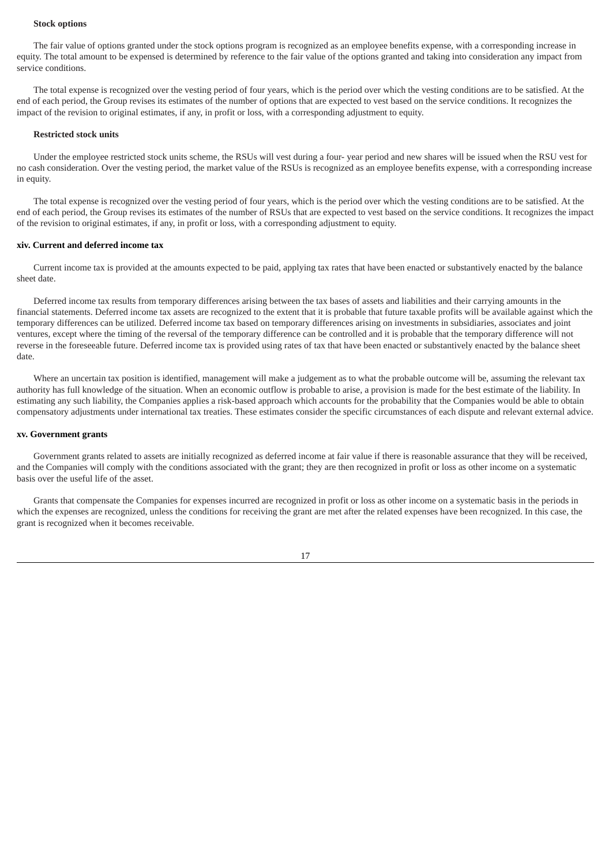#### **Stock options**

The fair value of options granted under the stock options program is recognized as an employee benefits expense, with a corresponding increase in equity. The total amount to be expensed is determined by reference to the fair value of the options granted and taking into consideration any impact from service conditions.

The total expense is recognized over the vesting period of four years, which is the period over which the vesting conditions are to be satisfied. At the end of each period, the Group revises its estimates of the number of options that are expected to vest based on the service conditions. It recognizes the impact of the revision to original estimates, if any, in profit or loss, with a corresponding adjustment to equity.

#### **Restricted stock units**

Under the employee restricted stock units scheme, the RSUs will vest during a four- year period and new shares will be issued when the RSU vest for no cash consideration. Over the vesting period, the market value of the RSUs is recognized as an employee benefits expense, with a corresponding increase in equity.

The total expense is recognized over the vesting period of four years, which is the period over which the vesting conditions are to be satisfied. At the end of each period, the Group revises its estimates of the number of RSUs that are expected to vest based on the service conditions. It recognizes the impact of the revision to original estimates, if any, in profit or loss, with a corresponding adjustment to equity.

### **xiv. Current and deferred income tax**

Current income tax is provided at the amounts expected to be paid, applying tax rates that have been enacted or substantively enacted by the balance sheet date.

Deferred income tax results from temporary differences arising between the tax bases of assets and liabilities and their carrying amounts in the financial statements. Deferred income tax assets are recognized to the extent that it is probable that future taxable profits will be available against which the temporary differences can be utilized. Deferred income tax based on temporary differences arising on investments in subsidiaries, associates and joint ventures, except where the timing of the reversal of the temporary difference can be controlled and it is probable that the temporary difference will not reverse in the foreseeable future. Deferred income tax is provided using rates of tax that have been enacted or substantively enacted by the balance sheet date.

Where an uncertain tax position is identified, management will make a judgement as to what the probable outcome will be, assuming the relevant tax authority has full knowledge of the situation. When an economic outflow is probable to arise, a provision is made for the best estimate of the liability. In estimating any such liability, the Companies applies a risk-based approach which accounts for the probability that the Companies would be able to obtain compensatory adjustments under international tax treaties. These estimates consider the specific circumstances of each dispute and relevant external advice.

#### **xv. Government grants**

Government grants related to assets are initially recognized as deferred income at fair value if there is reasonable assurance that they will be received, and the Companies will comply with the conditions associated with the grant; they are then recognized in profit or loss as other income on a systematic basis over the useful life of the asset.

Grants that compensate the Companies for expenses incurred are recognized in profit or loss as other income on a systematic basis in the periods in which the expenses are recognized, unless the conditions for receiving the grant are met after the related expenses have been recognized. In this case, the grant is recognized when it becomes receivable.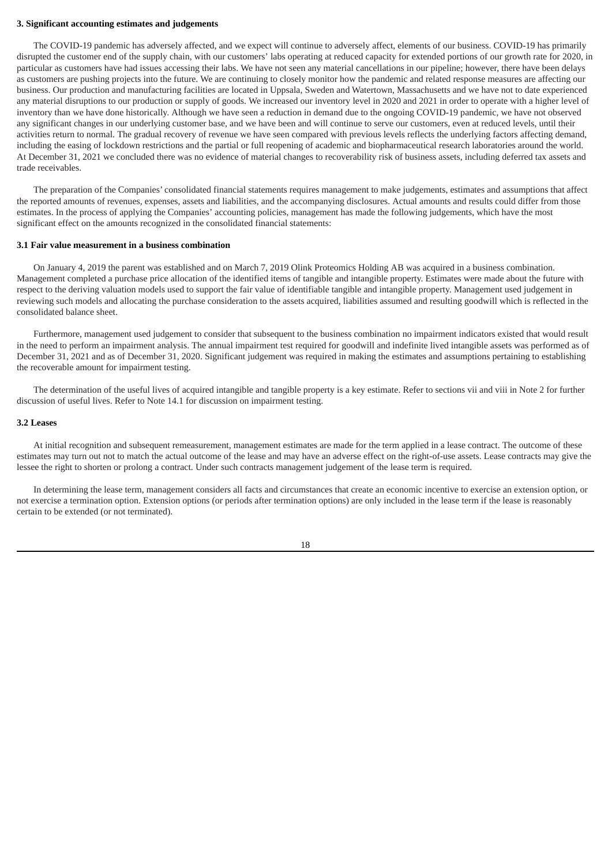#### **3. Significant accounting estimates and judgements**

The COVID-19 pandemic has adversely affected, and we expect will continue to adversely affect, elements of our business. COVID-19 has primarily disrupted the customer end of the supply chain, with our customers' labs operating at reduced capacity for extended portions of our growth rate for 2020, in particular as customers have had issues accessing their labs. We have not seen any material cancellations in our pipeline; however, there have been delays as customers are pushing projects into the future. We are continuing to closely monitor how the pandemic and related response measures are affecting our business. Our production and manufacturing facilities are located in Uppsala, Sweden and Watertown, Massachusetts and we have not to date experienced any material disruptions to our production or supply of goods. We increased our inventory level in 2020 and 2021 in order to operate with a higher level of inventory than we have done historically. Although we have seen a reduction in demand due to the ongoing COVID-19 pandemic, we have not observed any significant changes in our underlying customer base, and we have been and will continue to serve our customers, even at reduced levels, until their activities return to normal. The gradual recovery of revenue we have seen compared with previous levels reflects the underlying factors affecting demand, including the easing of lockdown restrictions and the partial or full reopening of academic and biopharmaceutical research laboratories around the world. At December 31, 2021 we concluded there was no evidence of material changes to recoverability risk of business assets, including deferred tax assets and trade receivables.

The preparation of the Companies' consolidated financial statements requires management to make judgements, estimates and assumptions that affect the reported amounts of revenues, expenses, assets and liabilities, and the accompanying disclosures. Actual amounts and results could differ from those estimates. In the process of applying the Companies' accounting policies, management has made the following judgements, which have the most significant effect on the amounts recognized in the consolidated financial statements:

#### **3.1 Fair value measurement in a business combination**

On January 4, 2019 the parent was established and on March 7, 2019 Olink Proteomics Holding AB was acquired in a business combination. Management completed a purchase price allocation of the identified items of tangible and intangible property. Estimates were made about the future with respect to the deriving valuation models used to support the fair value of identifiable tangible and intangible property. Management used judgement in reviewing such models and allocating the purchase consideration to the assets acquired, liabilities assumed and resulting goodwill which is reflected in the consolidated balance sheet.

Furthermore, management used judgement to consider that subsequent to the business combination no impairment indicators existed that would result in the need to perform an impairment analysis. The annual impairment test required for goodwill and indefinite lived intangible assets was performed as of December 31, 2021 and as of December 31, 2020. Significant judgement was required in making the estimates and assumptions pertaining to establishing the recoverable amount for impairment testing.

The determination of the useful lives of acquired intangible and tangible property is a key estimate. Refer to sections vii and viii in Note 2 for further discussion of useful lives. Refer to Note 14.1 for discussion on impairment testing.

#### **3.2 Leases**

At initial recognition and subsequent remeasurement, management estimates are made for the term applied in a lease contract. The outcome of these estimates may turn out not to match the actual outcome of the lease and may have an adverse effect on the right-of-use assets. Lease contracts may give the lessee the right to shorten or prolong a contract. Under such contracts management judgement of the lease term is required.

In determining the lease term, management considers all facts and circumstances that create an economic incentive to exercise an extension option, or not exercise a termination option. Extension options (or periods after termination options) are only included in the lease term if the lease is reasonably certain to be extended (or not terminated).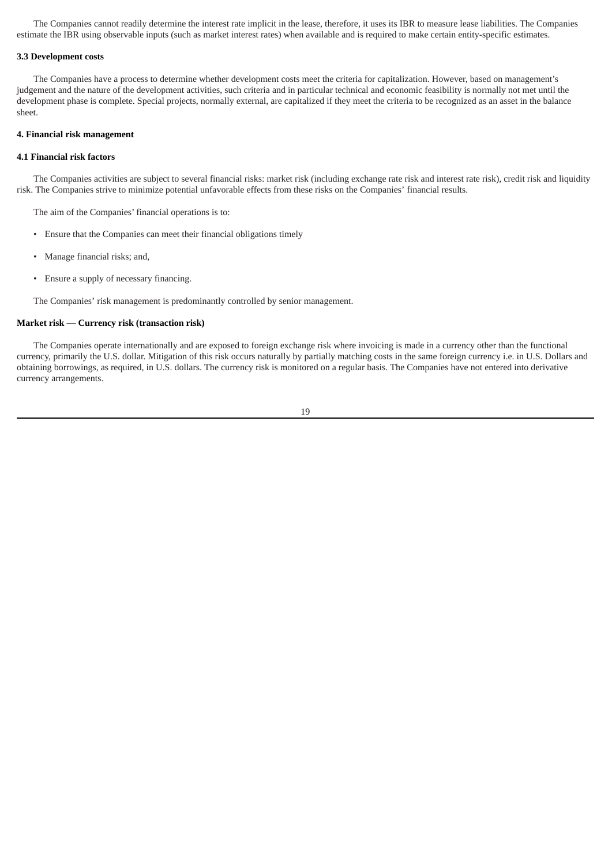The Companies cannot readily determine the interest rate implicit in the lease, therefore, it uses its IBR to measure lease liabilities. The Companies estimate the IBR using observable inputs (such as market interest rates) when available and is required to make certain entity-specific estimates.

#### **3.3 Development costs**

The Companies have a process to determine whether development costs meet the criteria for capitalization. However, based on management's judgement and the nature of the development activities, such criteria and in particular technical and economic feasibility is normally not met until the development phase is complete. Special projects, normally external, are capitalized if they meet the criteria to be recognized as an asset in the balance sheet.

#### **4. Financial risk management**

### **4.1 Financial risk factors**

The Companies activities are subject to several financial risks: market risk (including exchange rate risk and interest rate risk), credit risk and liquidity risk. The Companies strive to minimize potential unfavorable effects from these risks on the Companies' financial results.

The aim of the Companies' financial operations is to:

- Ensure that the Companies can meet their financial obligations timely
- Manage financial risks; and,
- Ensure a supply of necessary financing.

The Companies' risk management is predominantly controlled by senior management.

# **Market risk — Currency risk (transaction risk)**

The Companies operate internationally and are exposed to foreign exchange risk where invoicing is made in a currency other than the functional currency, primarily the U.S. dollar. Mitigation of this risk occurs naturally by partially matching costs in the same foreign currency i.e. in U.S. Dollars and obtaining borrowings, as required, in U.S. dollars. The currency risk is monitored on a regular basis. The Companies have not entered into derivative currency arrangements.

19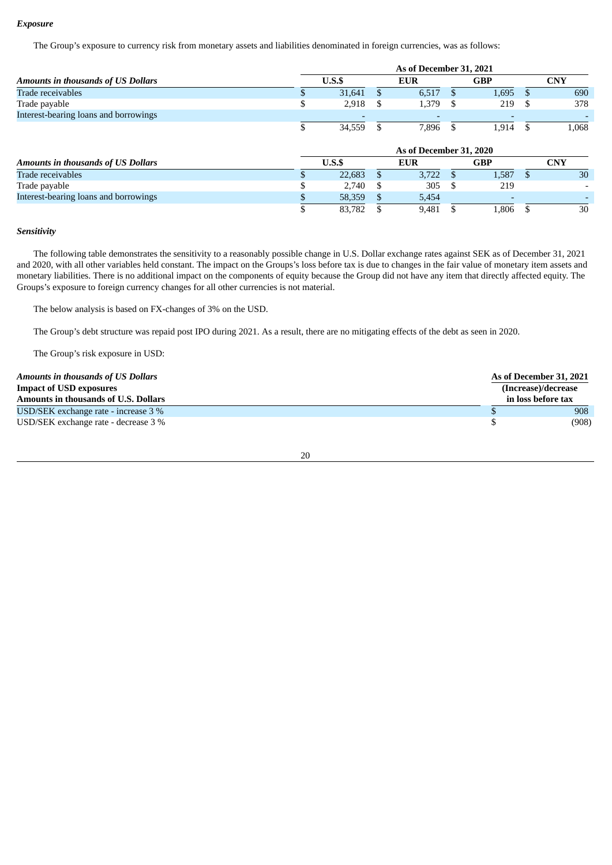### *Exposure*

The Group's exposure to currency risk from monetary assets and liabilities denominated in foreign currencies, was as follows:

|                                           | As of December 31, 2021 |                          |   |            |    |            |    |            |
|-------------------------------------------|-------------------------|--------------------------|---|------------|----|------------|----|------------|
| <b>Amounts in thousands of US Dollars</b> |                         | U.S.S                    |   |            |    | <b>GBP</b> |    | <b>CNY</b> |
| Trade receivables                         |                         | 31,641                   |   | 6,517      |    | 1,695      |    | 690        |
| Trade payable                             | S                       | 2,918                    | S | 1,379      | -S | 219        | -8 | 378        |
| Interest-bearing loans and borrowings     |                         | $\overline{\phantom{a}}$ |   |            |    |            |    |            |
|                                           | J.                      | 34,559                   |   | 7,896      |    | 1,914      |    | 1,068      |
|                                           |                         | As of December 31, 2020  |   |            |    |            |    |            |
| <b>Amounts in thousands of US Dollars</b> |                         | U.S.S                    |   | <b>EUR</b> |    | <b>GBP</b> |    | <b>CNY</b> |
| Trade receivables                         |                         | 22,683                   |   | 3.722      |    | 1,587      |    | 30         |
| Trade payable                             |                         | 2,740                    | S | 305        | -S | 219        |    |            |
| Interest-bearing loans and borrowings     |                         | 58,359                   |   | 5,454      |    |            |    |            |
|                                           |                         | 83,782                   |   | 9,481      |    | 1.806      |    | 30         |

### *Sensitivity*

The following table demonstrates the sensitivity to a reasonably possible change in U.S. Dollar exchange rates against SEK as of December 31, 2021 and 2020, with all other variables held constant. The impact on the Groups's loss before tax is due to changes in the fair value of monetary item assets and monetary liabilities. There is no additional impact on the components of equity because the Group did not have any item that directly affected equity. The Groups's exposure to foreign currency changes for all other currencies is not material.

The below analysis is based on FX-changes of 3% on the USD.

The Group's debt structure was repaid post IPO during 2021. As a result, there are no mitigating effects of the debt as seen in 2020.

The Group's risk exposure in USD:

| <b>Amounts in thousands of US Dollars</b>   | As of December 31, 2021 |
|---------------------------------------------|-------------------------|
| <b>Impact of USD exposures</b>              | (Increase)/decrease     |
| <b>Amounts in thousands of U.S. Dollars</b> | in loss before tax      |
| USD/SEK exchange rate - increase 3 %        | 908                     |
| USD/SEK exchange rate - decrease 3 %        | (908)                   |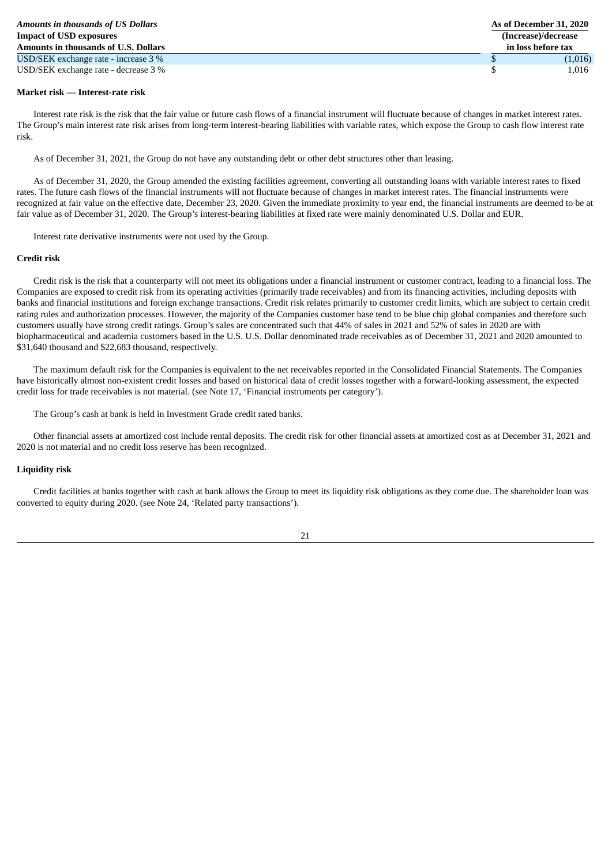| <b>Amounts in thousands of US Dollars</b> | As of December 31, 2020 |
|-------------------------------------------|-------------------------|
| <b>Impact of USD exposures</b>            | (Increase)/decrease     |
| Amounts in thousands of U.S. Dollars      | in loss before tax      |
| USD/SEK exchange rate - increase 3 %      | (1,016)                 |
| USD/SEK exchange rate - decrease 3 %      | 1.016                   |

### **Market risk — Interest-rate risk**

Interest rate risk is the risk that the fair value or future cash flows of a financial instrument will fluctuate because of changes in market interest rates. The Group's main interest rate risk arises from long-term interest-bearing liabilities with variable rates, which expose the Group to cash flow interest rate risk.

As of December 31, 2021, the Group do not have any outstanding debt or other debt structures other than leasing.

As of December 31, 2020, the Group amended the existing facilities agreement, converting all outstanding loans with variable interest rates to fixed rates. The future cash flows of the financial instruments will not fluctuate because of changes in market interest rates. The financial instruments were recognized at fair value on the effective date, December 23, 2020. Given the immediate proximity to year end, the financial instruments are deemed to be at fair value as of December 31, 2020. The Group's interest-bearing liabilities at fixed rate were mainly denominated U.S. Dollar and EUR.

Interest rate derivative instruments were not used by the Group.

#### **Credit risk**

Credit risk is the risk that a counterparty will not meet its obligations under a financial instrument or customer contract, leading to a financial loss. The Companies are exposed to credit risk from its operating activities (primarily trade receivables) and from its financing activities, including deposits with banks and financial institutions and foreign exchange transactions. Credit risk relates primarily to customer credit limits, which are subject to certain credit rating rules and authorization processes. However, the majority of the Companies customer base tend to be blue chip global companies and therefore such customers usually have strong credit ratings. Group's sales are concentrated such that 44% of sales in 2021 and 52% of sales in 2020 are with biopharmaceutical and academia customers based in the U.S. U.S. Dollar denominated trade receivables as of December 31, 2021 and 2020 amounted to \$31,640 thousand and \$22,683 thousand, respectively.

The maximum default risk for the Companies is equivalent to the net receivables reported in the Consolidated Financial Statements. The Companies have historically almost non-existent credit losses and based on historical data of credit losses together with a forward-looking assessment, the expected credit loss for trade receivables is not material. (see Note 17, 'Financial instruments per category').

The Group's cash at bank is held in Investment Grade credit rated banks.

Other financial assets at amortized cost include rental deposits. The credit risk for other financial assets at amortized cost as at December 31, 2021 and 2020 is not material and no credit loss reserve has been recognized.

### **Liquidity risk**

Credit facilities at banks together with cash at bank allows the Group to meet its liquidity risk obligations as they come due. The shareholder loan was converted to equity during 2020. (see Note 24, 'Related party transactions').

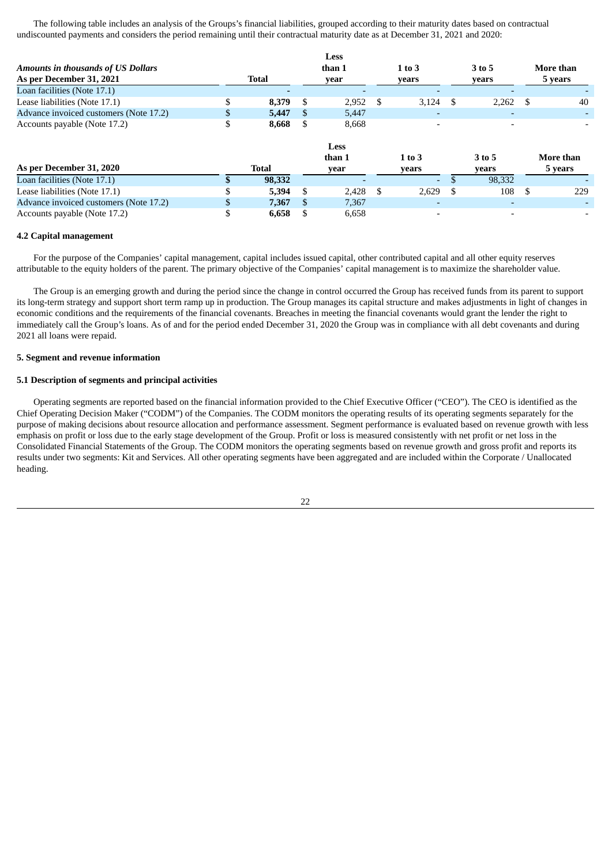The following table includes an analysis of the Groups's financial liabilities, grouped according to their maturity dates based on contractual undiscounted payments and considers the period remaining until their contractual maturity date as at December 31, 2021 and 2020:

|                                           |   |              |     | Less        |   |            |        |                          |     |           |  |
|-------------------------------------------|---|--------------|-----|-------------|---|------------|--------|--------------------------|-----|-----------|--|
| <b>Amounts in thousands of US Dollars</b> |   |              |     | than 1      |   | $1$ to $3$ | 3 to 5 |                          |     | More than |  |
| As per December 31, 2021                  |   | <b>Total</b> |     | year        |   | years      |        | years                    |     | 5 years   |  |
| Loan facilities (Note 17.1)               |   |              |     |             |   |            |        |                          |     |           |  |
| Lease liabilities (Note 17.1)             |   | 8,379        | \$  | 2,952       | S | 3,124      | - \$   | 2,262                    | \$. | 40        |  |
| Advance invoiced customers (Note 17.2)    |   | 5,447        | \$. | 5,447       |   |            |        |                          |     |           |  |
| Accounts payable (Note 17.2)              | ъ | 8,668        | S   | 8.668       |   |            |        | $\overline{\phantom{0}}$ |     |           |  |
|                                           |   |              |     | <b>Less</b> |   |            |        |                          |     |           |  |
|                                           |   |              |     | than 1      |   | $1$ to $3$ |        | 3 to 5                   |     | More than |  |
| As per December 31, 2020                  |   | <b>Total</b> |     | year        |   | years      |        | years                    |     | 5 years   |  |
| Loan facilities (Note 17.1)               |   | 98,332       |     |             |   |            |        | 98,332                   |     |           |  |
| Lease liabilities (Note 17.1)             |   | 5,394        | \$  | 2,428       | S | 2,629      | -\$    | 108                      | -S  | 229       |  |
| Advance invoiced customers (Note 17.2)    |   | 7,367        | £.  | 7,367       |   |            |        | ٠                        |     |           |  |
| Accounts payable (Note 17.2)              |   | 6,658        | \$  | 6.658       |   |            |        | $\overline{\phantom{a}}$ |     |           |  |

#### **4.2 Capital management**

For the purpose of the Companies' capital management, capital includes issued capital, other contributed capital and all other equity reserves attributable to the equity holders of the parent. The primary objective of the Companies' capital management is to maximize the shareholder value.

The Group is an emerging growth and during the period since the change in control occurred the Group has received funds from its parent to support its long-term strategy and support short term ramp up in production. The Group manages its capital structure and makes adjustments in light of changes in economic conditions and the requirements of the financial covenants. Breaches in meeting the financial covenants would grant the lender the right to immediately call the Group's loans. As of and for the period ended December 31, 2020 the Group was in compliance with all debt covenants and during 2021 all loans were repaid.

### **5. Segment and revenue information**

### **5.1 Description of segments and principal activities**

Operating segments are reported based on the financial information provided to the Chief Executive Officer ("CEO"). The CEO is identified as the Chief Operating Decision Maker ("CODM") of the Companies. The CODM monitors the operating results of its operating segments separately for the purpose of making decisions about resource allocation and performance assessment. Segment performance is evaluated based on revenue growth with less emphasis on profit or loss due to the early stage development of the Group. Profit or loss is measured consistently with net profit or net loss in the Consolidated Financial Statements of the Group. The CODM monitors the operating segments based on revenue growth and gross profit and reports its results under two segments: Kit and Services. All other operating segments have been aggregated and are included within the Corporate / Unallocated heading.

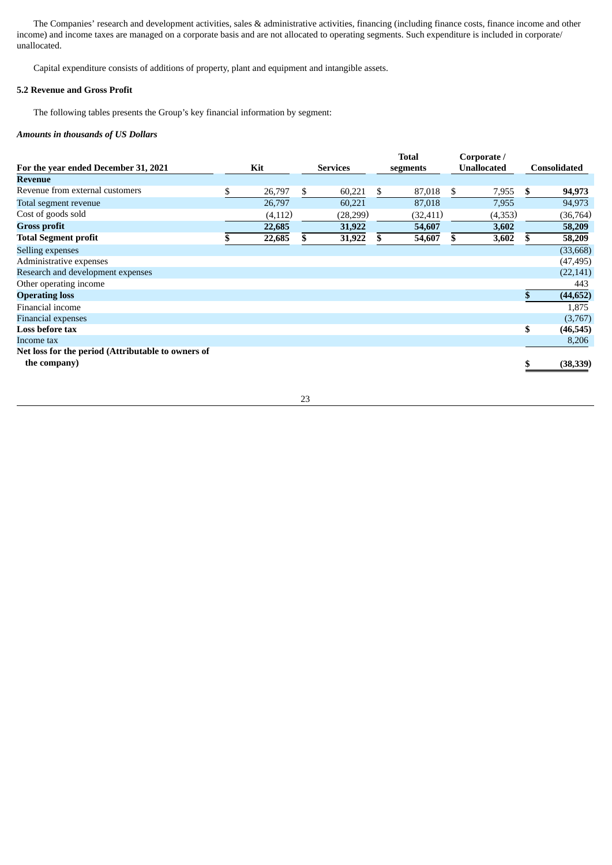The Companies' research and development activities, sales & administrative activities, financing (including finance costs, finance income and other income) and income taxes are managed on a corporate basis and are not allocated to operating segments. Such expenditure is included in corporate/ unallocated.

Capital expenditure consists of additions of property, plant and equipment and intangible assets.

# **5.2 Revenue and Gross Profit**

The following tables presents the Group's key financial information by segment:

### *Amounts in thousands of US Dollars*

|                                                    |              |                 | <b>Total</b> |     | Corporate /        |     |                     |
|----------------------------------------------------|--------------|-----------------|--------------|-----|--------------------|-----|---------------------|
| For the year ended December 31, 2021               | Kit          | <b>Services</b> | segments     |     | <b>Unallocated</b> |     | <b>Consolidated</b> |
| Revenue                                            |              |                 |              |     |                    |     |                     |
| Revenue from external customers                    | \$<br>26,797 | \$<br>60,221    | \$<br>87,018 | S.  | 7,955              | \$  | 94,973              |
| Total segment revenue                              | 26,797       | 60,221          | 87,018       |     | 7,955              |     | 94,973              |
| Cost of goods sold                                 | (4, 112)     | (28, 299)       | (32, 411)    |     | (4,353)            |     | (36, 764)           |
| <b>Gross profit</b>                                | 22,685       | 31,922          | 54,607       |     | 3,602              |     | 58,209              |
| <b>Total Segment profit</b>                        | \$<br>22,685 | \$<br>31,922    | \$<br>54,607 | \$. | 3,602              | \$. | 58,209              |
| Selling expenses                                   |              |                 |              |     |                    |     | (33, 668)           |
| Administrative expenses                            |              |                 |              |     |                    |     | (47, 495)           |
| Research and development expenses                  |              |                 |              |     |                    |     | (22, 141)           |
| Other operating income                             |              |                 |              |     |                    |     | 443                 |
| <b>Operating loss</b>                              |              |                 |              |     |                    | \$  | (44, 652)           |
| Financial income                                   |              |                 |              |     |                    |     | 1,875               |
| <b>Financial expenses</b>                          |              |                 |              |     |                    |     | (3,767)             |
| Loss before tax                                    |              |                 |              |     |                    | \$  | (46, 545)           |
| Income tax                                         |              |                 |              |     |                    |     | 8,206               |
| Net loss for the period (Attributable to owners of |              |                 |              |     |                    |     |                     |
| the company)                                       |              |                 |              |     |                    |     | (38, 339)           |
|                                                    |              |                 |              |     |                    |     |                     |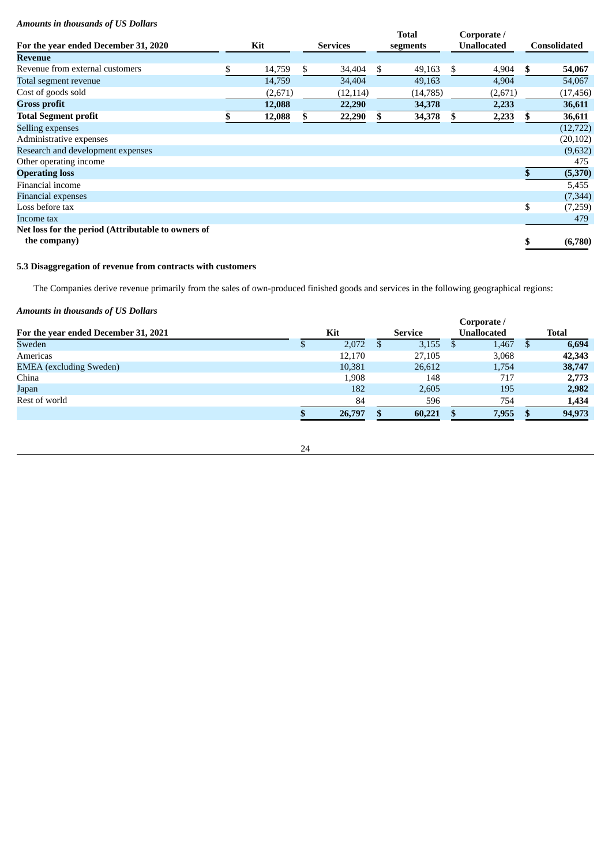# *Amounts in thousands of US Dollars*

|                                                    |              |                 | <b>Total</b> |     | Corporate /        |    |              |
|----------------------------------------------------|--------------|-----------------|--------------|-----|--------------------|----|--------------|
| For the year ended December 31, 2020               | Kit          | <b>Services</b> | segments     |     | <b>Unallocated</b> |    | Consolidated |
| <b>Revenue</b>                                     |              |                 |              |     |                    |    |              |
| Revenue from external customers                    | \$<br>14,759 | \$<br>34,404    | \$<br>49,163 | \$. | 4,904              | \$ | 54,067       |
| Total segment revenue                              | 14,759       | 34,404          | 49,163       |     | 4,904              |    | 54,067       |
| Cost of goods sold                                 | (2,671)      | (12, 114)       | (14,785)     |     | (2,671)            |    | (17, 456)    |
| <b>Gross profit</b>                                | 12,088       | 22,290          | 34,378       |     | 2,233              |    | 36,611       |
| <b>Total Segment profit</b>                        | 12,088       | \$<br>22,290    | 34,378       | S.  | 2,233              | S. | 36,611       |
| Selling expenses                                   |              |                 |              |     |                    |    | (12, 722)    |
| Administrative expenses                            |              |                 |              |     |                    |    | (20, 102)    |
| Research and development expenses                  |              |                 |              |     |                    |    | (9,632)      |
| Other operating income                             |              |                 |              |     |                    |    | 475          |
| <b>Operating loss</b>                              |              |                 |              |     |                    | \$ | (5,370)      |
| Financial income                                   |              |                 |              |     |                    |    | 5,455        |
| <b>Financial expenses</b>                          |              |                 |              |     |                    |    | (7, 344)     |
| Loss before tax                                    |              |                 |              |     |                    | \$ | (7,259)      |
| Income tax                                         |              |                 |              |     |                    |    | 479          |
| Net loss for the period (Attributable to owners of |              |                 |              |     |                    |    |              |
| the company)                                       |              |                 |              |     |                    | \$ | (6,780)      |

# **5.3 Disaggregation of revenue from contracts with customers**

The Companies derive revenue primarily from the sales of own-produced finished goods and services in the following geographical regions:

# *Amounts in thousands of US Dollars*

|                                      | Corporate / |        |   |         |  |                    |   |              |  |
|--------------------------------------|-------------|--------|---|---------|--|--------------------|---|--------------|--|
| For the year ended December 31, 2021 | Kit         |        |   | Service |  | <b>Unallocated</b> |   | <b>Total</b> |  |
| Sweden                               |             | 2,072  | D | 3,155   |  | 1,467              | Ъ | 6,694        |  |
| Americas                             |             | 12,170 |   | 27,105  |  | 3,068              |   | 42,343       |  |
| <b>EMEA</b> (excluding Sweden)       |             | 10,381 |   | 26,612  |  | 1,754              |   | 38,747       |  |
| China                                |             | 1,908  |   | 148     |  | 717                |   | 2,773        |  |
| Japan                                |             | 182    |   | 2,605   |  | 195                |   | 2,982        |  |
| Rest of world                        |             | 84     |   | 596     |  | 754                |   | 1,434        |  |
|                                      |             | 26,797 |   | 60,221  |  | 7,955              |   | 94,973       |  |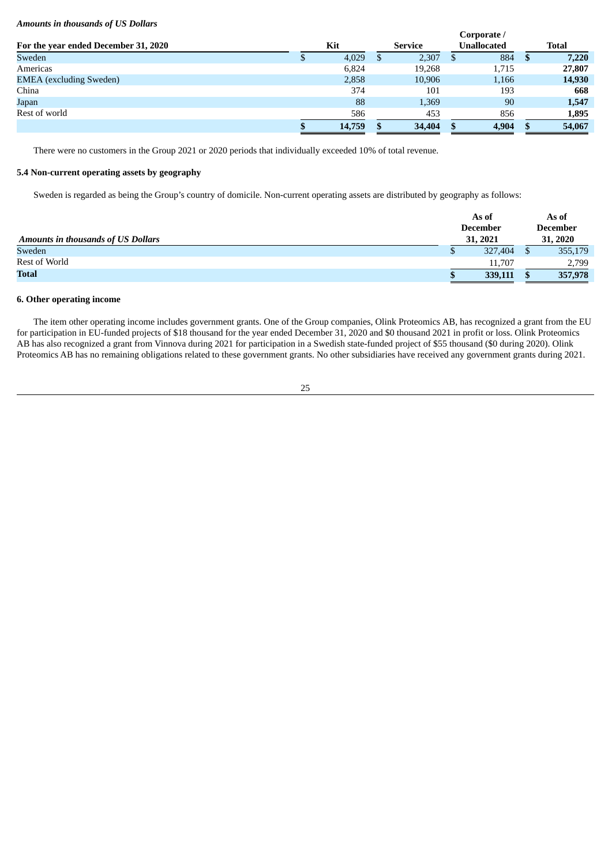### *Amounts in thousands of US Dollars*

|                                      |  |        | Corporate / |         |  |                    |  |              |  |
|--------------------------------------|--|--------|-------------|---------|--|--------------------|--|--------------|--|
| For the year ended December 31, 2020 |  | Kit    |             | Service |  | <b>Unallocated</b> |  | <b>Total</b> |  |
| Sweden                               |  | 4,029  |             | 2,307   |  | 884                |  | 7,220        |  |
| Americas                             |  | 6,824  |             | 19,268  |  | 1,715              |  | 27,807       |  |
| <b>EMEA</b> (excluding Sweden)       |  | 2,858  |             | 10,906  |  | 1,166              |  | 14,930       |  |
| China                                |  | 374    |             | 101     |  | 193                |  | 668          |  |
| Japan                                |  | 88     |             | 1,369   |  | 90                 |  | 1,547        |  |
| Rest of world                        |  | 586    |             | 453     |  | 856                |  | 1,895        |  |
|                                      |  | 14,759 |             | 34,404  |  | 4,904              |  | 54,067       |  |

There were no customers in the Group 2021 or 2020 periods that individually exceeded 10% of total revenue.

# **5.4 Non-current operating assets by geography**

Sweden is regarded as being the Group's country of domicile. Non-current operating assets are distributed by geography as follows:

| <b>Amounts in thousands of US Dollars</b> | As of<br><b>December</b><br>31, 2021 |         | As of<br><b>December</b><br>31, 2020 |
|-------------------------------------------|--------------------------------------|---------|--------------------------------------|
| Sweden                                    |                                      | 327,404 | 355,179                              |
| Rest of World                             |                                      | 11,707  | 2,799                                |
| <b>Total</b>                              |                                      | 339,111 | 357,978                              |

# **6. Other operating income**

The item other operating income includes government grants. One of the Group companies, Olink Proteomics AB, has recognized a grant from the EU for participation in EU-funded projects of \$18 thousand for the year ended December 31, 2020 and \$0 thousand 2021 in profit or loss. Olink Proteomics AB has also recognized a grant from Vinnova during 2021 for participation in a Swedish state-funded project of \$55 thousand (\$0 during 2020). Olink Proteomics AB has no remaining obligations related to these government grants. No other subsidiaries have received any government grants during 2021.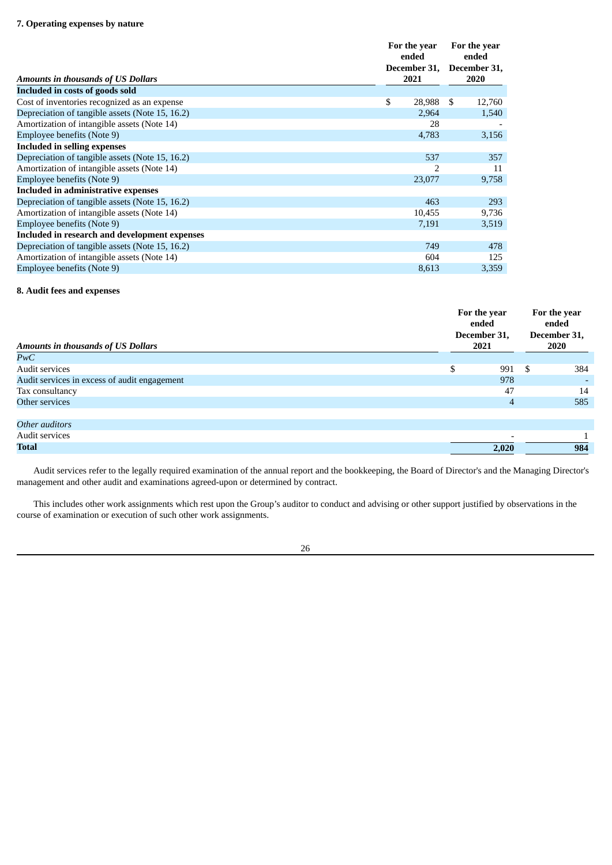|                                                 |    | For the year<br>ended<br>December 31, | For the year<br>ended<br>December 31, |        |
|-------------------------------------------------|----|---------------------------------------|---------------------------------------|--------|
| <b>Amounts in thousands of US Dollars</b>       |    | 2021                                  |                                       | 2020   |
| Included in costs of goods sold                 |    |                                       |                                       |        |
| Cost of inventories recognized as an expense    | \$ | 28,988                                | S                                     | 12,760 |
| Depreciation of tangible assets (Note 15, 16.2) |    | 2,964                                 |                                       | 1,540  |
| Amortization of intangible assets (Note 14)     |    | 28                                    |                                       |        |
| Employee benefits (Note 9)                      |    | 4,783                                 |                                       | 3,156  |
| <b>Included in selling expenses</b>             |    |                                       |                                       |        |
| Depreciation of tangible assets (Note 15, 16.2) |    | 537                                   |                                       | 357    |
| Amortization of intangible assets (Note 14)     |    | フ                                     |                                       | 11     |
| Employee benefits (Note 9)                      |    | 23,077                                |                                       | 9,758  |
| Included in administrative expenses             |    |                                       |                                       |        |
| Depreciation of tangible assets (Note 15, 16.2) |    | 463                                   |                                       | 293    |
| Amortization of intangible assets (Note 14)     |    | 10,455                                |                                       | 9,736  |
| Employee benefits (Note 9)                      |    | 7,191                                 |                                       | 3,519  |
| Included in research and development expenses   |    |                                       |                                       |        |
| Depreciation of tangible assets (Note 15, 16.2) |    | 749                                   |                                       | 478    |
| Amortization of intangible assets (Note 14)     |    | 604                                   |                                       | 125    |
| Employee benefits (Note 9)                      |    | 8,613                                 |                                       | 3,359  |

# **8. Audit fees and expenses**

| <b>Amounts in thousands of US Dollars</b>    | For the year<br>ended<br>December 31,<br>2021 | For the year<br>ended<br>December 31,<br>2020 |     |
|----------------------------------------------|-----------------------------------------------|-----------------------------------------------|-----|
| PwC                                          |                                               |                                               |     |
| Audit services                               | \$<br>991                                     | -S                                            | 384 |
| Audit services in excess of audit engagement | 978                                           |                                               |     |
| Tax consultancy                              | 47                                            |                                               | 14  |
| Other services                               | 4                                             |                                               | 585 |
|                                              |                                               |                                               |     |
| Other auditors                               |                                               |                                               |     |
| Audit services                               |                                               |                                               |     |
| Total                                        | 2,020                                         |                                               | 984 |

Audit services refer to the legally required examination of the annual report and the bookkeeping, the Board of Director's and the Managing Director's management and other audit and examinations agreed-upon or determined by contract.

This includes other work assignments which rest upon the Group's auditor to conduct and advising or other support justified by observations in the course of examination or execution of such other work assignments.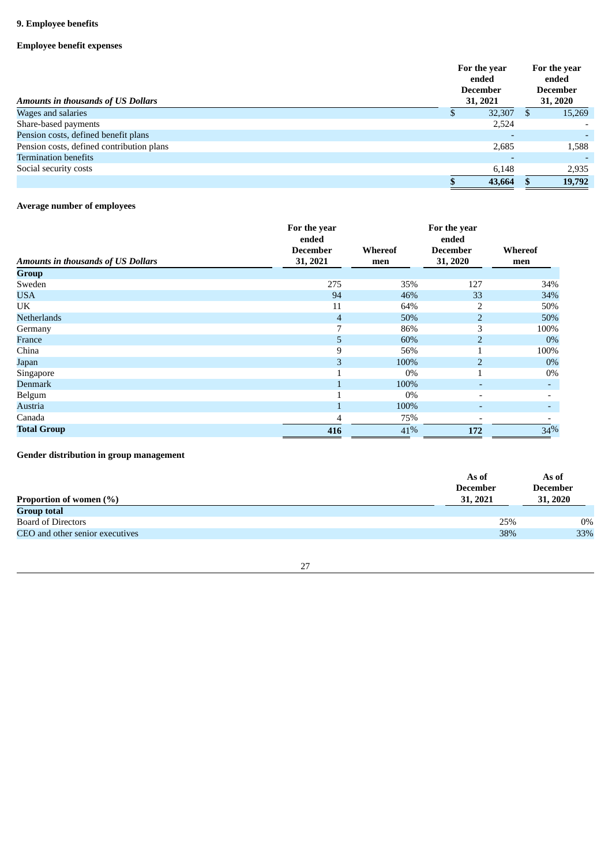# **9. Employee benefits**

# **Employee benefit expenses**

| Amounts in thousands of US Dollars        | For the year<br>ended<br><b>December</b><br>31, 2021 | For the year<br>ended<br><b>December</b><br>31, 2020 |        |  |
|-------------------------------------------|------------------------------------------------------|------------------------------------------------------|--------|--|
| Wages and salaries                        | 32,307                                               | S.                                                   | 15,269 |  |
| Share-based payments                      | 2,524                                                |                                                      |        |  |
| Pension costs, defined benefit plans      |                                                      |                                                      |        |  |
| Pension costs, defined contribution plans | 2,685                                                |                                                      | 1,588  |  |
| <b>Termination benefits</b>               |                                                      |                                                      |        |  |
| Social security costs                     | 6,148                                                |                                                      | 2,935  |  |
|                                           | 43,664                                               |                                                      | 19,792 |  |

# **Average number of employees**

|                                           | For the year<br>ended |         | For the year<br>ended    |         |
|-------------------------------------------|-----------------------|---------|--------------------------|---------|
|                                           | <b>December</b>       | Whereof | <b>December</b>          | Whereof |
| <b>Amounts in thousands of US Dollars</b> | 31, 2021              | men     | 31, 2020                 | men     |
| Group                                     |                       |         |                          |         |
| Sweden                                    | 275                   | 35%     | 127                      | 34%     |
| <b>USA</b>                                | 94                    | 46%     | 33                       | 34%     |
| UK                                        | 11                    | 64%     | $\overline{2}$           | 50%     |
| <b>Netherlands</b>                        | $\overline{4}$        | 50%     | $\overline{2}$           | 50%     |
| Germany                                   | 7                     | 86%     | 3                        | 100%    |
| France                                    | 5                     | 60%     | $\overline{2}$           | $0\%$   |
| China                                     | 9                     | 56%     |                          | 100%    |
| Japan                                     | 3                     | 100%    | $\overline{2}$           | $0\%$   |
| Singapore                                 |                       | $0\%$   |                          | $0\%$   |
| Denmark                                   | $\mathbf{1}$          | 100%    | $\overline{a}$           |         |
| Belgum                                    |                       | $0\%$   | $\overline{\phantom{a}}$ |         |
| Austria                                   | $\mathbf{1}$          | 100%    | $\overline{\phantom{a}}$ | ۰.      |
| Canada                                    | $\overline{4}$        | 75%     |                          |         |
| <b>Total Group</b>                        | 416                   | 41%     | 172                      | 34%     |

**Gender distribution in group management**

|                                 | As of                       | As of                       |
|---------------------------------|-----------------------------|-----------------------------|
| Proportion of women (%)         | <b>December</b><br>31, 2021 | <b>December</b><br>31, 2020 |
| <b>Group total</b>              |                             |                             |
| Board of Directors              | 25%                         | $0\%$                       |
| CEO and other senior executives | 38%                         | 33%                         |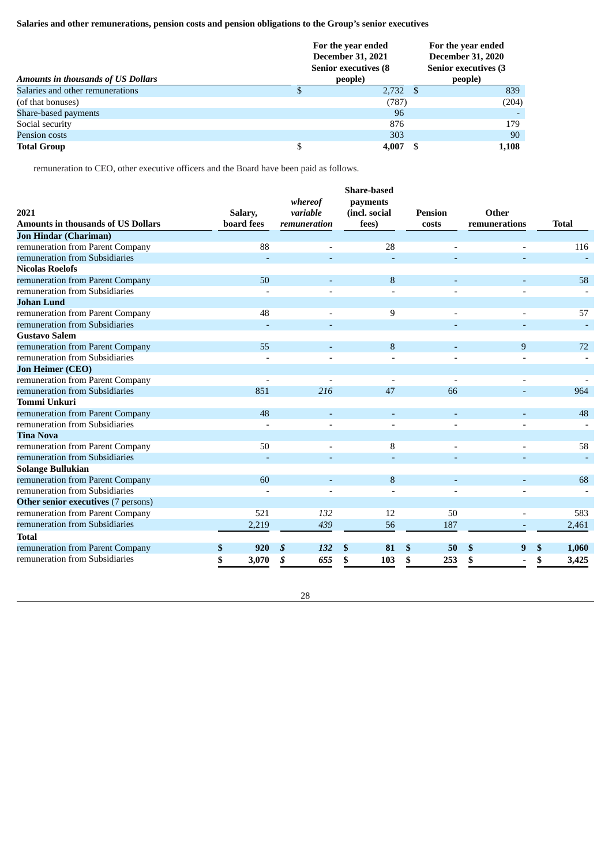# **Salaries and other remunerations, pension costs and pension obligations to the Group's senior executives**

| <b>Amounts in thousands of US Dollars</b> | For the year ended<br><b>December 31, 2021</b><br><b>Senior executives (8)</b><br>people) |  |       |  |  |
|-------------------------------------------|-------------------------------------------------------------------------------------------|--|-------|--|--|
| Salaries and other remunerations          | $2,732$ \$                                                                                |  | 839   |  |  |
| (of that bonuses)                         | (787)                                                                                     |  | (204) |  |  |
| Share-based payments                      | 96                                                                                        |  |       |  |  |
| Social security                           | 876                                                                                       |  | 179   |  |  |
| <b>Pension costs</b>                      | 303                                                                                       |  | 90    |  |  |
| <b>Total Group</b>                        | 4,007                                                                                     |  | 1.108 |  |  |

remuneration to CEO, other executive officers and the Board have been paid as follows.

| 2021                                      | Salary,     | whereof<br>variable |     | <b>Share-based</b><br>payments<br>(incl. social | <b>Pension</b> |     | Other         |              |
|-------------------------------------------|-------------|---------------------|-----|-------------------------------------------------|----------------|-----|---------------|--------------|
| <b>Amounts in thousands of US Dollars</b> | board fees  | remuneration        |     | fees)                                           | <b>costs</b>   |     | remunerations | <b>Total</b> |
| <b>Jon Hindar (Chariman)</b>              |             |                     |     |                                                 |                |     |               |              |
| remuneration from Parent Company          | 88          |                     |     | 28                                              |                |     |               | 116          |
| remuneration from Subsidiaries            |             |                     |     |                                                 |                |     |               |              |
| <b>Nicolas Roelofs</b>                    |             |                     |     |                                                 |                |     |               |              |
| remuneration from Parent Company          | 50          |                     |     | 8                                               |                |     |               | 58           |
| remuneration from Subsidiaries            |             |                     |     |                                                 |                |     |               |              |
| <b>Johan Lund</b>                         |             |                     |     |                                                 |                |     |               |              |
| remuneration from Parent Company          | 48          |                     |     | 9                                               |                |     |               | 57           |
| remuneration from Subsidiaries            |             |                     |     |                                                 |                |     |               |              |
| <b>Gustavo Salem</b>                      |             |                     |     |                                                 |                |     |               |              |
| remuneration from Parent Company          | 55          |                     |     | 8                                               |                |     | 9             | 72           |
| remuneration from Subsidiaries            |             |                     |     |                                                 |                |     |               |              |
| <b>Jon Heimer (CEO)</b>                   |             |                     |     |                                                 |                |     |               |              |
| remuneration from Parent Company          |             |                     |     |                                                 |                |     |               |              |
| remuneration from Subsidiaries            | 851         | 216                 |     | 47                                              |                | 66  |               | 964          |
| <b>Tommi Unkuri</b>                       |             |                     |     |                                                 |                |     |               |              |
| remuneration from Parent Company          | 48          |                     |     |                                                 |                |     |               | 48           |
| remuneration from Subsidiaries            |             |                     |     |                                                 |                |     |               |              |
| <b>Tina Nova</b>                          |             |                     |     |                                                 |                |     |               |              |
| remuneration from Parent Company          | 50          |                     |     | 8                                               |                |     |               | 58           |
| remuneration from Subsidiaries            |             |                     |     |                                                 |                |     |               |              |
| <b>Solange Bullukian</b>                  |             |                     |     |                                                 |                |     |               |              |
| remuneration from Parent Company          | 60          |                     |     | 8                                               |                |     |               | 68           |
| remuneration from Subsidiaries            |             |                     |     |                                                 |                |     |               |              |
| Other senior executives (7 persons)       |             |                     |     |                                                 |                |     |               |              |
| remuneration from Parent Company          | 521         | 132                 |     | 12                                              |                | 50  |               | 583          |
| remuneration from Subsidiaries            | 2,219       | 439                 |     | 56                                              |                | 187 |               | 2,461        |
| <b>Total</b>                              |             |                     |     |                                                 |                |     |               |              |
| remuneration from Parent Company          | \$<br>920   | \$<br>132           | \$. | 81                                              | \$             | 50  | \$<br>9       | \$<br>1,060  |
| remuneration from Subsidiaries            | \$<br>3,070 | 655<br>\$           | S   | 103                                             | \$             | 253 | \$            | \$<br>3,425  |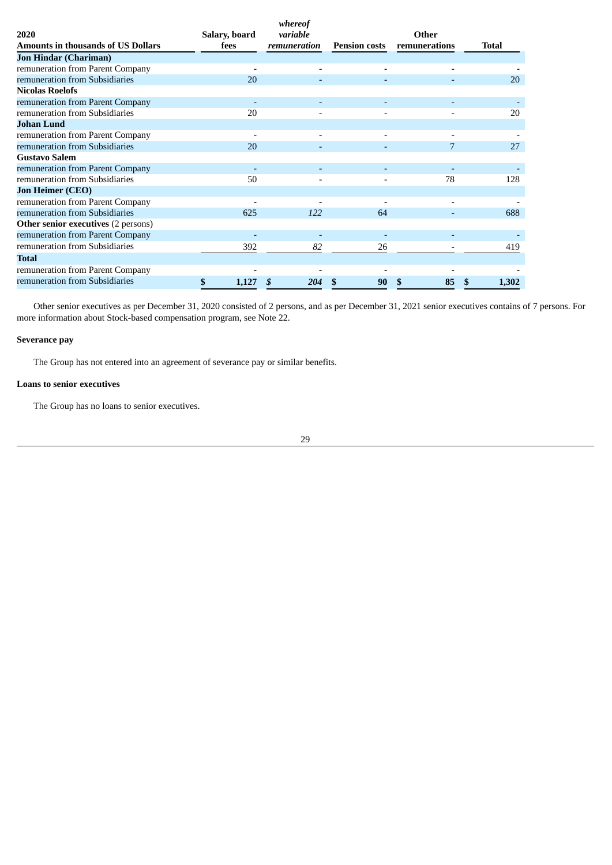|                                            |               | whereof      |                      |               |              |
|--------------------------------------------|---------------|--------------|----------------------|---------------|--------------|
| 2020                                       | Salary, board | variable     |                      | Other         |              |
| Amounts in thousands of US Dollars         | fees          | remuneration | <b>Pension costs</b> | remunerations | <b>Total</b> |
| <b>Jon Hindar (Chariman)</b>               |               |              |                      |               |              |
| remuneration from Parent Company           |               |              |                      |               |              |
| remuneration from Subsidiaries             | 20            |              |                      |               | 20           |
| <b>Nicolas Roelofs</b>                     |               |              |                      |               |              |
| remuneration from Parent Company           |               |              |                      |               |              |
| remuneration from Subsidiaries             | 20            |              |                      |               | 20           |
| <b>Johan Lund</b>                          |               |              |                      |               |              |
| remuneration from Parent Company           |               | ٠            |                      |               |              |
| remuneration from Subsidiaries             | 20            |              |                      |               | 27           |
| <b>Gustavo Salem</b>                       |               |              |                      |               |              |
| remuneration from Parent Company           |               |              |                      |               |              |
| remuneration from Subsidiaries             | 50            |              |                      | 78            | 128          |
| <b>Jon Heimer (CEO)</b>                    |               |              |                      |               |              |
| remuneration from Parent Company           |               |              |                      |               |              |
| remuneration from Subsidiaries             | 625           | 122          | 64                   |               | 688          |
| <b>Other senior executives (2 persons)</b> |               |              |                      |               |              |
| remuneration from Parent Company           |               |              |                      |               |              |
| remuneration from Subsidiaries             | 392           | 82           | 26                   |               | 419          |
| Total                                      |               |              |                      |               |              |
| remuneration from Parent Company           |               |              |                      |               |              |
| remuneration from Subsidiaries             | \$<br>1,127   | 204          | 90                   | 85            | 1,302        |

Other senior executives as per December 31, 2020 consisted of 2 persons, and as per December 31, 2021 senior executives contains of 7 persons. For more information about Stock-based compensation program, see Note 22.

### **Severance pay**

The Group has not entered into an agreement of severance pay or similar benefits.

# **Loans to senior executives**

The Group has no loans to senior executives.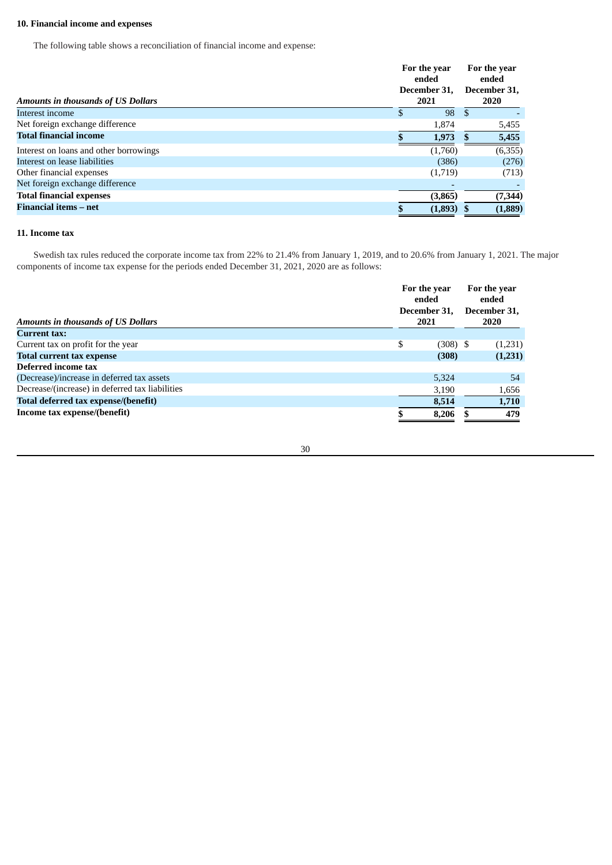# **10. Financial income and expenses**

The following table shows a reconciliation of financial income and expense:

| 98<br>-S<br>S<br>1,874<br>5,455<br>5,455<br>1,973<br>(6, 355)<br>(1,760)<br>(386)<br>(276)<br>(1,719)<br>(713)<br>(7, 344)<br>(3,865)<br>(1,889)<br>(1,893) | <b>Amounts in thousands of US Dollars</b> | For the year<br>ended<br>December 31.<br>2021 | For the year<br>ended<br>December 31,<br><b>2020</b> |  |
|-------------------------------------------------------------------------------------------------------------------------------------------------------------|-------------------------------------------|-----------------------------------------------|------------------------------------------------------|--|
|                                                                                                                                                             | Interest income                           |                                               |                                                      |  |
|                                                                                                                                                             | Net foreign exchange difference           |                                               |                                                      |  |
|                                                                                                                                                             | <b>Total financial income</b>             |                                               |                                                      |  |
|                                                                                                                                                             | Interest on loans and other borrowings    |                                               |                                                      |  |
|                                                                                                                                                             | Interest on lease liabilities             |                                               |                                                      |  |
|                                                                                                                                                             | Other financial expenses                  |                                               |                                                      |  |
|                                                                                                                                                             | Net foreign exchange difference           |                                               |                                                      |  |
|                                                                                                                                                             | <b>Total financial expenses</b>           |                                               |                                                      |  |
|                                                                                                                                                             | <b>Financial items – net</b>              |                                               |                                                      |  |

# **11. Income tax**

Swedish tax rules reduced the corporate income tax from 22% to 21.4% from January 1, 2019, and to 20.6% from January 1, 2021. The major components of income tax expense for the periods ended December 31, 2021, 2020 are as follows:

|                                                 |    | For the year<br>ended<br>December 31,<br>2021 |  | For the year<br>ended |  |  |
|-------------------------------------------------|----|-----------------------------------------------|--|-----------------------|--|--|
| <b>Amounts in thousands of US Dollars</b>       |    |                                               |  | December 31,<br>2020  |  |  |
| <b>Current tax:</b>                             |    |                                               |  |                       |  |  |
| Current tax on profit for the year              | \$ | $(308)$ \$                                    |  | (1,231)               |  |  |
| <b>Total current tax expense</b>                |    | (308)                                         |  | (1,231)               |  |  |
| Deferred income tax                             |    |                                               |  |                       |  |  |
| (Decrease)/increase in deferred tax assets      |    | 5,324                                         |  | 54                    |  |  |
| Decrease/(increase) in deferred tax liabilities |    | 3,190                                         |  | 1,656                 |  |  |
| Total deferred tax expense/(benefit)            |    | 8,514                                         |  | 1,710                 |  |  |
| Income tax expense/(benefit)                    |    | 8,206                                         |  | 479                   |  |  |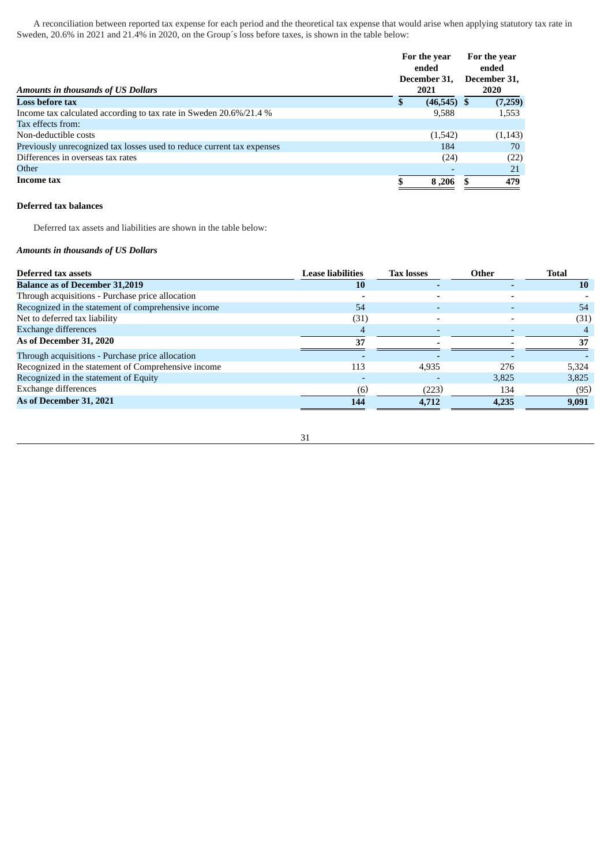A reconciliation between reported tax expense for each period and the theoretical tax expense that would arise when applying statutory tax rate in Sweden, 20.6% in 2021 and 21.4% in 2020, on the Group´s loss before taxes, is shown in the table below:

|                                                                        | For the year<br>ended |                      |  | For the year<br>ended       |  |  |
|------------------------------------------------------------------------|-----------------------|----------------------|--|-----------------------------|--|--|
| <b>Amounts in thousands of US Dollars</b>                              |                       | December 31.<br>2021 |  | December 31,<br><b>2020</b> |  |  |
| <b>Loss before tax</b>                                                 | S                     | $(46,545)$ \$        |  | (7,259)                     |  |  |
| Income tax calculated according to tax rate in Sweden 20.6%/21.4 %     |                       | 9,588                |  | 1,553                       |  |  |
| Tax effects from:                                                      |                       |                      |  |                             |  |  |
| Non-deductible costs                                                   |                       | (1,542)              |  | (1, 143)                    |  |  |
| Previously unrecognized tax losses used to reduce current tax expenses |                       | 184                  |  | 70                          |  |  |
| Differences in overseas tax rates                                      |                       | (24)                 |  | (22)                        |  |  |
| Other                                                                  |                       |                      |  | 21                          |  |  |
| <b>Income tax</b>                                                      |                       | 8,206                |  | 479                         |  |  |

### **Deferred tax balances**

Deferred tax assets and liabilities are shown in the table below:

### *Amounts in thousands of US Dollars*

| Deferred tax assets                                 | <b>Lease liabilities</b> | <b>Tax losses</b> | Other | <b>Total</b> |
|-----------------------------------------------------|--------------------------|-------------------|-------|--------------|
| <b>Balance as of December 31,2019</b>               | 10                       |                   |       | 10           |
| Through acquisitions - Purchase price allocation    |                          |                   |       |              |
| Recognized in the statement of comprehensive income | 54                       |                   |       | 54           |
| Net to deferred tax liability                       | (31)                     |                   |       | (31)         |
| <b>Exchange differences</b>                         |                          |                   |       |              |
| As of December 31, 2020                             | 37                       |                   |       | 37           |
| Through acquisitions - Purchase price allocation    |                          |                   |       |              |
| Recognized in the statement of Comprehensive income | 113                      | 4.935             | 276   | 5,324        |
| Recognized in the statement of Equity               |                          |                   | 3.825 | 3,825        |
| Exchange differences                                | (6)                      | (223)             | 134   | (95)         |
| As of December 31, 2021                             | 144                      | 4,712             | 4,235 | 9,091        |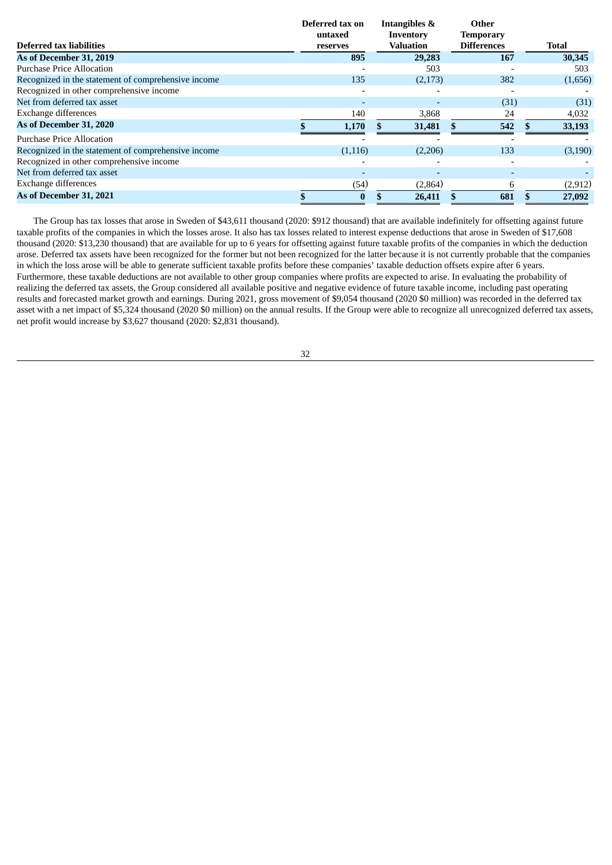|                                                     | Deferred tax on<br>untaxed | <b>Intangibles &amp;</b><br>Inventory | Other<br><b>Temporary</b> |              |
|-----------------------------------------------------|----------------------------|---------------------------------------|---------------------------|--------------|
| Deferred tax liabilities                            | reserves                   | <b>Valuation</b>                      | <b>Differences</b>        | <b>Total</b> |
| As of December 31, 2019                             | 895                        | 29,283                                | 167                       | 30,345       |
| <b>Purchase Price Allocation</b>                    |                            | 503                                   |                           | 503          |
| Recognized in the statement of comprehensive income | 135                        | (2,173)                               | 382                       | (1,656)      |
| Recognized in other comprehensive income            |                            |                                       |                           |              |
| Net from deferred tax asset                         |                            |                                       | (31)                      | (31)         |
| Exchange differences                                | 140                        | 3,868                                 | 24                        | 4,032        |
| As of December 31, 2020                             | 1,170                      | 31,481                                | 542                       | 33,193       |
| <b>Purchase Price Allocation</b>                    |                            |                                       |                           |              |
| Recognized in the statement of comprehensive income | (1, 116)                   | (2,206)                               | 133                       | (3, 190)     |
| Recognized in other comprehensive income            |                            |                                       |                           |              |
| Net from deferred tax asset                         |                            |                                       | $\overline{\phantom{0}}$  |              |
| Exchange differences                                | (54)                       | (2,864)                               | 6                         | (2, 912)     |
| As of December 31, 2021                             | $\mathbf{0}$               | 26,411                                | 681                       | 27,092       |

The Group has tax losses that arose in Sweden of \$43,611 thousand (2020: \$912 thousand) that are available indefinitely for offsetting against future taxable profits of the companies in which the losses arose. It also has tax losses related to interest expense deductions that arose in Sweden of \$17,608 thousand (2020: \$13,230 thousand) that are available for up to 6 years for offsetting against future taxable profits of the companies in which the deduction arose. Deferred tax assets have been recognized for the former but not been recognized for the latter because it is not currently probable that the companies in which the loss arose will be able to generate sufficient taxable profits before these companies' taxable deduction offsets expire after 6 years. Furthermore, these taxable deductions are not available to other group companies where profits are expected to arise. In evaluating the probability of realizing the deferred tax assets, the Group considered all available positive and negative evidence of future taxable income, including past operating results and forecasted market growth and earnings. During 2021, gross movement of \$9,054 thousand (2020 \$0 million) was recorded in the deferred tax asset with a net impact of \$5,324 thousand (2020 \$0 million) on the annual results. If the Group were able to recognize all unrecognized deferred tax assets, net profit would increase by \$3,627 thousand (2020: \$2,831 thousand).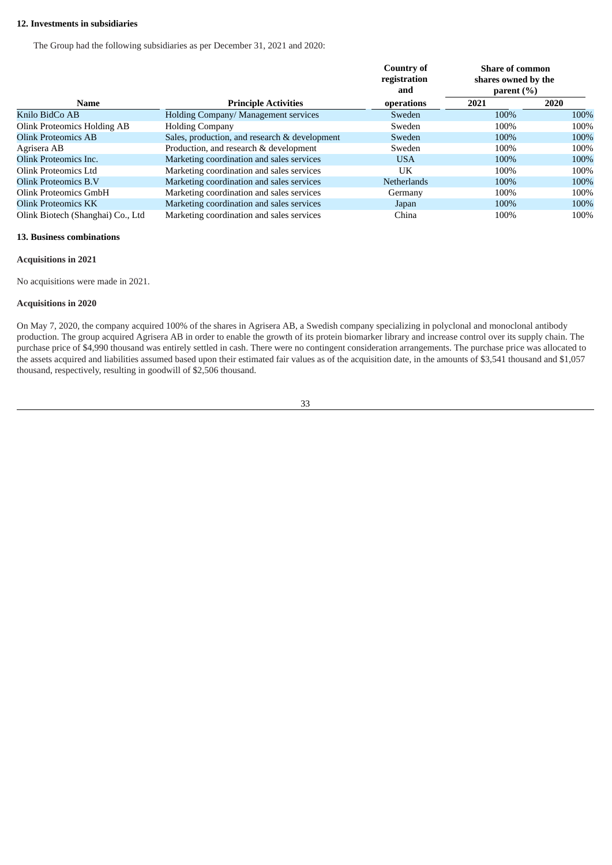### **12. Investments in subsidiaries**

The Group had the following subsidiaries as per December 31, 2021 and 2020:

|                                   |                                               | Country of<br>registration<br>and | <b>Share of common</b><br>shares owned by the<br>parent $(\% )$ |      |  |
|-----------------------------------|-----------------------------------------------|-----------------------------------|-----------------------------------------------------------------|------|--|
| <b>Name</b>                       | <b>Principle Activities</b>                   | operations                        | 2021                                                            | 2020 |  |
| Knilo BidCo AB                    | Holding Company/ Management services          | Sweden                            | 100%                                                            | 100% |  |
| Olink Proteomics Holding AB       | <b>Holding Company</b>                        | Sweden                            | 100%                                                            | 100% |  |
| <b>Olink Proteomics AB</b>        | Sales, production, and research & development | Sweden                            | 100%                                                            | 100% |  |
| Agrisera AB                       | Production, and research & development        | Sweden                            | 100%                                                            | 100% |  |
| Olink Proteomics Inc.             | Marketing coordination and sales services     | <b>USA</b>                        | 100%                                                            | 100% |  |
| Olink Proteomics Ltd              | Marketing coordination and sales services     | UK                                | 100%                                                            | 100% |  |
| Olink Proteomics B.V              | Marketing coordination and sales services     | <b>Netherlands</b>                | 100%                                                            | 100% |  |
| Olink Proteomics GmbH             | Marketing coordination and sales services     | Germany                           | 100%                                                            | 100% |  |
| Olink Proteomics KK               | Marketing coordination and sales services     | Japan                             | 100%                                                            | 100% |  |
| Olink Biotech (Shanghai) Co., Ltd | Marketing coordination and sales services     | China                             | 100%                                                            | 100% |  |

# **13. Business combinations**

#### **Acquisitions in 2021**

No acquisitions were made in 2021.

### **Acquisitions in 2020**

On May 7, 2020, the company acquired 100% of the shares in Agrisera AB, a Swedish company specializing in polyclonal and monoclonal antibody production. The group acquired Agrisera AB in order to enable the growth of its protein biomarker library and increase control over its supply chain. The purchase price of \$4,990 thousand was entirely settled in cash. There were no contingent consideration arrangements. The purchase price was allocated to the assets acquired and liabilities assumed based upon their estimated fair values as of the acquisition date, in the amounts of \$3,541 thousand and \$1,057 thousand, respectively, resulting in goodwill of \$2,506 thousand.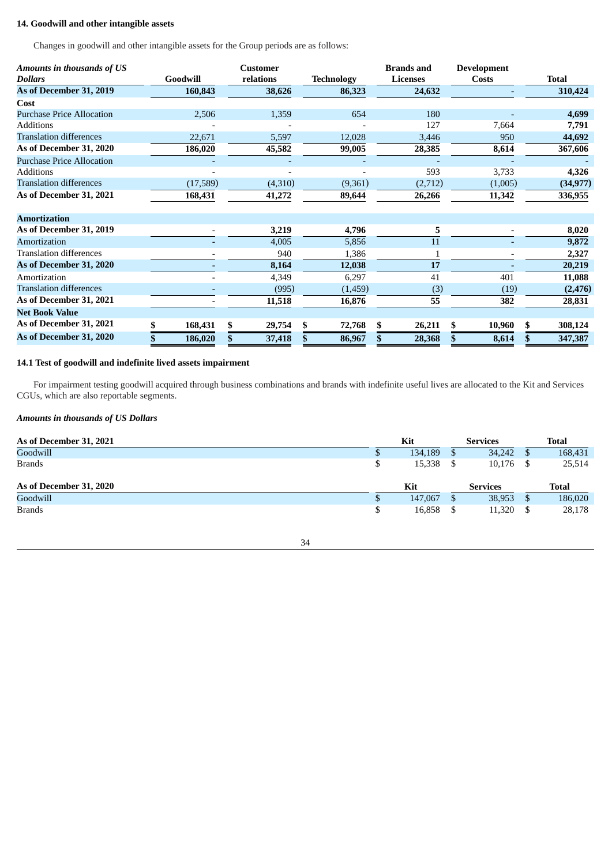# **14. Goodwill and other intangible assets**

Changes in goodwill and other intangible assets for the Group periods are as follows:

| Amounts in thousands of US       |          | <b>Customer</b> |         |                   | <b>Brands</b> and | <b>Development</b> |               |
|----------------------------------|----------|-----------------|---------|-------------------|-------------------|--------------------|---------------|
| <b>Dollars</b>                   | Goodwill | relations       |         | <b>Technology</b> | <b>Licenses</b>   | Costs              | <b>Total</b>  |
| As of December 31, 2019          | 160,843  |                 | 38,626  | 86,323            | 24,632            |                    | 310,424       |
| Cost                             |          |                 |         |                   |                   |                    |               |
| <b>Purchase Price Allocation</b> | 2,506    |                 | 1,359   | 654               | 180               |                    | 4,699         |
| <b>Additions</b>                 |          |                 |         |                   | 127               | 7,664              | 7,791         |
| <b>Translation differences</b>   | 22,671   |                 | 5,597   | 12,028            | 3,446             | 950                | 44,692        |
| As of December 31, 2020          | 186,020  |                 | 45,582  | 99,005            | 28,385            | 8,614              | 367,606       |
| <b>Purchase Price Allocation</b> |          |                 |         |                   |                   |                    |               |
| <b>Additions</b>                 |          |                 |         |                   | 593               | 3,733              | 4,326         |
| <b>Translation differences</b>   | (17,589) |                 | (4,310) | (9,361)           | (2,712)           | (1,005)            | (34, 977)     |
| As of December 31, 2021          | 168,431  |                 | 41,272  | 89,644            | 26,266            | 11,342             | 336,955       |
| <b>Amortization</b>              |          |                 |         |                   |                   |                    |               |
| As of December 31, 2019          |          |                 | 3,219   | 4,796             | 5                 |                    | 8,020         |
| Amortization                     |          |                 | 4,005   | 5,856             | 11                |                    | 9,872         |
| Translation differences          |          |                 | 940     | 1,386             | $\mathbf{1}$      | ٠                  | 2,327         |
| As of December 31, 2020          |          |                 | 8,164   | 12,038            | 17                |                    | 20,219        |
| Amortization                     |          |                 | 4,349   | 6,297             | 41                | 401                | 11,088        |
| Translation differences          |          |                 | (995)   | (1,459)           | (3)               | (19)               | (2, 476)      |
| As of December 31, 2021          |          |                 | 11,518  | 16,876            | 55                | 382                | 28,831        |
| <b>Net Book Value</b>            |          |                 |         |                   |                   |                    |               |
| As of December 31, 2021          | 168,431  | \$              | 29,754  | \$<br>72,768      | \$<br>26,211      | \$<br>10,960       | \$<br>308,124 |
| As of December 31, 2020          | 186,020  |                 | 37,418  | \$<br>86,967      | 28,368            | 8,614              | 347,387       |

### **14.1 Test of goodwill and indefinite lived assets impairment**

For impairment testing goodwill acquired through business combinations and brands with indefinite useful lives are allocated to the Kit and Services CGUs, which are also reportable segments.

### *Amounts in thousands of US Dollars*

| As of December 31, 2021 | Kit     | <b>Services</b> |    | <b>Total</b> |
|-------------------------|---------|-----------------|----|--------------|
| Goodwill                | 134,189 | 34,242          |    | 168,431      |
| <b>Brands</b>           | 15,338  | 10,176          | -S | 25,514       |
| As of December 31, 2020 |         |                 |    | Total        |
|                         | Kit     | <b>Services</b> |    |              |
| Goodwill                | 147,067 | 38,953          | S  | 186,020      |

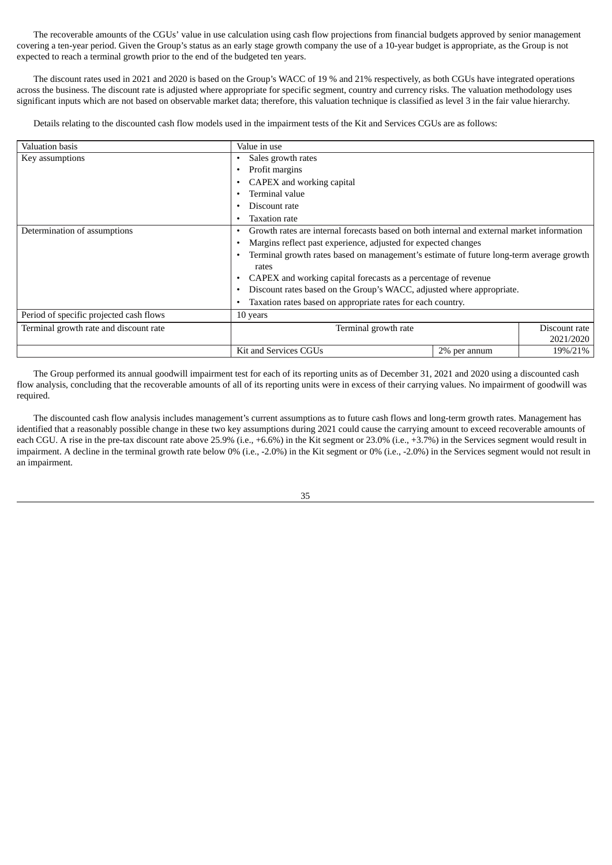The recoverable amounts of the CGUs' value in use calculation using cash flow projections from financial budgets approved by senior management covering a ten-year period. Given the Group's status as an early stage growth company the use of a 10-year budget is appropriate, as the Group is not expected to reach a terminal growth prior to the end of the budgeted ten years.

The discount rates used in 2021 and 2020 is based on the Group's WACC of 19 % and 21% respectively, as both CGUs have integrated operations across the business. The discount rate is adjusted where appropriate for specific segment, country and currency risks. The valuation methodology uses significant inputs which are not based on observable market data; therefore, this valuation technique is classified as level 3 in the fair value hierarchy.

Details relating to the discounted cash flow models used in the impairment tests of the Kit and Services CGUs are as follows:

| Valuation basis                         | Value in use                                                                                    |              |               |  |  |  |  |
|-----------------------------------------|-------------------------------------------------------------------------------------------------|--------------|---------------|--|--|--|--|
| Key assumptions                         | Sales growth rates                                                                              |              |               |  |  |  |  |
|                                         | Profit margins<br>٠                                                                             |              |               |  |  |  |  |
|                                         | CAPEX and working capital                                                                       |              |               |  |  |  |  |
|                                         | Terminal value                                                                                  |              |               |  |  |  |  |
|                                         | Discount rate                                                                                   |              |               |  |  |  |  |
|                                         | <b>Taxation rate</b>                                                                            |              |               |  |  |  |  |
| Determination of assumptions            | Growth rates are internal forecasts based on both internal and external market information<br>٠ |              |               |  |  |  |  |
|                                         | Margins reflect past experience, adjusted for expected changes<br>٠                             |              |               |  |  |  |  |
|                                         | Terminal growth rates based on management's estimate of future long-term average growth         |              |               |  |  |  |  |
|                                         | rates                                                                                           |              |               |  |  |  |  |
|                                         | CAPEX and working capital forecasts as a percentage of revenue                                  |              |               |  |  |  |  |
|                                         | Discount rates based on the Group's WACC, adjusted where appropriate.<br>٠                      |              |               |  |  |  |  |
|                                         | Taxation rates based on appropriate rates for each country.                                     |              |               |  |  |  |  |
| Period of specific projected cash flows | 10 years                                                                                        |              |               |  |  |  |  |
| Terminal growth rate and discount rate  | Terminal growth rate                                                                            |              | Discount rate |  |  |  |  |
|                                         |                                                                                                 |              | 2021/2020     |  |  |  |  |
|                                         | Kit and Services CGUs                                                                           | 2% per annum | 19%/21%       |  |  |  |  |

The Group performed its annual goodwill impairment test for each of its reporting units as of December 31, 2021 and 2020 using a discounted cash flow analysis, concluding that the recoverable amounts of all of its reporting units were in excess of their carrying values. No impairment of goodwill was required.

The discounted cash flow analysis includes management's current assumptions as to future cash flows and long-term growth rates. Management has identified that a reasonably possible change in these two key assumptions during 2021 could cause the carrying amount to exceed recoverable amounts of each CGU. A rise in the pre-tax discount rate above 25.9% (i.e., +6.6%) in the Kit segment or 23.0% (i.e., +3.7%) in the Services segment would result in impairment. A decline in the terminal growth rate below 0% (i.e., -2.0%) in the Kit segment or 0% (i.e., -2.0%) in the Services segment would not result in an impairment.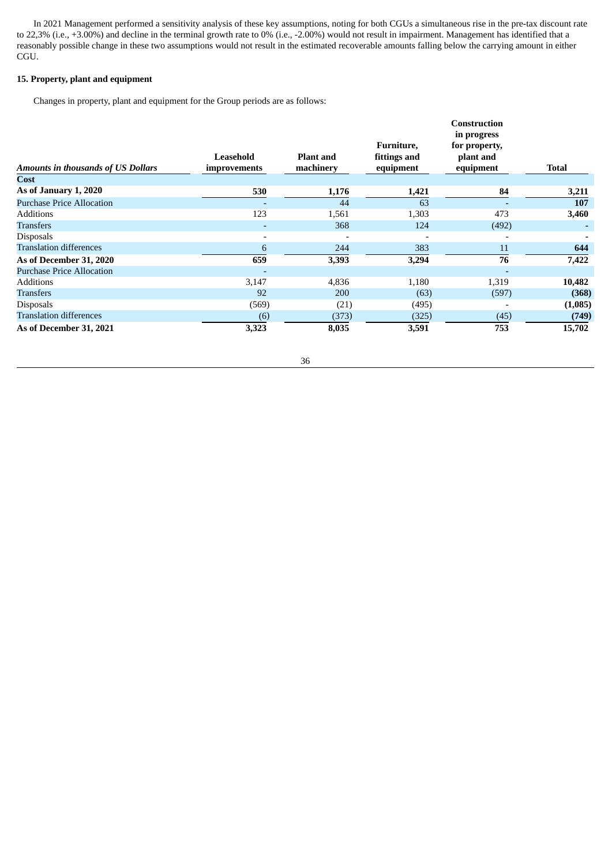In 2021 Management performed a sensitivity analysis of these key assumptions, noting for both CGUs a simultaneous rise in the pre-tax discount rate to 22,3% (i.e., +3.00%) and decline in the terminal growth rate to 0% (i.e., -2.00%) would not result in impairment. Management has identified that a reasonably possible change in these two assumptions would not result in the estimated recoverable amounts falling below the carrying amount in either CGU.

# **15. Property, plant and equipment**

Changes in property, plant and equipment for the Group periods are as follows:

|                                           | Leasehold                | <b>Plant and</b> | Furniture,<br>fittings and | <b>Construction</b><br>in progress<br>for property,<br>plant and |            |
|-------------------------------------------|--------------------------|------------------|----------------------------|------------------------------------------------------------------|------------|
| <b>Amounts in thousands of US Dollars</b> | improvements             | machinery        | equipment                  | equipment                                                        | Total      |
| Cost                                      |                          |                  |                            |                                                                  |            |
| As of January 1, 2020                     | 530                      | 1,176            | 1,421                      | 84                                                               | 3,211      |
| <b>Purchase Price Allocation</b>          |                          | 44               | 63                         |                                                                  | <b>107</b> |
| <b>Additions</b>                          | 123                      | 1,561            | 1,303                      | 473                                                              | 3,460      |
| <b>Transfers</b>                          | ٠                        | 368              | 124                        | (492)                                                            |            |
| <b>Disposals</b>                          | $\overline{\phantom{a}}$ |                  |                            |                                                                  |            |
| <b>Translation differences</b>            | 6                        | 244              | 383                        | 11                                                               | 644        |
| As of December 31, 2020                   | 659                      | 3,393            | 3,294                      | 76                                                               | 7,422      |
| <b>Purchase Price Allocation</b>          |                          |                  |                            |                                                                  |            |
| <b>Additions</b>                          | 3,147                    | 4,836            | 1,180                      | 1,319                                                            | 10,482     |
| <b>Transfers</b>                          | 92                       | 200              | (63)                       | (597)                                                            | (368)      |
| <b>Disposals</b>                          | (569)                    | (21)             | (495)                      |                                                                  | (1,085)    |
| <b>Translation differences</b>            | (6)                      | (373)            | (325)                      | (45)                                                             | (749)      |
| As of December 31, 2021                   | 3,323                    | 8,035            | 3,591                      | 753                                                              | 15,702     |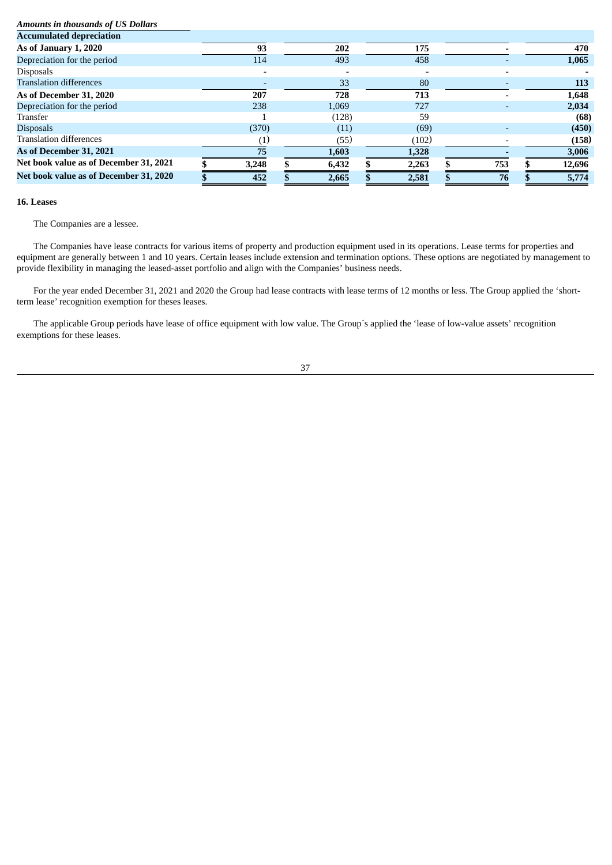# *Amounts in thousands of US Dollars*

| <b>Accumulated depreciation</b>        |       |       |       |     |        |
|----------------------------------------|-------|-------|-------|-----|--------|
| As of January 1, 2020                  | 93    | 202   | 175   |     | 470    |
| Depreciation for the period            | 114   | 493   | 458   |     | 1,065  |
| <b>Disposals</b>                       |       |       |       |     |        |
| <b>Translation differences</b>         |       | 33    | 80    |     | 113    |
| As of December 31, 2020                | 207   | 728   | 713   |     | 1,648  |
| Depreciation for the period            | 238   | 1.069 | 727   |     | 2,034  |
| Transfer                               |       | (128) | 59    |     | (68)   |
| <b>Disposals</b>                       | (370) | (11)  | (69)  |     | (450)  |
| <b>Translation differences</b>         |       | (55)  | (102) |     | (158)  |
| As of December 31, 2021                | 75    | 1,603 | 1,328 |     | 3,006  |
| Net book value as of December 31, 2021 | 3,248 | 6,432 | 2,263 | 753 | 12,696 |
| Net book value as of December 31, 2020 | 452   | 2,665 | 2,581 | 76  | 5,774  |

#### **16. Leases**

The Companies are a lessee.

The Companies have lease contracts for various items of property and production equipment used in its operations. Lease terms for properties and equipment are generally between 1 and 10 years. Certain leases include extension and termination options. These options are negotiated by management to provide flexibility in managing the leased-asset portfolio and align with the Companies' business needs.

For the year ended December 31, 2021 and 2020 the Group had lease contracts with lease terms of 12 months or less. The Group applied the 'shortterm lease' recognition exemption for theses leases.

The applicable Group periods have lease of office equipment with low value. The Group´s applied the 'lease of low-value assets' recognition exemptions for these leases.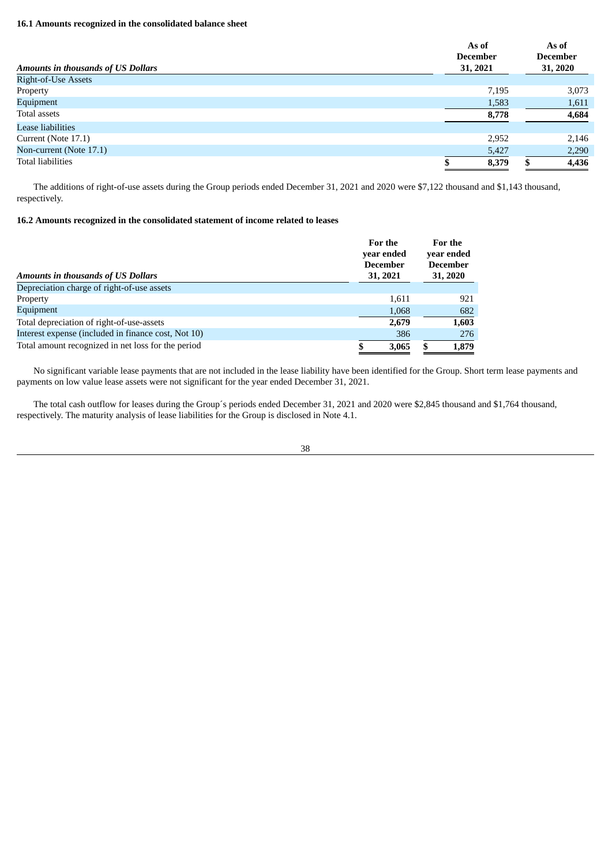# **16.1 Amounts recognized in the consolidated balance sheet**

| <b>Amounts in thousands of US Dollars</b> | As of<br><b>December</b><br>31, 2021 | As of<br><b>December</b><br>31, 2020 |
|-------------------------------------------|--------------------------------------|--------------------------------------|
| Right-of-Use Assets                       |                                      |                                      |
| Property                                  | 7,195                                | 3,073                                |
| Equipment                                 | 1,583                                | 1,611                                |
| Total assets                              | 8,778                                | 4,684                                |
| Lease liabilities                         |                                      |                                      |
| Current (Note 17.1)                       | 2,952                                | 2,146                                |
| Non-current (Note 17.1)                   | 5,427                                | 2,290                                |
| <b>Total liabilities</b>                  | 8,379                                | 4,436                                |

The additions of right-of-use assets during the Group periods ended December 31, 2021 and 2020 were \$7,122 thousand and \$1,143 thousand, respectively.

# **16.2 Amounts recognized in the consolidated statement of income related to leases**

| <b>Amounts in thousands of US Dollars</b>           | For the<br>vear ended<br><b>December</b><br>31, 2021 | For the<br>year ended<br><b>December</b><br>31, 2020 |  |  |
|-----------------------------------------------------|------------------------------------------------------|------------------------------------------------------|--|--|
| Depreciation charge of right-of-use assets          |                                                      |                                                      |  |  |
| Property                                            | 1,611                                                | 921                                                  |  |  |
| Equipment                                           | 1,068                                                | 682                                                  |  |  |
| Total depreciation of right-of-use-assets           | 2,679                                                | 1,603                                                |  |  |
| Interest expense (included in finance cost, Not 10) | 386                                                  | 276                                                  |  |  |
| Total amount recognized in net loss for the period  | 3.065                                                | 1,879<br>\$                                          |  |  |

No significant variable lease payments that are not included in the lease liability have been identified for the Group. Short term lease payments and payments on low value lease assets were not significant for the year ended December 31, 2021.

The total cash outflow for leases during the Group´s periods ended December 31, 2021 and 2020 were \$2,845 thousand and \$1,764 thousand, respectively. The maturity analysis of lease liabilities for the Group is disclosed in Note 4.1.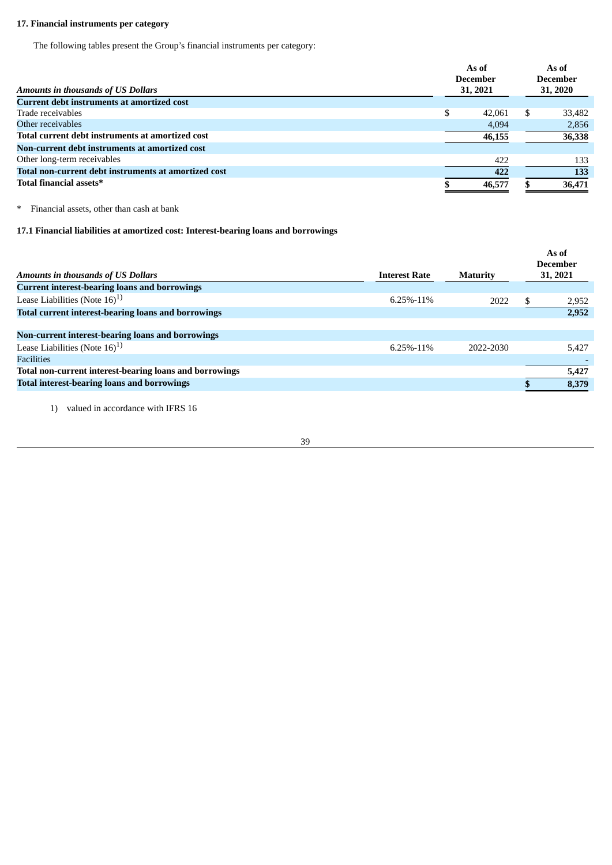# **17. Financial instruments per category**

The following tables present the Group's financial instruments per category:

|                                                      |          | As of<br><b>December</b> |          | As of<br><b>December</b> |
|------------------------------------------------------|----------|--------------------------|----------|--------------------------|
| Amounts in thousands of US Dollars                   | 31, 2021 |                          | 31, 2020 |                          |
| <b>Current debt instruments at amortized cost</b>    |          |                          |          |                          |
| Trade receivables                                    | \$       | 42,061                   | \$.      | 33,482                   |
| Other receivables                                    |          | 4,094                    |          | 2,856                    |
| Total current debt instruments at amortized cost     |          | 46,155                   |          | 36,338                   |
| Non-current debt instruments at amortized cost       |          |                          |          |                          |
| Other long-term receivables                          |          | 422                      |          | 133                      |
| Total non-current debt instruments at amortized cost |          | 422                      |          | 133                      |
| Total financial assets*                              |          | 46,577                   |          | 36,471                   |

\* Financial assets, other than cash at bank

# **17.1 Financial liabilities at amortized cost: Interest-bearing loans and borrowings**

|                                                            |                      |                 | As of<br>December |
|------------------------------------------------------------|----------------------|-----------------|-------------------|
| <b>Amounts in thousands of US Dollars</b>                  | <b>Interest Rate</b> | <b>Maturity</b> | 31, 2021          |
| <b>Current interest-bearing loans and borrowings</b>       |                      |                 |                   |
| Lease Liabilities (Note $16)$ <sup>1)</sup>                | $6.25\% - 11\%$      | 2022            | 2,952             |
| <b>Total current interest-bearing loans and borrowings</b> |                      |                 | 2,952             |
|                                                            |                      |                 |                   |
| Non-current interest-bearing loans and borrowings          |                      |                 |                   |
| Lease Liabilities (Note $16)^{1}$ )                        | $6.25\% - 11\%$      | 2022-2030       | 5,427             |
| <b>Facilities</b>                                          |                      |                 |                   |
| Total non-current interest-bearing loans and borrowings    |                      |                 | 5,427             |
| <b>Total interest-bearing loans and borrowings</b>         |                      |                 | 8,379             |
|                                                            |                      |                 |                   |

1) valued in accordance with IFRS 16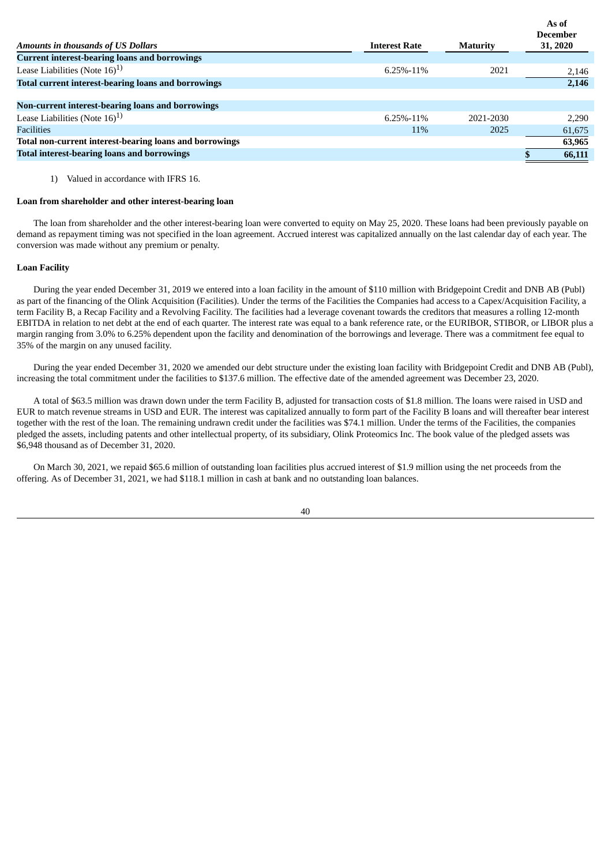|                                                            |                      |                 | As of<br>December |
|------------------------------------------------------------|----------------------|-----------------|-------------------|
| <b>Amounts in thousands of US Dollars</b>                  | <b>Interest Rate</b> | <b>Maturity</b> | 31, 2020          |
| <b>Current interest-bearing loans and borrowings</b>       |                      |                 |                   |
| Lease Liabilities (Note $16)$ <sup>1)</sup>                | $6.25\% - 11\%$      | 2021            | 2,146             |
| <b>Total current interest-bearing loans and borrowings</b> |                      |                 | 2,146             |
|                                                            |                      |                 |                   |
| Non-current interest-bearing loans and borrowings          |                      |                 |                   |
| Lease Liabilities (Note $16)$ <sup>1)</sup>                | 6.25%-11%            | 2021-2030       | 2,290             |
| Facilities                                                 | 11%                  | 2025            | 61,675            |
| Total non-current interest-bearing loans and borrowings    |                      |                 | 63,965            |
| <b>Total interest-bearing loans and borrowings</b>         |                      |                 | 66,111            |
|                                                            |                      |                 |                   |

1) Valued in accordance with IFRS 16.

#### **Loan from shareholder and other interest-bearing loan**

The loan from shareholder and the other interest-bearing loan were converted to equity on May 25, 2020. These loans had been previously payable on demand as repayment timing was not specified in the loan agreement. Accrued interest was capitalized annually on the last calendar day of each year. The conversion was made without any premium or penalty.

#### **Loan Facility**

During the year ended December 31, 2019 we entered into a loan facility in the amount of \$110 million with Bridgepoint Credit and DNB AB (Publ) as part of the financing of the Olink Acquisition (Facilities). Under the terms of the Facilities the Companies had access to a Capex/Acquisition Facility, a term Facility B, a Recap Facility and a Revolving Facility. The facilities had a leverage covenant towards the creditors that measures a rolling 12-month EBITDA in relation to net debt at the end of each quarter. The interest rate was equal to a bank reference rate, or the EURIBOR, STIBOR, or LIBOR plus a margin ranging from 3.0% to 6.25% dependent upon the facility and denomination of the borrowings and leverage. There was a commitment fee equal to 35% of the margin on any unused facility.

During the year ended December 31, 2020 we amended our debt structure under the existing loan facility with Bridgepoint Credit and DNB AB (Publ), increasing the total commitment under the facilities to \$137.6 million. The effective date of the amended agreement was December 23, 2020.

A total of \$63.5 million was drawn down under the term Facility B, adjusted for transaction costs of \$1.8 million. The loans were raised in USD and EUR to match revenue streams in USD and EUR. The interest was capitalized annually to form part of the Facility B loans and will thereafter bear interest together with the rest of the loan. The remaining undrawn credit under the facilities was \$74.1 million. Under the terms of the Facilities, the companies pledged the assets, including patents and other intellectual property, of its subsidiary, Olink Proteomics Inc. The book value of the pledged assets was \$6,948 thousand as of December 31, 2020.

On March 30, 2021, we repaid \$65.6 million of outstanding loan facilities plus accrued interest of \$1.9 million using the net proceeds from the offering. As of December 31, 2021, we had \$118.1 million in cash at bank and no outstanding loan balances.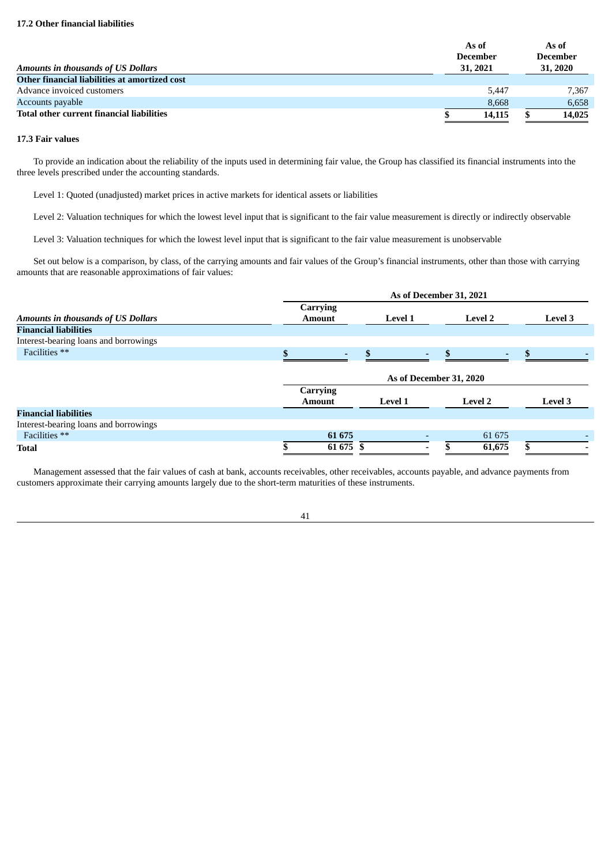|                                                  | As of<br><b>December</b> |          | As of<br><b>December</b> |
|--------------------------------------------------|--------------------------|----------|--------------------------|
| <b>Amounts in thousands of US Dollars</b>        |                          | 31, 2021 | 31, 2020                 |
| Other financial liabilities at amortized cost    |                          |          |                          |
| Advance invoiced customers                       |                          | 5.447    | 7.367                    |
| Accounts payable                                 |                          | 8.668    | 6,658                    |
| <b>Total other current financial liabilities</b> |                          | 14,115   | 14,025                   |

### **17.3 Fair values**

To provide an indication about the reliability of the inputs used in determining fair value, the Group has classified its financial instruments into the three levels prescribed under the accounting standards.

Level 1: Quoted (unadjusted) market prices in active markets for identical assets or liabilities

Level 2: Valuation techniques for which the lowest level input that is significant to the fair value measurement is directly or indirectly observable

Level 3: Valuation techniques for which the lowest level input that is significant to the fair value measurement is unobservable

Set out below is a comparison, by class, of the carrying amounts and fair values of the Group's financial instruments, other than those with carrying amounts that are reasonable approximations of fair values:

|                                           | As of December 31, 2021          |                                                                               |                |         |  |  |  |  |  |
|-------------------------------------------|----------------------------------|-------------------------------------------------------------------------------|----------------|---------|--|--|--|--|--|
| <b>Amounts in thousands of US Dollars</b> | <b>Carrying</b><br><b>Amount</b> | <b>Level 1</b>                                                                | <b>Level 2</b> | Level 3 |  |  |  |  |  |
| <b>Financial liabilities</b>              |                                  |                                                                               |                |         |  |  |  |  |  |
| Interest-bearing loans and borrowings     |                                  |                                                                               |                |         |  |  |  |  |  |
| Facilities **                             |                                  |                                                                               |                |         |  |  |  |  |  |
|                                           | <b>Carrying</b><br><b>Amount</b> | As of December 31, 2020<br><b>Level 3</b><br><b>Level 1</b><br><b>Level 2</b> |                |         |  |  |  |  |  |
| <b>Financial liabilities</b>              |                                  |                                                                               |                |         |  |  |  |  |  |
| Interest-bearing loans and borrowings     |                                  |                                                                               |                |         |  |  |  |  |  |
| Facilities **                             | 61 675                           |                                                                               | 61 675         |         |  |  |  |  |  |
| Total                                     | 61 675                           |                                                                               | 61,675         |         |  |  |  |  |  |

Management assessed that the fair values of cash at bank, accounts receivables, other receivables, accounts payable, and advance payments from customers approximate their carrying amounts largely due to the short-term maturities of these instruments.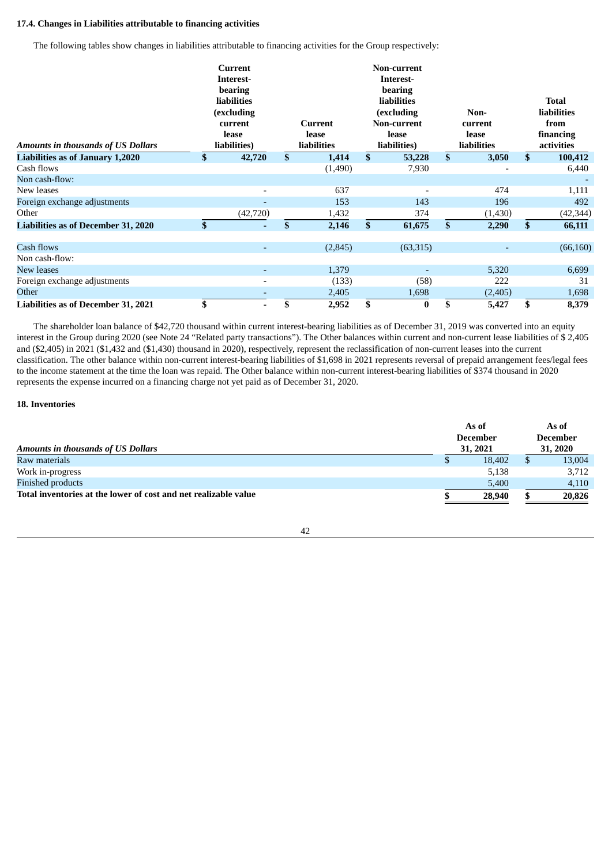# **17.4. Changes in Liabilities attributable to financing activities**

The following tables show changes in liabilities attributable to financing activities for the Group respectively:

| <b>Amounts in thousands of US Dollars</b>  | Current<br>Interest-<br>bearing<br><b>liabilities</b><br>(excluding<br>current<br>lease<br>liabilities) | Current<br>lease<br>liabilities | <b>Non-current</b><br>Interest-<br>bearing<br><b>liabilities</b><br>(excluding<br><b>Non-current</b><br>lease<br>liabilities) |              | Non-<br>current<br>lease<br>liabilities | <b>Total</b><br><b>liabilities</b><br>from<br>financing<br>activities |
|--------------------------------------------|---------------------------------------------------------------------------------------------------------|---------------------------------|-------------------------------------------------------------------------------------------------------------------------------|--------------|-----------------------------------------|-----------------------------------------------------------------------|
| <b>Liabilities as of January 1,2020</b>    | \$<br>42,720                                                                                            | \$<br>1,414                     | \$<br>53,228                                                                                                                  | $\mathbf{s}$ | 3,050                                   | \$<br>100,412                                                         |
| Cash flows                                 |                                                                                                         | (1,490)                         | 7,930                                                                                                                         |              |                                         | 6,440                                                                 |
| Non cash-flow:                             |                                                                                                         |                                 |                                                                                                                               |              |                                         |                                                                       |
| New leases                                 |                                                                                                         | 637                             |                                                                                                                               |              | 474                                     | 1,111                                                                 |
| Foreign exchange adjustments               |                                                                                                         | 153                             | 143                                                                                                                           |              | 196                                     | 492                                                                   |
| Other                                      | (42, 720)                                                                                               | 1,432                           | 374                                                                                                                           |              | (1,430)                                 | (42, 344)                                                             |
| <b>Liabilities as of December 31, 2020</b> | \$                                                                                                      | \$<br>2,146                     | \$<br>61,675                                                                                                                  | $\mathbf{s}$ | 2,290                                   | \$<br>66,111                                                          |
| Cash flows                                 |                                                                                                         | (2,845)                         | (63,315)                                                                                                                      |              |                                         | (66, 160)                                                             |
| Non cash-flow:                             |                                                                                                         |                                 |                                                                                                                               |              |                                         |                                                                       |
| New leases                                 |                                                                                                         | 1,379                           |                                                                                                                               |              | 5,320                                   | 6,699                                                                 |
| Foreign exchange adjustments               |                                                                                                         | (133)                           | (58)                                                                                                                          |              | 222                                     | 31                                                                    |
| Other                                      |                                                                                                         | 2,405                           | 1,698                                                                                                                         |              | (2,405)                                 | 1,698                                                                 |
| <b>Liabilities as of December 31, 2021</b> | \$                                                                                                      | \$<br>2,952                     | \$<br>$\bf{0}$                                                                                                                | \$           | 5,427                                   | \$<br>8,379                                                           |

The shareholder loan balance of \$42,720 thousand within current interest-bearing liabilities as of December 31, 2019 was converted into an equity interest in the Group during 2020 (see Note 24 "Related party transactions"). The Other balances within current and non-current lease liabilities of \$ 2,405 and (\$2,405) in 2021 (\$1,432 and (\$1,430) thousand in 2020), respectively, represent the reclassification of non-current leases into the current classification. The other balance within non-current interest-bearing liabilities of \$1,698 in 2021 represents reversal of prepaid arrangement fees/legal fees to the income statement at the time the loan was repaid. The Other balance within non-current interest-bearing liabilities of \$374 thousand in 2020 represents the expense incurred on a financing charge not yet paid as of December 31, 2020.

## **18. Inventories**

| <b>Amounts in thousands of US Dollars</b>                       |  | As of<br>December<br>31, 2021 | As of<br><b>December</b><br>31, 2020 |  |  |
|-----------------------------------------------------------------|--|-------------------------------|--------------------------------------|--|--|
| Raw materials                                                   |  | 18,402                        | 13,004                               |  |  |
| Work in-progress                                                |  | 5,138                         | 3,712                                |  |  |
| <b>Finished products</b>                                        |  | 5,400                         | 4,110                                |  |  |
| Total inventories at the lower of cost and net realizable value |  | 28,940                        | 20,826                               |  |  |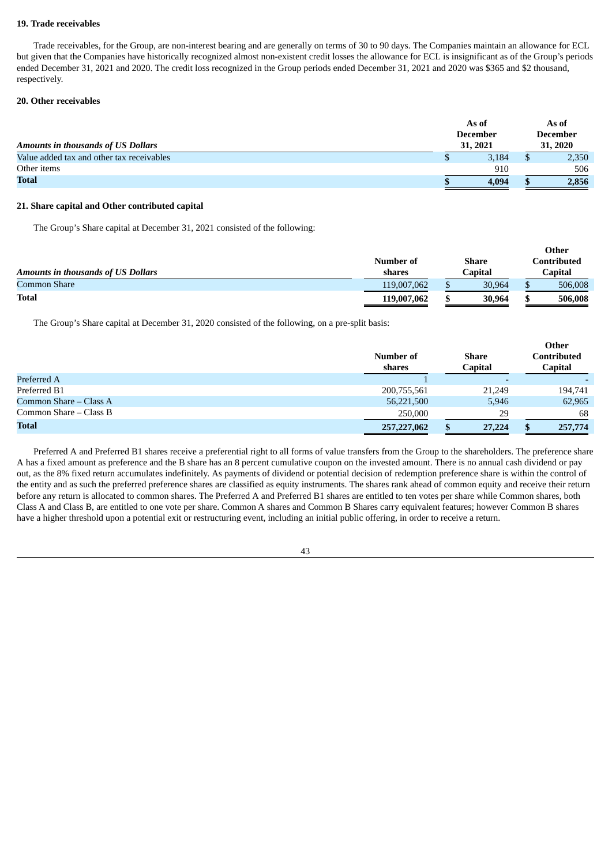### **19. Trade receivables**

Trade receivables, for the Group, are non-interest bearing and are generally on terms of 30 to 90 days. The Companies maintain an allowance for ECL but given that the Companies have historically recognized almost non-existent credit losses the allowance for ECL is insignificant as of the Group's periods ended December 31, 2021 and 2020. The credit loss recognized in the Group periods ended December 31, 2021 and 2020 was \$365 and \$2 thousand, respectively.

### **20. Other receivables**

| <b>Amounts in thousands of US Dollars</b> | As of<br><b>December</b><br>31, 2021 |       | As of<br><b>December</b><br>31, 2020 |       |
|-------------------------------------------|--------------------------------------|-------|--------------------------------------|-------|
| Value added tax and other tax receivables |                                      | 3.184 |                                      | 2,350 |
| Other items                               |                                      | 910   |                                      | 506   |
| <b>Total</b>                              |                                      | 4.094 |                                      | 2,856 |

# **21. Share capital and Other contributed capital**

The Group's Share capital at December 31, 2021 consisted of the following:

|                                           | Number of   | Share   | Other<br>Contributed |
|-------------------------------------------|-------------|---------|----------------------|
| <b>Amounts in thousands of US Dollars</b> | shares      | Capital | Capital              |
| Common Share                              | 119,007,062 | 30,964  | 506,008              |
| <b>Total</b>                              | 119,007,062 | 30,964  | 506,008              |

The Group's Share capital at December 31, 2020 consisted of the following, on a pre-split basis:

|                          | Number of<br>shares | Share<br><b>Capital</b> | Other<br>Contributed<br>Capital |
|--------------------------|---------------------|-------------------------|---------------------------------|
| Preferred A              |                     |                         |                                 |
| Preferred B1             | 200,755,561         | 21.249                  | 194,741                         |
| Common Share $-$ Class A | 56,221,500          | 5,946                   | 62,965                          |
| Common Share – Class B   | 250,000             | 29                      | 68                              |
| <b>Total</b>             | 257,227,062         | 27,224<br>S             | 257,774                         |

Preferred A and Preferred B1 shares receive a preferential right to all forms of value transfers from the Group to the shareholders. The preference share A has a fixed amount as preference and the B share has an 8 percent cumulative coupon on the invested amount. There is no annual cash dividend or pay out, as the 8% fixed return accumulates indefinitely. As payments of dividend or potential decision of redemption preference share is within the control of the entity and as such the preferred preference shares are classified as equity instruments. The shares rank ahead of common equity and receive their return before any return is allocated to common shares. The Preferred A and Preferred B1 shares are entitled to ten votes per share while Common shares, both Class A and Class B, are entitled to one vote per share. Common A shares and Common B Shares carry equivalent features; however Common B shares have a higher threshold upon a potential exit or restructuring event, including an initial public offering, in order to receive a return.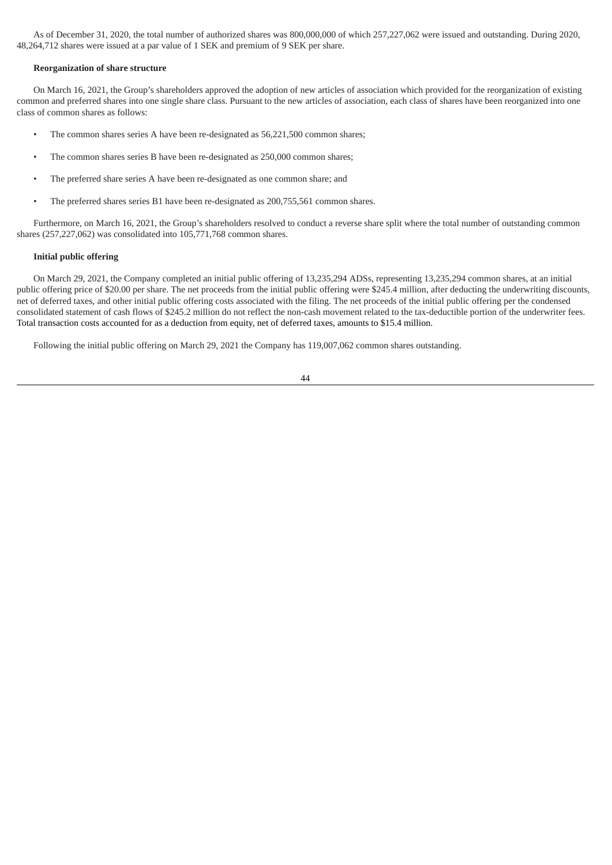As of December 31, 2020, the total number of authorized shares was 800,000,000 of which 257,227,062 were issued and outstanding. During 2020, 48,264,712 shares were issued at a par value of 1 SEK and premium of 9 SEK per share.

#### **Reorganization of share structure**

On March 16, 2021, the Group's shareholders approved the adoption of new articles of association which provided for the reorganization of existing common and preferred shares into one single share class. Pursuant to the new articles of association, each class of shares have been reorganized into one class of common shares as follows:

- The common shares series A have been re-designated as 56,221,500 common shares;
- The common shares series B have been re-designated as 250,000 common shares;
- The preferred share series A have been re-designated as one common share; and
- The preferred shares series B1 have been re-designated as 200,755,561 common shares.

Furthermore, on March 16, 2021, the Group's shareholders resolved to conduct a reverse share split where the total number of outstanding common shares (257,227,062) was consolidated into 105,771,768 common shares.

### **Initial public offering**

On March 29, 2021, the Company completed an initial public offering of 13,235,294 ADSs, representing 13,235,294 common shares, at an initial public offering price of \$20.00 per share. The net proceeds from the initial public offering were \$245.4 million, after deducting the underwriting discounts, net of deferred taxes, and other initial public offering costs associated with the filing. The net proceeds of the initial public offering per the condensed consolidated statement of cash flows of \$245.2 million do not reflect the non-cash movement related to the tax-deductible portion of the underwriter fees. Total transaction costs accounted for as a deduction from equity, net of deferred taxes, amounts to \$15.4 million.

Following the initial public offering on March 29, 2021 the Company has 119,007,062 common shares outstanding.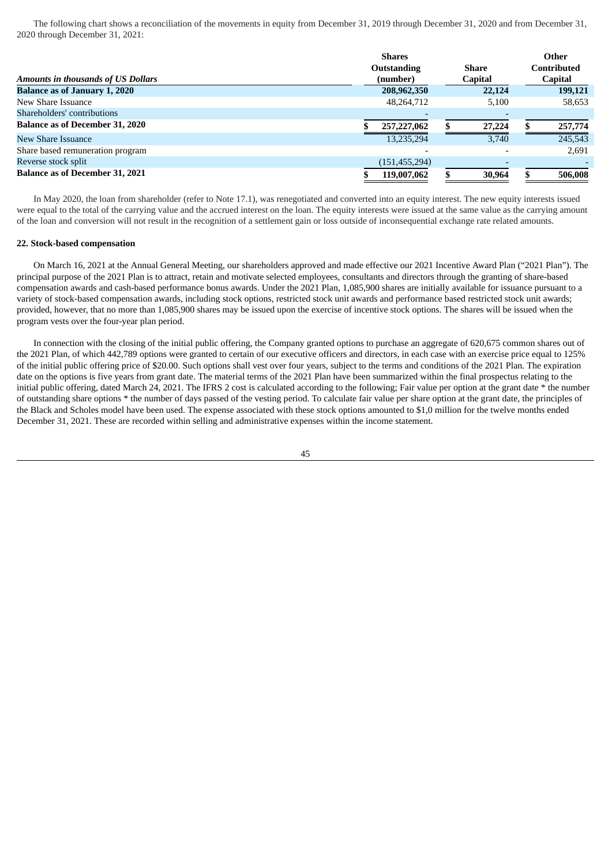The following chart shows a reconciliation of the movements in equity from December 31, 2019 through December 31, 2020 and from December 31, 2020 through December 31, 2021:

|                                           | <b>Shares</b>      |                | Other          |
|-------------------------------------------|--------------------|----------------|----------------|
|                                           | <b>Outstanding</b> | Share          | Contributed    |
| <b>Amounts in thousands of US Dollars</b> | (number)           | <b>Capital</b> | <b>Capital</b> |
| <b>Balance as of January 1, 2020</b>      | 208,962,350        | 22,124         | 199,121        |
| New Share Issuance                        | 48,264,712         | 5,100          | 58,653         |
| Shareholders' contributions               |                    |                |                |
| <b>Balance as of December 31, 2020</b>    | 257,227,062        | 27,224         | 257,774        |
| New Share Issuance                        | 13,235,294         | 3.740          | 245,543        |
| Share based remuneration program          |                    |                | 2.691          |
| Reverse stock split                       | (151, 455, 294)    |                |                |
| <b>Balance as of December 31, 2021</b>    | 119,007,062        | 30,964         | 506,008        |

In May 2020, the loan from shareholder (refer to Note 17.1), was renegotiated and converted into an equity interest. The new equity interests issued were equal to the total of the carrying value and the accrued interest on the loan. The equity interests were issued at the same value as the carrying amount of the loan and conversion will not result in the recognition of a settlement gain or loss outside of inconsequential exchange rate related amounts.

#### **22. Stock-based compensation**

On March 16, 2021 at the Annual General Meeting, our shareholders approved and made effective our 2021 Incentive Award Plan ("2021 Plan"). The principal purpose of the 2021 Plan is to attract, retain and motivate selected employees, consultants and directors through the granting of share-based compensation awards and cash-based performance bonus awards. Under the 2021 Plan, 1,085,900 shares are initially available for issuance pursuant to a variety of stock-based compensation awards, including stock options, restricted stock unit awards and performance based restricted stock unit awards; provided, however, that no more than 1,085,900 shares may be issued upon the exercise of incentive stock options. The shares will be issued when the program vests over the four-year plan period.

In connection with the closing of the initial public offering, the Company granted options to purchase an aggregate of 620,675 common shares out of the 2021 Plan, of which 442,789 options were granted to certain of our executive officers and directors, in each case with an exercise price equal to 125% of the initial public offering price of \$20.00. Such options shall vest over four years, subject to the terms and conditions of the 2021 Plan. The expiration date on the options is five years from grant date. The material terms of the 2021 Plan have been summarized within the final prospectus relating to the initial public offering, dated March 24, 2021. The IFRS 2 cost is calculated according to the following; Fair value per option at the grant date \* the number of outstanding share options \* the number of days passed of the vesting period. To calculate fair value per share option at the grant date, the principles of the Black and Scholes model have been used. The expense associated with these stock options amounted to \$1,0 million for the twelve months ended December 31, 2021. These are recorded within selling and administrative expenses within the income statement.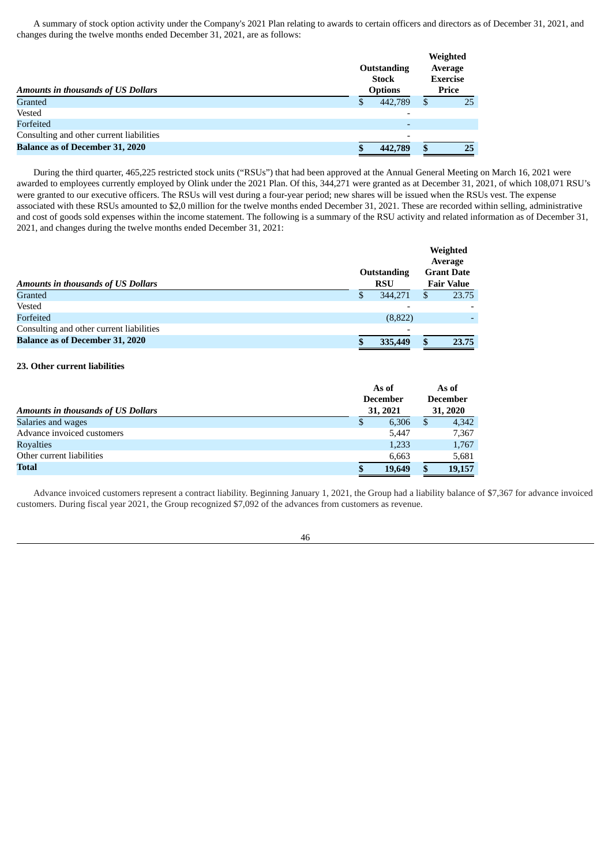A summary of stock option activity under the Company's 2021 Plan relating to awards to certain officers and directors as of December 31, 2021, and changes during the twelve months ended December 31, 2021, are as follows:

| <b>Amounts in thousands of US Dollars</b> | Outstanding<br><b>Stock</b><br><b>Options</b> |         | Weighted<br>Average<br><b>Exercise</b><br>Price |    |
|-------------------------------------------|-----------------------------------------------|---------|-------------------------------------------------|----|
| <b>Granted</b>                            | S                                             | 442,789 | \$                                              | 25 |
| Vested                                    |                                               |         |                                                 |    |
| Forfeited                                 |                                               |         |                                                 |    |
| Consulting and other current liabilities  |                                               |         |                                                 |    |
| <b>Balance as of December 31, 2020</b>    |                                               | 442,789 | \$.                                             | 25 |

During the third quarter, 465,225 restricted stock units ("RSUs") that had been approved at the Annual General Meeting on March 16, 2021 were awarded to employees currently employed by Olink under the 2021 Plan. Of this, 344,271 were granted as at December 31, 2021, of which 108,071 RSU's were granted to our executive officers. The RSUs will vest during a four-year period; new shares will be issued when the RSUs vest. The expense associated with these RSUs amounted to \$2,0 million for the twelve months ended December 31, 2021. These are recorded within selling, administrative and cost of goods sold expenses within the income statement. The following is a summary of the RSU activity and related information as of December 31, 2021, and changes during the twelve months ended December 31, 2021:

|                                           |                                  | Weighted<br>Average                    |
|-------------------------------------------|----------------------------------|----------------------------------------|
| <b>Amounts in thousands of US Dollars</b> | <b>Outstanding</b><br><b>RSU</b> | <b>Grant Date</b><br><b>Fair Value</b> |
| <b>Granted</b>                            | 344,271<br>S                     | 23.75<br>S                             |
| Vested                                    |                                  |                                        |
| Forfeited                                 | (8,822)                          |                                        |
| Consulting and other current liabilities  | -                                |                                        |
| <b>Balance as of December 31, 2020</b>    | 335,449                          | 23.75<br>\$                            |

### **23. Other current liabilities**

| <b>Amounts in thousands of US Dollars</b> | As of<br><b>December</b><br>31, 2021 |        | As of<br><b>December</b><br>31, 2020 |        |
|-------------------------------------------|--------------------------------------|--------|--------------------------------------|--------|
| Salaries and wages                        | S                                    | 6,306  | \$                                   | 4,342  |
| Advance invoiced customers                |                                      | 5.447  |                                      | 7,367  |
| <b>Royalties</b>                          |                                      | 1,233  |                                      | 1,767  |
| Other current liabilities                 |                                      | 6,663  |                                      | 5,681  |
| Total                                     | S                                    | 19,649 | S                                    | 19,157 |

Advance invoiced customers represent a contract liability. Beginning January 1, 2021, the Group had a liability balance of \$7,367 for advance invoiced customers. During fiscal year 2021, the Group recognized \$7,092 of the advances from customers as revenue.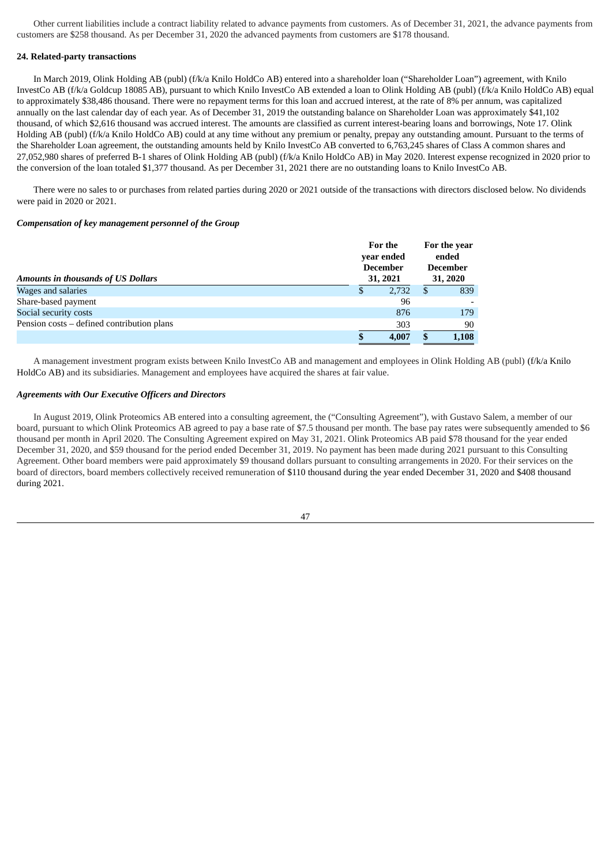Other current liabilities include a contract liability related to advance payments from customers. As of December 31, 2021, the advance payments from customers are \$258 thousand. As per December 31, 2020 the advanced payments from customers are \$178 thousand.

#### **24. Related-party transactions**

In March 2019, Olink Holding AB (publ) (f/k/a Knilo HoldCo AB) entered into a shareholder loan ("Shareholder Loan") agreement, with Knilo InvestCo AB (f/k/a Goldcup 18085 AB), pursuant to which Knilo InvestCo AB extended a loan to Olink Holding AB (publ) (f/k/a Knilo HoldCo AB) equal to approximately \$38,486 thousand. There were no repayment terms for this loan and accrued interest, at the rate of 8% per annum, was capitalized annually on the last calendar day of each year. As of December 31, 2019 the outstanding balance on Shareholder Loan was approximately \$41,102 thousand, of which \$2,616 thousand was accrued interest. The amounts are classified as current interest-bearing loans and borrowings, Note 17. Olink Holding AB (publ) (f/k/a Knilo HoldCo AB) could at any time without any premium or penalty, prepay any outstanding amount. Pursuant to the terms of the Shareholder Loan agreement, the outstanding amounts held by Knilo InvestCo AB converted to 6,763,245 shares of Class A common shares and 27,052,980 shares of preferred B-1 shares of Olink Holding AB (publ) (f/k/a Knilo HoldCo AB) in May 2020. Interest expense recognized in 2020 prior to the conversion of the loan totaled \$1,377 thousand. As per December 31, 2021 there are no outstanding loans to Knilo InvestCo AB.

There were no sales to or purchases from related parties during 2020 or 2021 outside of the transactions with directors disclosed below. No dividends were paid in 2020 or 2021.

### *Compensation of key management personnel of the Group*

| <b>Amounts in thousands of US Dollars</b>  | For the<br>year ended<br><b>December</b><br>31, 2021 |       |   |       | For the year<br>ended<br><b>December</b><br>31, 2020 |  |
|--------------------------------------------|------------------------------------------------------|-------|---|-------|------------------------------------------------------|--|
| Wages and salaries                         |                                                      | 2,732 | S | 839   |                                                      |  |
| Share-based payment                        |                                                      | 96    |   |       |                                                      |  |
| Social security costs                      |                                                      | 876   |   | 179   |                                                      |  |
| Pension costs - defined contribution plans |                                                      | 303   |   | 90    |                                                      |  |
|                                            |                                                      | 4,007 | S | 1,108 |                                                      |  |

A management investment program exists between Knilo InvestCo AB and management and employees in Olink Holding AB (publ) (f/k/a Knilo HoldCo AB) and its subsidiaries. Management and employees have acquired the shares at fair value.

### *Agreements with Our Executive Officers and Directors*

In August 2019, Olink Proteomics AB entered into a consulting agreement, the ("Consulting Agreement"), with Gustavo Salem, a member of our board, pursuant to which Olink Proteomics AB agreed to pay a base rate of \$7.5 thousand per month. The base pay rates were subsequently amended to \$6 thousand per month in April 2020. The Consulting Agreement expired on May 31, 2021. Olink Proteomics AB paid \$78 thousand for the year ended December 31, 2020, and \$59 thousand for the period ended December 31, 2019. No payment has been made during 2021 pursuant to this Consulting Agreement. Other board members were paid approximately \$9 thousand dollars pursuant to consulting arrangements in 2020. For their services on the board of directors, board members collectively received remuneration of \$110 thousand during the year ended December 31, 2020 and \$408 thousand during 2021.

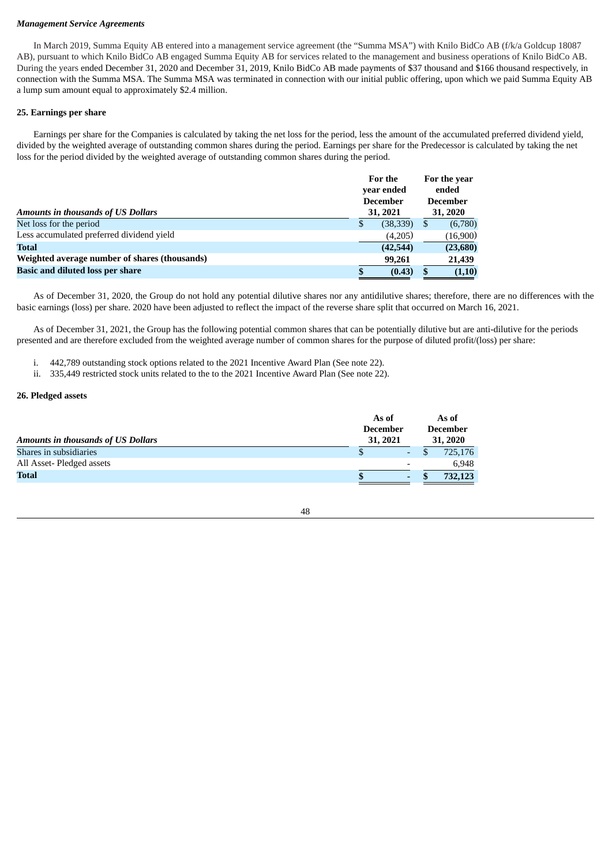### *Management Service Agreements*

In March 2019, Summa Equity AB entered into a management service agreement (the "Summa MSA") with Knilo BidCo AB (f/k/a Goldcup 18087 AB), pursuant to which Knilo BidCo AB engaged Summa Equity AB for services related to the management and business operations of Knilo BidCo AB. During the years ended December 31, 2020 and December 31, 2019, Knilo BidCo AB made payments of \$37 thousand and \$166 thousand respectively, in connection with the Summa MSA. The Summa MSA was terminated in connection with our initial public offering, upon which we paid Summa Equity AB a lump sum amount equal to approximately \$2.4 million.

### **25. Earnings per share**

Earnings per share for the Companies is calculated by taking the net loss for the period, less the amount of the accumulated preferred dividend yield, divided by the weighted average of outstanding common shares during the period. Earnings per share for the Predecessor is calculated by taking the net loss for the period divided by the weighted average of outstanding common shares during the period.

|                                               | For the<br>year ended |           |   | For the year<br>ended |  |  |  |                 |
|-----------------------------------------------|-----------------------|-----------|---|-----------------------|--|--|--|-----------------|
|                                               | <b>December</b>       |           |   |                       |  |  |  | <b>December</b> |
| <b>Amounts in thousands of US Dollars</b>     |                       | 31, 2021  |   | 31, 2020              |  |  |  |                 |
| Net loss for the period                       | S                     | (38, 339) | S | (6,780)               |  |  |  |                 |
| Less accumulated preferred dividend yield     |                       | (4,205)   |   | (16,900)              |  |  |  |                 |
| <b>Total</b>                                  |                       | (42,544)  |   | (23,680)              |  |  |  |                 |
| Weighted average number of shares (thousands) |                       | 99,261    |   | 21,439                |  |  |  |                 |
| <b>Basic and diluted loss per share</b>       | S                     | (0.43)    |   | (1,10)                |  |  |  |                 |

As of December 31, 2020, the Group do not hold any potential dilutive shares nor any antidilutive shares; therefore, there are no differences with the basic earnings (loss) per share. 2020 have been adjusted to reflect the impact of the reverse share split that occurred on March 16, 2021.

As of December 31, 2021, the Group has the following potential common shares that can be potentially dilutive but are anti-dilutive for the periods presented and are therefore excluded from the weighted average number of common shares for the purpose of diluted profit/(loss) per share:

i. 442,789 outstanding stock options related to the 2021 Incentive Award Plan (See note 22).

ii. 335,449 restricted stock units related to the to the 2021 Incentive Award Plan (See note 22).

#### **26. Pledged assets**

| <b>Amounts in thousands of US Dollars</b> |  | As of<br><b>December</b> |  | 31, 2021 |  |  |  | As of<br><b>December</b><br>31, 2020 |
|-------------------------------------------|--|--------------------------|--|----------|--|--|--|--------------------------------------|
| Shares in subsidiaries                    |  | -                        |  | 725,176  |  |  |  |                                      |
| All Asset-Pledged assets                  |  | ۰                        |  | 6.948    |  |  |  |                                      |
| <b>Total</b>                              |  | -                        |  | 732,123  |  |  |  |                                      |

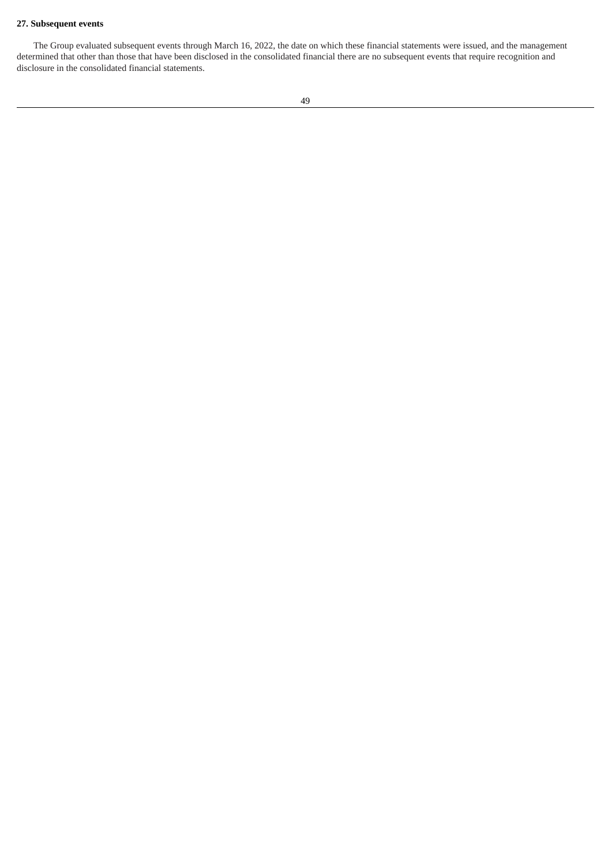# **27. Subsequent events**

The Group evaluated subsequent events through March 16, 2022, the date on which these financial statements were issued, and the management determined that other than those that have been disclosed in the consolidated financial there are no subsequent events that require recognition and disclosure in the consolidated financial statements.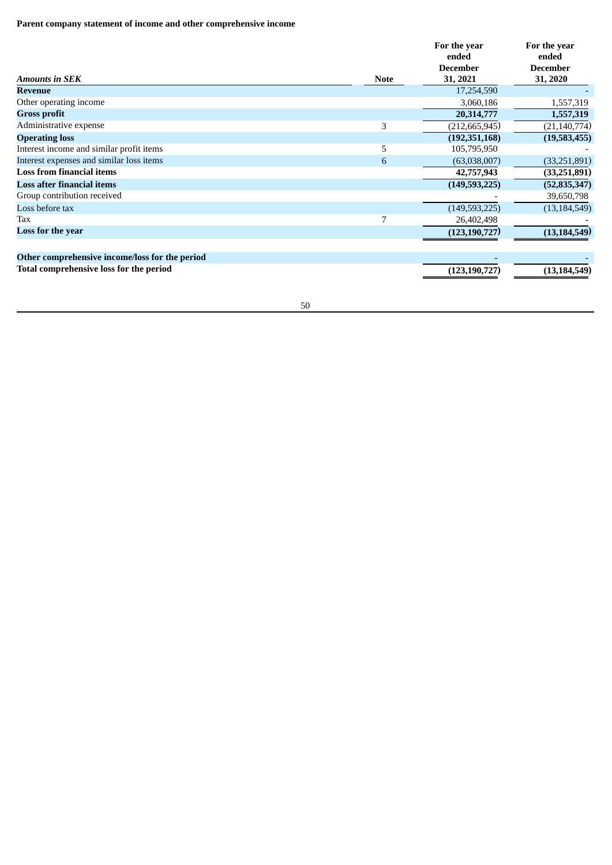# **Parent company statement of income and other comprehensive income**

| <b>Amounts in SEK</b>                          | <b>Note</b> | For the year<br>ended<br><b>December</b><br>31, 2021 | For the year<br>ended<br><b>December</b><br>31, 2020 |
|------------------------------------------------|-------------|------------------------------------------------------|------------------------------------------------------|
| Revenue                                        |             | 17,254,590                                           |                                                      |
| Other operating income                         |             | 3,060,186                                            | 1,557,319                                            |
| <b>Gross profit</b>                            |             | 20,314,777                                           | 1,557,319                                            |
| Administrative expense                         | 3           | (212, 665, 945)                                      | (21, 140, 774)                                       |
| <b>Operating loss</b>                          |             | (192, 351, 168)                                      | (19,583,455)                                         |
| Interest income and similar profit items       | 5           | 105,795,950                                          |                                                      |
| Interest expenses and similar loss items       | 6           | (63,038,007)                                         | (33, 251, 891)                                       |
| <b>Loss from financial items</b>               |             | 42,757,943                                           | (33, 251, 891)                                       |
| <b>Loss after financial items</b>              |             | (149, 593, 225)                                      | (52, 835, 347)                                       |
| Group contribution received                    |             |                                                      | 39,650,798                                           |
| Loss before tax                                |             | (149, 593, 225)                                      | (13, 184, 549)                                       |
| Tax                                            | 7           | 26,402,498                                           |                                                      |
| Loss for the year                              |             | (123, 190, 727)                                      | (13, 184, 549)                                       |
| Other comprehensive income/loss for the period |             |                                                      |                                                      |
| Total comprehensive loss for the period        |             | (123, 190, 727)                                      | (13, 184, 549)                                       |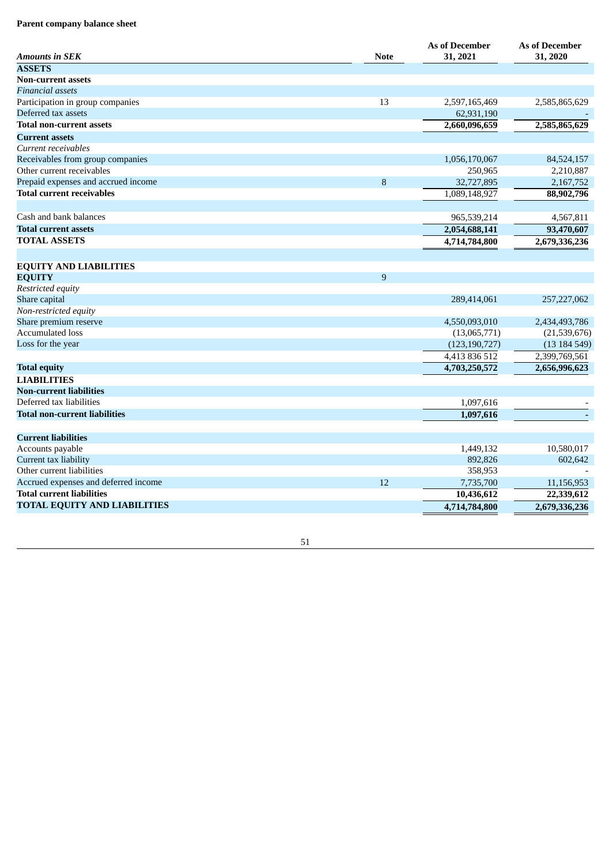### Parent company balance sheet

| <b>Amounts in SEK</b>                | <b>Note</b> | <b>As of December</b><br>31, 2021 | <b>As of December</b><br>31, 2020 |
|--------------------------------------|-------------|-----------------------------------|-----------------------------------|
| <b>ASSETS</b>                        |             |                                   |                                   |
| <b>Non-current assets</b>            |             |                                   |                                   |
| <b>Financial assets</b>              |             |                                   |                                   |
| Participation in group companies     | 13          | 2,597,165,469                     | 2,585,865,629                     |
| Deferred tax assets                  |             | 62,931,190                        |                                   |
| <b>Total non-current assets</b>      |             | 2,660,096,659                     | 2,585,865,629                     |
| <b>Current assets</b>                |             |                                   |                                   |
| Current receivables                  |             |                                   |                                   |
| Receivables from group companies     |             | 1,056,170,067                     | 84,524,157                        |
| Other current receivables            |             | 250,965                           | 2,210,887                         |
| Prepaid expenses and accrued income  | 8           | 32,727,895                        | 2,167,752                         |
| <b>Total current receivables</b>     |             | 1,089,148,927                     | 88,902,796                        |
|                                      |             |                                   |                                   |
| Cash and bank balances               |             | 965,539,214                       | 4,567,811                         |
| <b>Total current assets</b>          |             | 2,054,688,141                     | 93,470,607                        |
| <b>TOTAL ASSETS</b>                  |             | 4,714,784,800                     | 2,679,336,236                     |
|                                      |             |                                   |                                   |
| <b>EQUITY AND LIABILITIES</b>        |             |                                   |                                   |
| <b>EQUITY</b>                        | 9           |                                   |                                   |
| Restricted equity                    |             |                                   |                                   |
| Share capital                        |             | 289,414,061                       | 257,227,062                       |
| Non-restricted equity                |             |                                   |                                   |
| Share premium reserve                |             | 4,550,093,010                     | 2,434,493,786                     |
| <b>Accumulated loss</b>              |             | (13,065,771)                      | (21,539,676)                      |
| Loss for the year                    |             | (123, 190, 727)                   | (13184549)                        |
|                                      |             | 4,413 836 512                     | 2,399,769,561                     |
| <b>Total equity</b>                  |             | 4,703,250,572                     | 2,656,996,623                     |
| <b>LIABILITIES</b>                   |             |                                   |                                   |
| <b>Non-current liabilities</b>       |             |                                   |                                   |
| Deferred tax liabilities             |             | 1,097,616                         |                                   |
| Total non-current liabilities        |             | 1,097,616                         |                                   |
|                                      |             |                                   |                                   |
| <b>Current liabilities</b>           |             |                                   |                                   |
| Accounts payable                     |             | 1,449,132                         | 10,580,017                        |
| Current tax liability                |             | 892,826                           | 602,642                           |
| Other current liabilities            |             | 358,953                           |                                   |
| Accrued expenses and deferred income | 12          | 7,735,700                         | 11,156,953                        |
| <b>Total current liabilities</b>     |             | 10,436,612                        | 22,339,612                        |
| <b>TOTAL EQUITY AND LIABILITIES</b>  |             | 4,714,784,800                     | 2,679,336,236                     |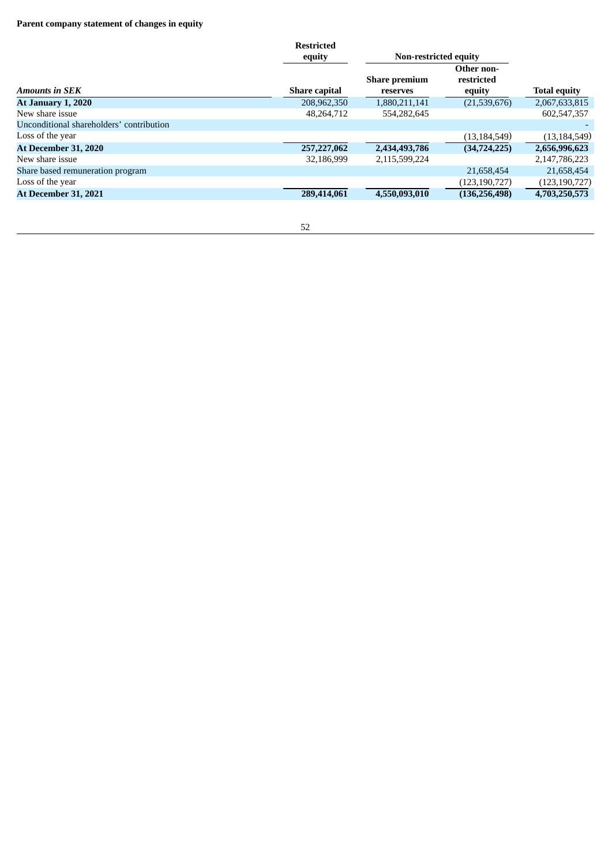# **Parent company statement of changes in equity**

|                                          | <b>Restricted</b><br>equity | <b>Non-restricted equity</b>     |                                    |                     |
|------------------------------------------|-----------------------------|----------------------------------|------------------------------------|---------------------|
| Amounts in SEK                           | <b>Share capital</b>        | <b>Share premium</b><br>reserves | Other non-<br>restricted<br>equity | <b>Total equity</b> |
| <b>At January 1, 2020</b>                | 208,962,350                 | 1,880,211,141                    | (21,539,676)                       | 2,067,633,815       |
| New share issue                          | 48.264.712                  | 554,282,645                      |                                    | 602.547.357         |
| Unconditional shareholders' contribution |                             |                                  |                                    |                     |
| Loss of the vear                         |                             |                                  | (13, 184, 549)                     | (13, 184, 549)      |
| <b>At December 31, 2020</b>              | 257,227,062                 | 2,434,493,786                    | (34, 724, 225)                     | 2,656,996,623       |
| New share issue                          | 32,186,999                  | 2,115,599,224                    |                                    | 2,147,786,223       |
| Share based remuneration program         |                             |                                  | 21,658,454                         | 21,658,454          |
| Loss of the year                         |                             |                                  | (123, 190, 727)                    | (123,190,727)       |
| <b>At December 31, 2021</b>              | 289,414,061                 | 4,550,093,010                    | (136, 256, 498)                    | 4,703,250,573       |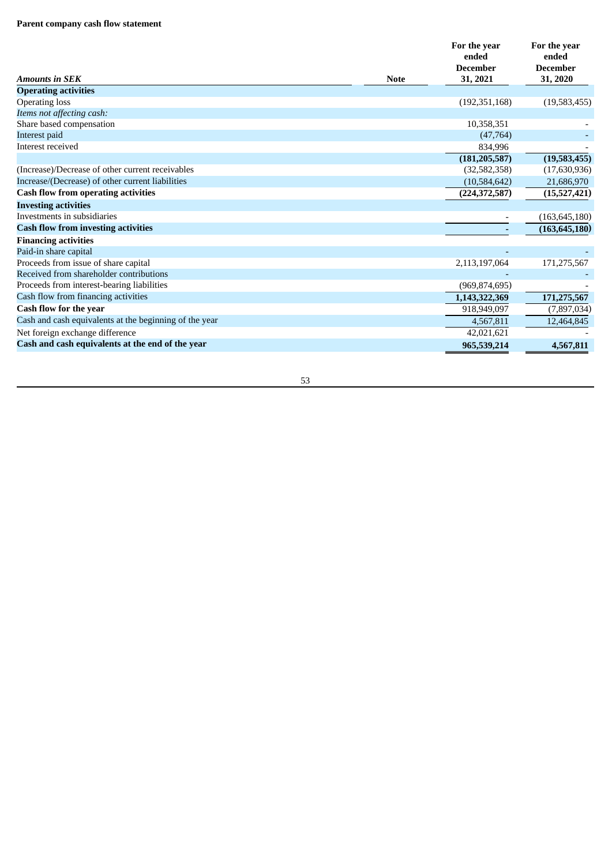#### Parent company cash flow statement

| <b>Amounts in SEK</b><br><b>Note</b>                   | For the year<br>ended<br><b>December</b><br>31, 2021 | For the year<br>ended<br><b>December</b><br>31, 2020 |
|--------------------------------------------------------|------------------------------------------------------|------------------------------------------------------|
| <b>Operating activities</b>                            |                                                      |                                                      |
| <b>Operating loss</b>                                  | (192, 351, 168)                                      | (19,583,455)                                         |
| Items not affecting cash:                              |                                                      |                                                      |
| Share based compensation                               | 10,358,351                                           |                                                      |
| Interest paid                                          | (47,764)                                             |                                                      |
| Interest received                                      | 834,996                                              |                                                      |
|                                                        | (181, 205, 587)                                      | (19,583,455)                                         |
| (Increase)/Decrease of other current receivables       | (32,582,358)                                         | (17,630,936)                                         |
| Increase/(Decrease) of other current liabilities       | (10,584,642)                                         | 21,686,970                                           |
| <b>Cash flow from operating activities</b>             | (224, 372, 587)                                      | (15,527,421)                                         |
| <b>Investing activities</b>                            |                                                      |                                                      |
| Investments in subsidiaries                            |                                                      | (163, 645, 180)                                      |
| <b>Cash flow from investing activities</b>             |                                                      | (163, 645, 180)                                      |
| <b>Financing activities</b>                            |                                                      |                                                      |
| Paid-in share capital                                  |                                                      |                                                      |
| Proceeds from issue of share capital                   | 2,113,197,064                                        | 171,275,567                                          |
| Received from shareholder contributions                |                                                      |                                                      |
| Proceeds from interest-bearing liabilities             | (969, 874, 695)                                      |                                                      |
| Cash flow from financing activities                    | 1,143,322,369                                        | 171,275,567                                          |
| Cash flow for the year                                 | 918,949,097                                          | (7,897,034)                                          |
| Cash and cash equivalents at the beginning of the year | 4,567,811                                            | 12,464,845                                           |
| Net foreign exchange difference                        | 42,021,621                                           |                                                      |
| Cash and cash equivalents at the end of the year       | 965,539,214                                          | 4,567,811                                            |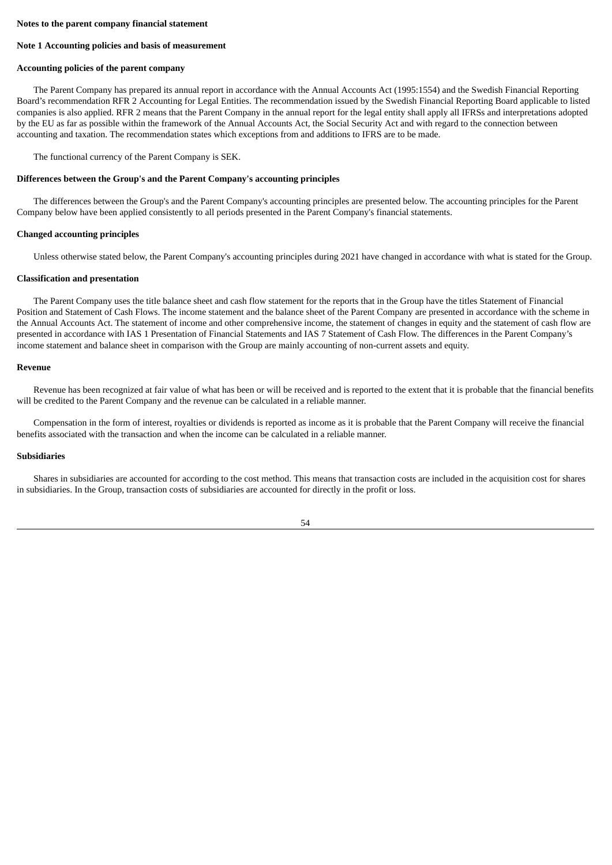#### **Notes to the parent company financial statement**

#### **Note 1 Accounting policies and basis of measurement**

#### **Accounting policies of the parent company**

The Parent Company has prepared its annual report in accordance with the Annual Accounts Act (1995:1554) and the Swedish Financial Reporting Board's recommendation RFR 2 Accounting for Legal Entities. The recommendation issued by the Swedish Financial Reporting Board applicable to listed companies is also applied. RFR 2 means that the Parent Company in the annual report for the legal entity shall apply all IFRSs and interpretations adopted by the EU as far as possible within the framework of the Annual Accounts Act, the Social Security Act and with regard to the connection between accounting and taxation. The recommendation states which exceptions from and additions to IFRS are to be made.

The functional currency of the Parent Company is SEK.

#### **Differences between the Group's and the Parent Company's accounting principles**

The differences between the Group's and the Parent Company's accounting principles are presented below. The accounting principles for the Parent Company below have been applied consistently to all periods presented in the Parent Company's financial statements.

#### **Changed accounting principles**

Unless otherwise stated below, the Parent Company's accounting principles during 2021 have changed in accordance with what is stated for the Group.

#### **Classification and presentation**

The Parent Company uses the title balance sheet and cash flow statement for the reports that in the Group have the titles Statement of Financial Position and Statement of Cash Flows. The income statement and the balance sheet of the Parent Company are presented in accordance with the scheme in the Annual Accounts Act. The statement of income and other comprehensive income, the statement of changes in equity and the statement of cash flow are presented in accordance with IAS 1 Presentation of Financial Statements and IAS 7 Statement of Cash Flow. The differences in the Parent Company's income statement and balance sheet in comparison with the Group are mainly accounting of non-current assets and equity.

#### **Revenue**

Revenue has been recognized at fair value of what has been or will be received and is reported to the extent that it is probable that the financial benefits will be credited to the Parent Company and the revenue can be calculated in a reliable manner.

Compensation in the form of interest, royalties or dividends is reported as income as it is probable that the Parent Company will receive the financial benefits associated with the transaction and when the income can be calculated in a reliable manner.

### **Subsidiaries**

Shares in subsidiaries are accounted for according to the cost method. This means that transaction costs are included in the acquisition cost for shares in subsidiaries. In the Group, transaction costs of subsidiaries are accounted for directly in the profit or loss.

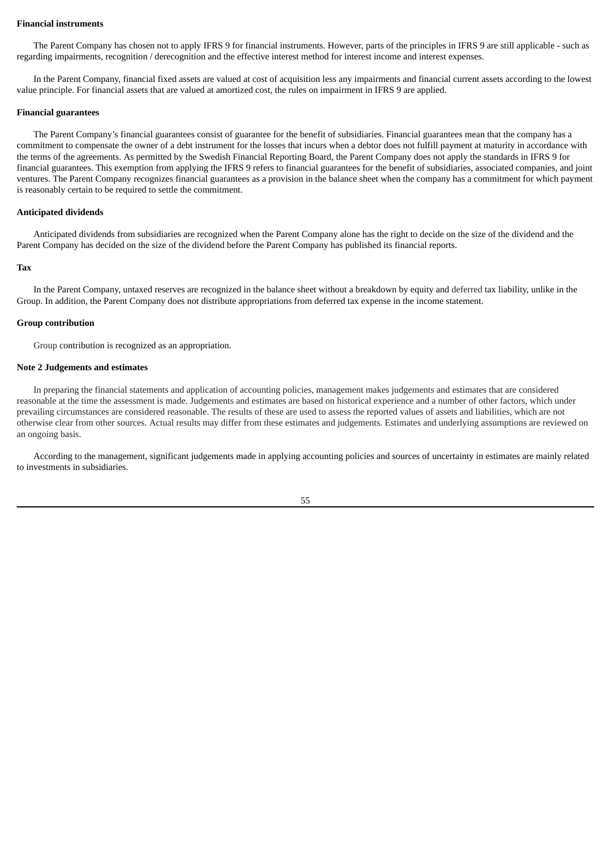#### **Financial instruments**

The Parent Company has chosen not to apply IFRS 9 for financial instruments. However, parts of the principles in IFRS 9 are still applicable - such as regarding impairments, recognition / derecognition and the effective interest method for interest income and interest expenses.

In the Parent Company, financial fixed assets are valued at cost of acquisition less any impairments and financial current assets according to the lowest value principle. For financial assets that are valued at amortized cost, the rules on impairment in IFRS 9 are applied.

#### **Financial guarantees**

The Parent Company's financial guarantees consist of guarantee for the benefit of subsidiaries. Financial guarantees mean that the company has a commitment to compensate the owner of a debt instrument for the losses that incurs when a debtor does not fulfill payment at maturity in accordance with the terms of the agreements. As permitted by the Swedish Financial Reporting Board, the Parent Company does not apply the standards in IFRS 9 for financial guarantees. This exemption from applying the IFRS 9 refers to financial guarantees for the benefit of subsidiaries, associated companies, and joint ventures. The Parent Company recognizes financial guarantees as a provision in the balance sheet when the company has a commitment for which payment is reasonably certain to be required to settle the commitment.

#### **Anticipated dividends**

Anticipated dividends from subsidiaries are recognized when the Parent Company alone has the right to decide on the size of the dividend and the Parent Company has decided on the size of the dividend before the Parent Company has published its financial reports.

#### **Tax**

In the Parent Company, untaxed reserves are recognized in the balance sheet without a breakdown by equity and deferred tax liability, unlike in the Group. In addition, the Parent Company does not distribute appropriations from deferred tax expense in the income statement.

#### **Group contribution**

Group contribution is recognized as an appropriation.

#### **Note 2 Judgements and estimates**

In preparing the financial statements and application of accounting policies, management makes judgements and estimates that are considered reasonable at the time the assessment is made. Judgements and estimates are based on historical experience and a number of other factors, which under prevailing circumstances are considered reasonable. The results of these are used to assess the reported values of assets and liabilities, which are not otherwise clear from other sources. Actual results may differ from these estimates and judgements. Estimates and underlying assumptions are reviewed on an ongoing basis.

According to the management, significant judgements made in applying accounting policies and sources of uncertainty in estimates are mainly related to investments in subsidiaries.

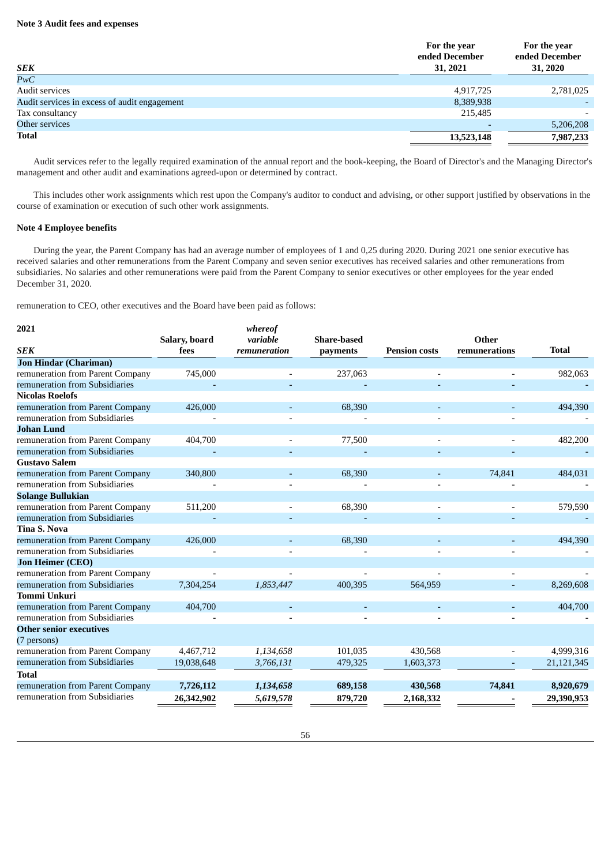### **Note 3 Audit fees and expenses**

| <b>SEK</b>                                   | For the year<br>ended December<br>31, 2021 | For the year<br>ended December<br>31, 2020 |
|----------------------------------------------|--------------------------------------------|--------------------------------------------|
| $\overline{PwC}$                             |                                            |                                            |
| Audit services                               | 4,917,725                                  | 2,781,025                                  |
| Audit services in excess of audit engagement | 8,389,938                                  |                                            |
| Tax consultancy                              | 215,485                                    |                                            |
| Other services                               |                                            | 5,206,208                                  |
| <b>Total</b>                                 | 13,523,148                                 | 7,987,233                                  |

Audit services refer to the legally required examination of the annual report and the book-keeping, the Board of Director's and the Managing Director's management and other audit and examinations agreed-upon or determined by contract.

This includes other work assignments which rest upon the Company's auditor to conduct and advising, or other support justified by observations in the course of examination or execution of such other work assignments.

### **Note 4 Employee benefits**

During the year, the Parent Company has had an average number of employees of 1 and 0,25 during 2020. During 2021 one senior executive has received salaries and other remunerations from the Parent Company and seven senior executives has received salaries and other remunerations from subsidiaries. No salaries and other remunerations were paid from the Parent Company to senior executives or other employees for the year ended December 31, 2020.

remuneration to CEO, other executives and the Board have been paid as follows:

| 2021                             |               | whereof      |                    |                      |               |              |
|----------------------------------|---------------|--------------|--------------------|----------------------|---------------|--------------|
|                                  | Salary, board | variable     | <b>Share-based</b> |                      | Other         |              |
| <b>SEK</b>                       | fees          | remuneration | payments           | <b>Pension costs</b> | remunerations | <b>Total</b> |
| <b>Jon Hindar (Chariman)</b>     |               |              |                    |                      |               |              |
| remuneration from Parent Company | 745,000       |              | 237,063            |                      |               | 982,063      |
| remuneration from Subsidiaries   |               |              |                    |                      |               |              |
| <b>Nicolas Roelofs</b>           |               |              |                    |                      |               |              |
| remuneration from Parent Company | 426,000       |              | 68,390             |                      |               | 494,390      |
| remuneration from Subsidiaries   |               |              |                    |                      |               |              |
| <b>Johan Lund</b>                |               |              |                    |                      |               |              |
| remuneration from Parent Company | 404,700       |              | 77,500             |                      |               | 482,200      |
| remuneration from Subsidiaries   |               |              |                    |                      |               |              |
| <b>Gustavo Salem</b>             |               |              |                    |                      |               |              |
| remuneration from Parent Company | 340,800       |              | 68,390             |                      | 74,841        | 484,031      |
| remuneration from Subsidiaries   |               |              |                    |                      |               |              |
| <b>Solange Bullukian</b>         |               |              |                    |                      |               |              |
| remuneration from Parent Company | 511,200       |              | 68,390             |                      |               | 579,590      |
| remuneration from Subsidiaries   |               |              |                    |                      |               |              |
| <b>Tina S. Nova</b>              |               |              |                    |                      |               |              |
| remuneration from Parent Company | 426,000       |              | 68,390             |                      |               | 494,390      |
| remuneration from Subsidiaries   |               |              |                    |                      |               |              |
| <b>Jon Heimer (CEO)</b>          |               |              |                    |                      |               |              |
| remuneration from Parent Company |               |              |                    |                      |               |              |
| remuneration from Subsidiaries   | 7,304,254     | 1,853,447    | 400.395            | 564,959              |               | 8,269,608    |
| <b>Tommi Unkuri</b>              |               |              |                    |                      |               |              |
| remuneration from Parent Company | 404,700       |              |                    |                      |               | 404,700      |
| remuneration from Subsidiaries   |               |              |                    |                      |               |              |
| <b>Other senior executives</b>   |               |              |                    |                      |               |              |
| (7 persons)                      |               |              |                    |                      |               |              |
| remuneration from Parent Company | 4,467,712     | 1,134,658    | 101,035            | 430,568              |               | 4,999,316    |
| remuneration from Subsidiaries   | 19,038,648    | 3,766,131    | 479,325            | 1,603,373            |               | 21,121,345   |
| <b>Total</b>                     |               |              |                    |                      |               |              |
| remuneration from Parent Company | 7,726,112     | 1,134,658    | 689,158            | 430,568              | 74,841        | 8,920,679    |
| remuneration from Subsidiaries   | 26,342,902    | 5,619,578    | 879,720            | 2,168,332            |               | 29,390,953   |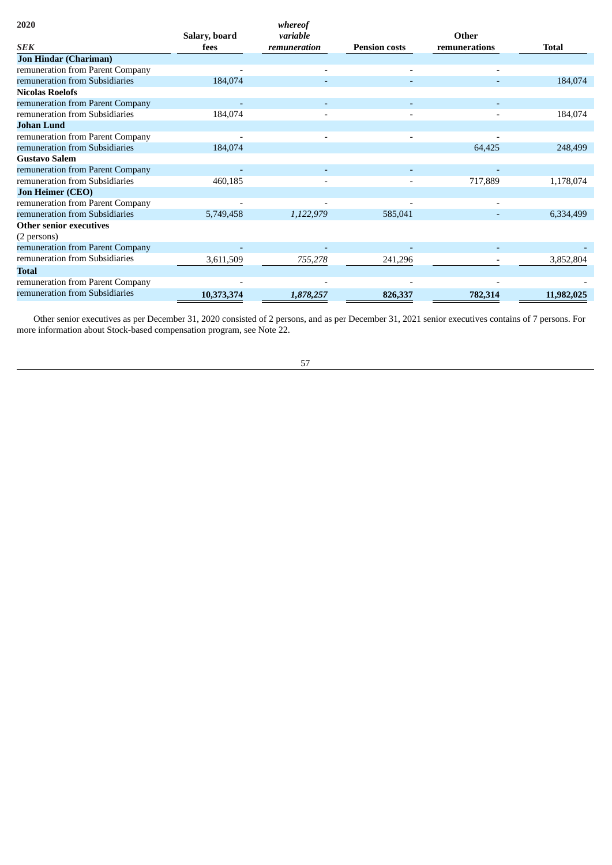| 2020                             |               | whereof      |                      |               |            |
|----------------------------------|---------------|--------------|----------------------|---------------|------------|
|                                  | Salary, board | variable     |                      | Other         |            |
| SEK                              | fees          | remuneration | <b>Pension costs</b> | remunerations | Total      |
| <b>Jon Hindar (Chariman)</b>     |               |              |                      |               |            |
| remuneration from Parent Company |               |              |                      |               |            |
| remuneration from Subsidiaries   | 184,074       |              |                      |               | 184,074    |
| Nicolas Roelofs                  |               |              |                      |               |            |
| remuneration from Parent Company |               |              |                      |               |            |
| remuneration from Subsidiaries   | 184,074       |              |                      |               | 184,074    |
| <b>Johan Lund</b>                |               |              |                      |               |            |
| remuneration from Parent Company |               |              |                      |               |            |
| remuneration from Subsidiaries   | 184,074       |              |                      | 64,425        | 248,499    |
| <b>Gustavo Salem</b>             |               |              |                      |               |            |
| remuneration from Parent Company |               |              |                      |               |            |
| remuneration from Subsidiaries   | 460,185       |              |                      | 717,889       | 1,178,074  |
| <b>Jon Heimer (CEO)</b>          |               |              |                      |               |            |
| remuneration from Parent Company |               |              |                      |               |            |
| remuneration from Subsidiaries   | 5,749,458     | 1,122,979    | 585,041              |               | 6,334,499  |
| <b>Other senior executives</b>   |               |              |                      |               |            |
| (2 persons)                      |               |              |                      |               |            |
| remuneration from Parent Company |               |              |                      |               |            |
| remuneration from Subsidiaries   | 3,611,509     | 755,278      | 241,296              |               | 3,852,804  |
| <b>Total</b>                     |               |              |                      |               |            |
| remuneration from Parent Company |               |              |                      |               |            |
| remuneration from Subsidiaries   | 10,373,374    | 1,878,257    | 826,337              | 782,314       | 11,982,025 |
|                                  |               |              |                      |               |            |

Other senior executives as per December 31, 2020 consisted of 2 persons, and as per December 31, 2021 senior executives contains of 7 persons. For more information about Stock-based compensation program, see Note 22.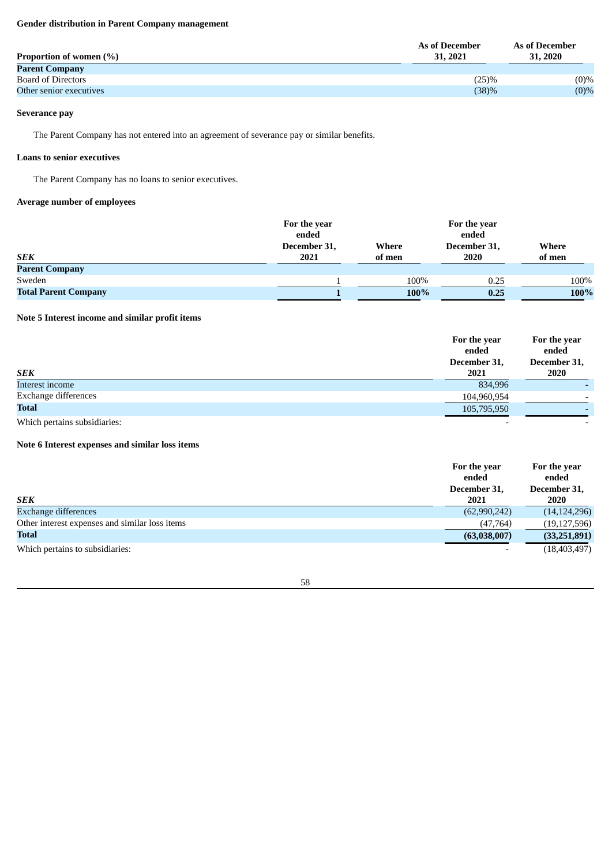# **Gender distribution in Parent Company management**

| <b>Parent Company</b><br><b>Board of Directors</b><br>(25)% | Proportion of women (%) | As of December<br>31, 2021 | As of December<br>31, 2020 |
|-------------------------------------------------------------|-------------------------|----------------------------|----------------------------|
|                                                             |                         |                            |                            |
|                                                             |                         |                            | $(0)\%$                    |
| (38)%<br>Other senior executives                            |                         |                            | (0)%                       |

# **Severance pay**

The Parent Company has not entered into an agreement of severance pay or similar benefits.

# **Loans to senior executives**

The Parent Company has no loans to senior executives.

# **Average number of employees**

|                             | For the year |        | For the year |        |
|-----------------------------|--------------|--------|--------------|--------|
|                             | ended        |        | ended        |        |
|                             | December 31, | Where  | December 31, | Where  |
| <b>SEK</b>                  | 2021         | of men | 2020         | of men |
| <b>Parent Company</b>       |              |        |              |        |
| Sweden                      |              | 100%   | 0.25         | 100%   |
| <b>Total Parent Company</b> |              | 100%   | 0.25         | 100%   |

# **Note 5 Interest income and similar profit items**

|                      | For the year<br>ended<br>December 31, | For the year<br>ended<br>December 31, |
|----------------------|---------------------------------------|---------------------------------------|
| <b>SEK</b>           | 2021                                  | 2020                                  |
| Interest income      | 834,996                               | $\overline{\phantom{a}}$              |
| Exchange differences | 104,960,954                           | $\overline{\phantom{0}}$              |
| <b>Total</b>         | 105,795,950                           |                                       |

Which pertains subsidiaries:

# **Note 6 Interest expenses and similar loss items**

|                                                | For the year<br>ended<br>December 31, | For the year<br>ended<br>December 31, |
|------------------------------------------------|---------------------------------------|---------------------------------------|
| <b>SEK</b>                                     | 2021                                  | 2020                                  |
| Exchange differences                           | (62,990,242)                          | (14, 124, 296)                        |
| Other interest expenses and similar loss items | (47,764)                              | (19, 127, 596)                        |
| Total                                          | (63,038,007)                          | (33, 251, 891)                        |
| Which pertains to subsidiaries:                | $\overline{\phantom{a}}$              | (18, 403, 497)                        |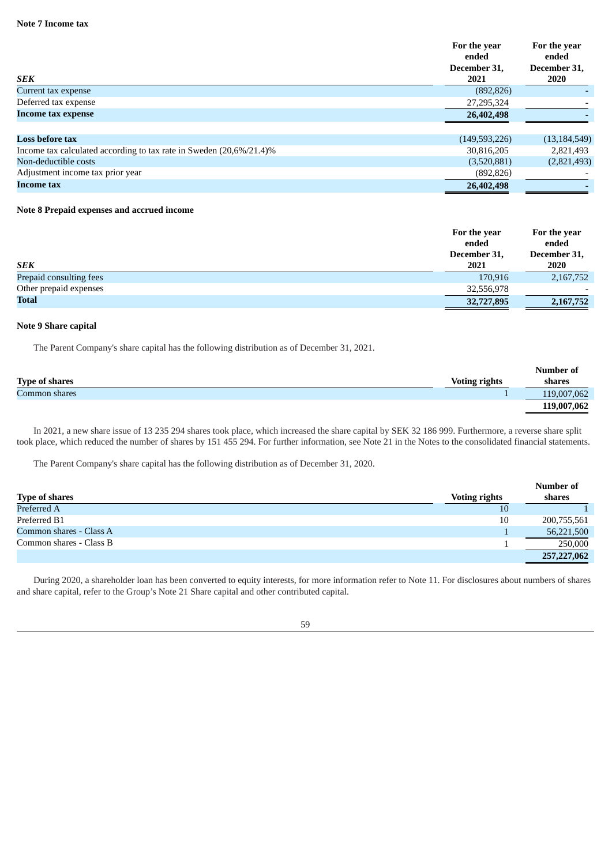| SEK                                                                 | For the year<br>ended<br>December 31.<br>2021 | For the year<br>ended<br>December 31,<br>2020 |
|---------------------------------------------------------------------|-----------------------------------------------|-----------------------------------------------|
| Current tax expense                                                 | (892, 826)                                    |                                               |
| Deferred tax expense                                                | 27,295,324                                    |                                               |
| Income tax expense                                                  | 26,402,498                                    |                                               |
|                                                                     |                                               |                                               |
| <b>Loss before tax</b>                                              | (149,593,226)                                 | (13, 184, 549)                                |
| Income tax calculated according to tax rate in Sweden (20,6%/21.4)% | 30,816,205                                    | 2,821,493                                     |
| Non-deductible costs                                                | (3,520,881)                                   | (2,821,493)                                   |
| Adjustment income tax prior year                                    | (892, 826)                                    |                                               |
| Income tax                                                          | 26,402,498                                    |                                               |

### **Note 8 Prepaid expenses and accrued income**

|                         | For the year | For the year |
|-------------------------|--------------|--------------|
|                         | ended        | ended        |
|                         | December 31, | December 31, |
| <b>SEK</b>              | 2021         | 2020         |
| Prepaid consulting fees | 170,916      | 2,167,752    |
| Other prepaid expenses  | 32,556,978   |              |
| <b>Total</b>            | 32,727,895   | 2,167,752    |

#### **Note 9 Share capital**

The Parent Company's share capital has the following distribution as of December 31, 2021.

|                       |                      | Number of   |
|-----------------------|----------------------|-------------|
| <b>Type of shares</b> | <b>Voting rights</b> | shares      |
| Common shares         |                      | 119,007,062 |
|                       |                      | 119,007,062 |

In 2021, a new share issue of 13 235 294 shares took place, which increased the share capital by SEK 32 186 999. Furthermore, a reverse share split took place, which reduced the number of shares by 151 455 294. For further information, see Note 21 in the Notes to the consolidated financial statements.

The Parent Company's share capital has the following distribution as of December 31, 2020.

|                         |                      | Number of   |
|-------------------------|----------------------|-------------|
| <b>Type of shares</b>   | <b>Voting rights</b> | shares      |
| Preferred A             | 10                   |             |
| Preferred B1            | 10                   | 200,755,561 |
| Common shares - Class A |                      | 56,221,500  |
| Common shares - Class B |                      | 250,000     |
|                         |                      | 257,227,062 |

During 2020, a shareholder loan has been converted to equity interests, for more information refer to Note 11. For disclosures about numbers of shares and share capital, refer to the Group's Note 21 Share capital and other contributed capital.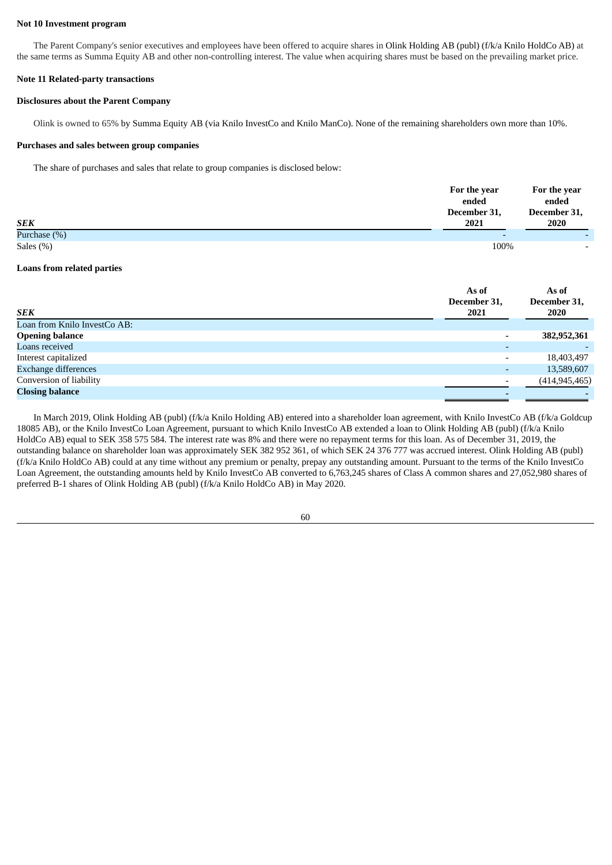#### **Not 10 Investment program**

The Parent Company's senior executives and employees have been offered to acquire shares in Olink Holding AB (publ) (f/k/a Knilo HoldCo AB) at the same terms as Summa Equity AB and other non-controlling interest. The value when acquiring shares must be based on the prevailing market price.

#### **Note 11 Related-party transactions**

### **Disclosures about the Parent Company**

Olink is owned to 65% by Summa Equity AB (via Knilo InvestCo and Knilo ManCo). None of the remaining shareholders own more than 10%.

#### **Purchases and sales between group companies**

The share of purchases and sales that relate to group companies is disclosed below:

|                 | For the year             | For the year             |
|-----------------|--------------------------|--------------------------|
|                 | ended                    | ended                    |
|                 | December 31,             | December 31,             |
| <b>SEK</b>      | 2021                     | 2020                     |
| Purchase $(\%)$ | $\overline{\phantom{a}}$ |                          |
| Sales (%)       | 100%                     | $\overline{\phantom{0}}$ |

#### **Loans from related parties**

| <b>SEK</b>                   | As of<br>December 31,<br>2021 | As of<br>December 31,<br>2020 |
|------------------------------|-------------------------------|-------------------------------|
| Loan from Knilo InvestCo AB: |                               |                               |
| <b>Opening balance</b>       | $\overline{\phantom{a}}$      | 382,952,361                   |
| Loans received               |                               |                               |
| Interest capitalized         | $\overline{\phantom{a}}$      | 18,403,497                    |
| <b>Exchange differences</b>  | -                             | 13,589,607                    |
| Conversion of liability      |                               | (414, 945, 465)               |
| <b>Closing balance</b>       |                               |                               |

In March 2019, Olink Holding AB (publ) (f/k/a Knilo Holding AB) entered into a shareholder loan agreement, with Knilo InvestCo AB (f/k/a Goldcup 18085 AB), or the Knilo InvestCo Loan Agreement, pursuant to which Knilo InvestCo AB extended a loan to Olink Holding AB (publ) (f/k/a Knilo HoldCo AB) equal to SEK 358 575 584. The interest rate was 8% and there were no repayment terms for this loan. As of December 31, 2019, the outstanding balance on shareholder loan was approximately SEK 382 952 361, of which SEK 24 376 777 was accrued interest. Olink Holding AB (publ) (f/k/a Knilo HoldCo AB) could at any time without any premium or penalty, prepay any outstanding amount. Pursuant to the terms of the Knilo InvestCo Loan Agreement, the outstanding amounts held by Knilo InvestCo AB converted to 6,763,245 shares of Class A common shares and 27,052,980 shares of preferred B-1 shares of Olink Holding AB (publ) (f/k/a Knilo HoldCo AB) in May 2020.

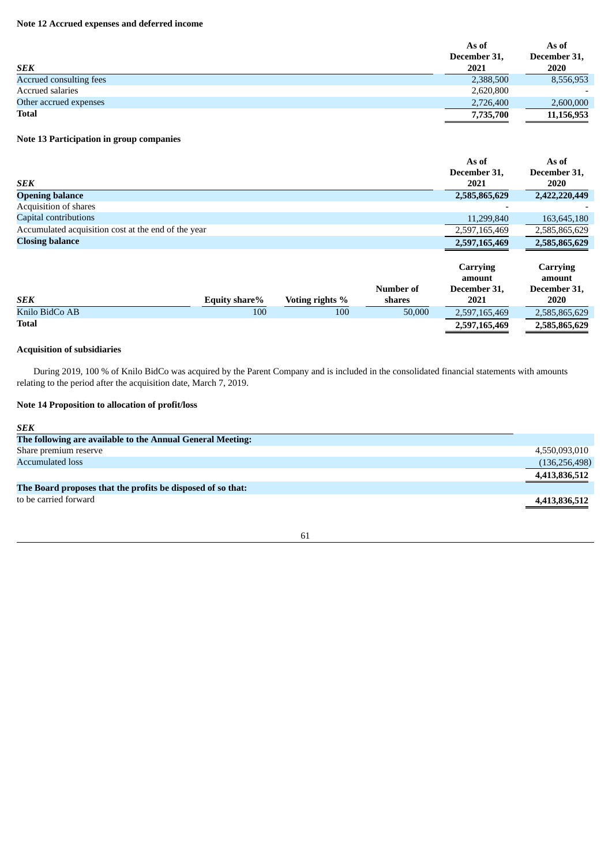# **Note 12 Accrued expenses and deferred income**

|                         | As of        | As of                    |
|-------------------------|--------------|--------------------------|
|                         | December 31, | December 31,             |
| <b>SEK</b>              | 2021         | 2020                     |
| Accrued consulting fees | 2,388,500    | 8,556,953                |
| Accrued salaries        | 2,620,800    | $\overline{\phantom{0}}$ |
| Other accrued expenses  | 2,726,400    | 2,600,000                |
| <b>Total</b>            | 7,735,700    | 11,156,953               |

# **Note 13 Participation in group companies**

|                                                     | As of                | As of                       |
|-----------------------------------------------------|----------------------|-----------------------------|
| SEK                                                 | December 31,<br>2021 | December 31,<br><b>2020</b> |
| <b>Opening balance</b>                              | 2,585,865,629        | 2,422,220,449               |
| Acquisition of shares                               |                      |                             |
| Capital contributions                               | 11,299,840           | 163,645,180                 |
| Accumulated acquisition cost at the end of the year | 2,597,165,469        | 2,585,865,629               |
| <b>Closing balance</b>                              | 2,597,165,469        | 2,585,865,629               |
|                                                     | <b>Carrying</b>      | <b>Carrying</b>             |

|                |               |                 |           | amount        | amount        |
|----------------|---------------|-----------------|-----------|---------------|---------------|
|                |               |                 | Number of | December 31.  | December 31,  |
| <b>SEK</b>     | Equity share% | Voting rights % | shares    | 2021          | 2020          |
| Knilo BidCo AB | 100           | 100             | 50,000    | 2,597,165,469 | 2,585,865,629 |
| Total          |               |                 |           | 2,597,165,469 | 2,585,865,629 |

# **Acquisition of subsidiaries**

During 2019, 100 % of Knilo BidCo was acquired by the Parent Company and is included in the consolidated financial statements with amounts relating to the period after the acquisition date, March 7, 2019.

# **Note 14 Proposition to allocation of profit/loss**

| <b>SEK</b>                                                  |                 |
|-------------------------------------------------------------|-----------------|
| The following are available to the Annual General Meeting:  |                 |
| Share premium reserve                                       | 4,550,093,010   |
| <b>Accumulated loss</b>                                     | (136, 256, 498) |
|                                                             | 4,413,836,512   |
| The Board proposes that the profits be disposed of so that: |                 |
| to be carried forward                                       | 4,413,836,512   |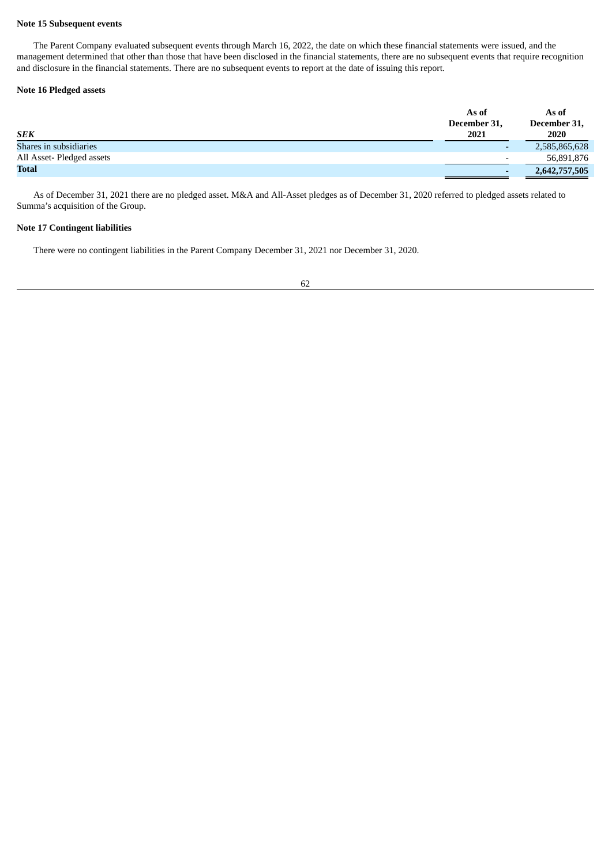### **Note 15 Subsequent events**

The Parent Company evaluated subsequent events through March 16, 2022, the date on which these financial statements were issued, and the management determined that other than those that have been disclosed in the financial statements, there are no subsequent events that require recognition and disclosure in the financial statements. There are no subsequent events to report at the date of issuing this report.

### **Note 16 Pledged assets**

|                          | As of        | As of         |
|--------------------------|--------------|---------------|
|                          | December 31, | December 31,  |
| <b>SEK</b>               | 2021         | 2020          |
| Shares in subsidiaries   |              | 2,585,865,628 |
| All Asset-Pledged assets |              | 56,891,876    |
| <b>Total</b>             |              | 2,642,757,505 |

As of December 31, 2021 there are no pledged asset. M&A and All-Asset pledges as of December 31, 2020 referred to pledged assets related to Summa's acquisition of the Group.

### **Note 17 Contingent liabilities**

There were no contingent liabilities in the Parent Company December 31, 2021 nor December 31, 2020.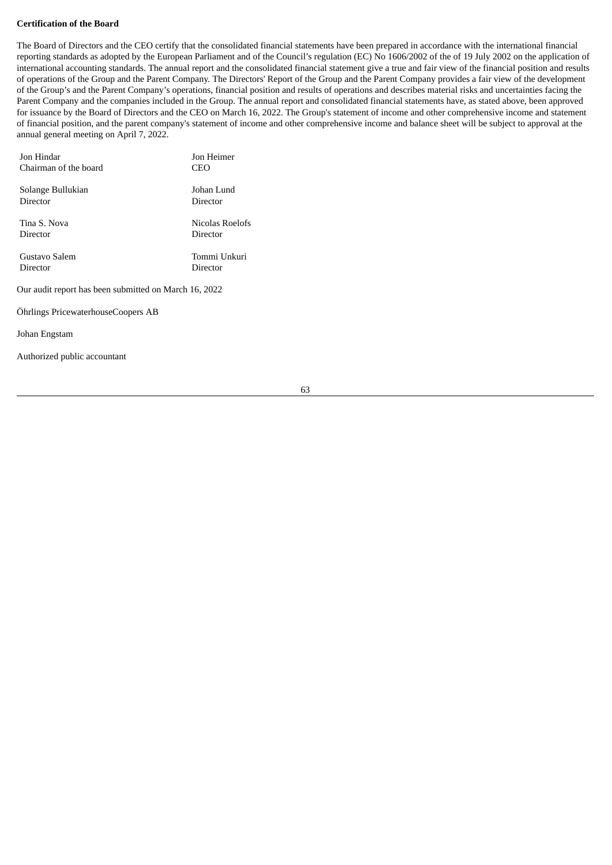### **Certification of the Board**

The Board of Directors and the CEO certify that the consolidated financial statements have been prepared in accordance with the international financial reporting standards as adopted by the European Parliament and of the Council's regulation (EC) No 1606/2002 of the of 19 July 2002 on the application of international accounting standards. The annual report and the consolidated financial statement give a true and fair view of the financial position and results of operations of the Group and the Parent Company. The Directors' Report of the Group and the Parent Company provides a fair view of the development of the Group's and the Parent Company's operations, financial position and results of operations and describes material risks and uncertainties facing the Parent Company and the companies included in the Group. The annual report and consolidated financial statements have, as stated above, been approved for issuance by the Board of Directors and the CEO on March 16, 2022. The Group's statement of income and other comprehensive income and statement of financial position, and the parent company's statement of income and other comprehensive income and balance sheet will be subject to approval at the annual general meeting on April 7, 2022.

| Jon Hindar                                            | Jon Heimer      |  |
|-------------------------------------------------------|-----------------|--|
| Chairman of the board                                 | CEO             |  |
| Solange Bullukian                                     | Johan Lund      |  |
| Director                                              | Director        |  |
| Tina S. Nova                                          | Nicolas Roelofs |  |
| Director                                              | Director        |  |
| Gustavo Salem                                         | Tommi Unkuri    |  |
| Director                                              | Director        |  |
| Our audit report has been submitted on March 16, 2022 |                 |  |
| Öhrlings PricewaterhouseCoopers AB                    |                 |  |
|                                                       |                 |  |

Johan Engstam

Authorized public accountant